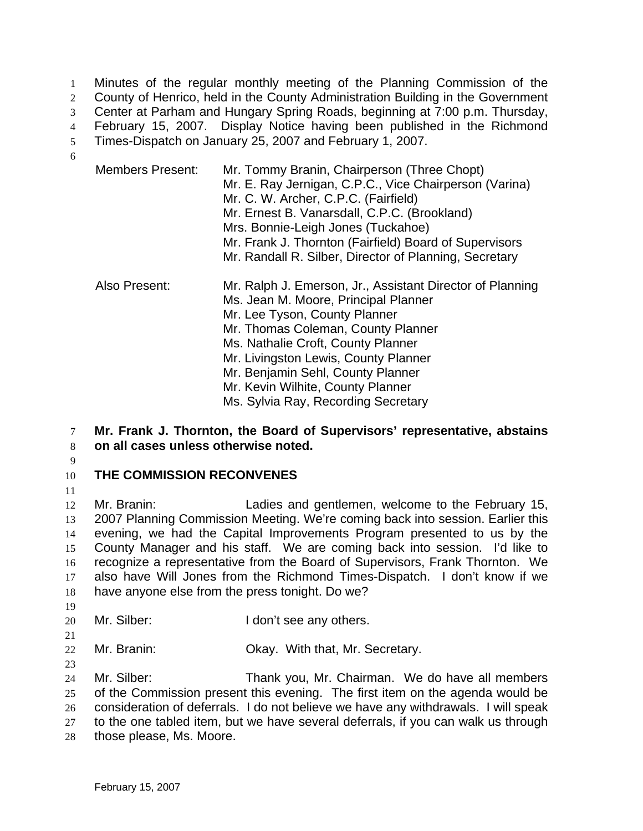Minutes of the regular monthly meeting of the Planning Commission of the County of Henrico, held in the County Administration Building in the Government Center at Parham and Hungary Spring Roads, beginning at 7:00 p.m. Thursday, February 15, 2007. Display Notice having been published in the Richmond Times-Dispatch on January 25, 2007 and February 1, 2007. 6

- Members Present: Mr. Tommy Branin, Chairperson (Three Chopt) Mr. E. Ray Jernigan, C.P.C., Vice Chairperson (Varina) Mr. C. W. Archer, C.P.C. (Fairfield) Mr. Ernest B. Vanarsdall, C.P.C. (Brookland) Mrs. Bonnie-Leigh Jones (Tuckahoe) Mr. Frank J. Thornton (Fairfield) Board of Supervisors Mr. Randall R. Silber, Director of Planning, Secretary Also Present: Mr. Ralph J. Emerson, Jr., Assistant Director of Planning Ms. Jean M. Moore, Principal Planner Mr. Lee Tyson, County Planner Mr. Thomas Coleman, County Planner Ms. Nathalie Croft, County Planner Mr. Livingston Lewis, County Planner Mr. Benjamin Sehl, County Planner Mr. Kevin Wilhite, County Planner Ms. Sylvia Ray, Recording Secretary
- 7 **Mr. Frank J. Thornton, the Board of Supervisors' representative, abstains**  8 **on all cases unless otherwise noted.**
- 9

### 10 **THE COMMISSION RECONVENES**

11

Mr. Branin: Ladies and gentlemen, welcome to the February 15, 2007 Planning Commission Meeting. We're coming back into session. Earlier this evening, we had the Capital Improvements Program presented to us by the County Manager and his staff. We are coming back into session. I'd like to recognize a representative from the Board of Supervisors, Frank Thornton. We also have Will Jones from the Richmond Times-Dispatch. I don't know if we have anyone else from the press tonight. Do we? 19

- 20 Mr. Silber: I don't see any others.
- 22 Mr. Branin: Okay. With that, Mr. Secretary.
- 23

- 24 Mr. Silber: Thank you, Mr. Chairman. We do have all members 25 of the Commission present this evening. The first item on the agenda would be 26 consideration of deferrals. I do not believe we have any withdrawals. I will speak 27 to the one tabled item, but we have several deferrals, if you can walk us through 28 those please, Ms. Moore.
	-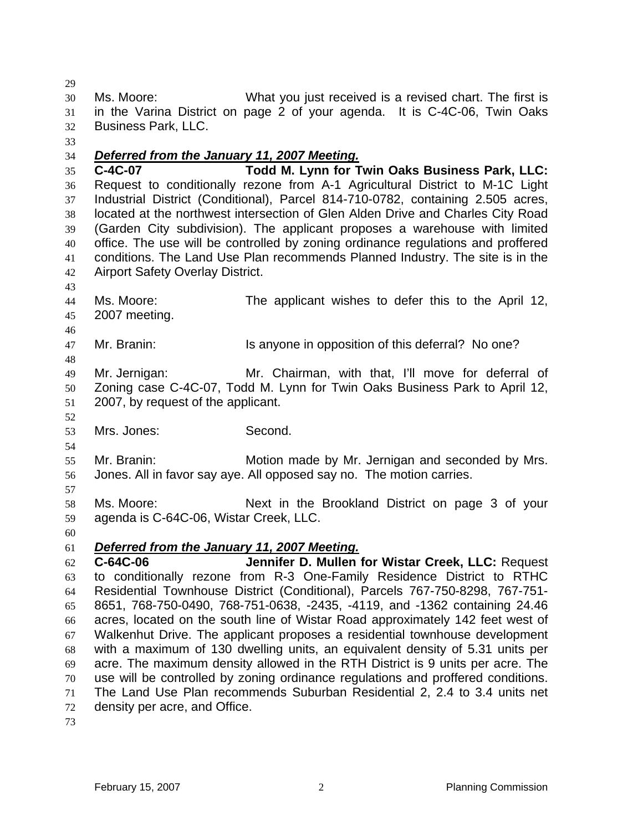Ms. Moore: What you just received is a revised chart. The first is in the Varina District on page 2 of your agenda. It is C-4C-06, Twin Oaks Business Park, LLC.

# *Deferred from the January 11, 2007 Meeting.*

**C-4C-07 Todd M. Lynn for Twin Oaks Business Park, LLC:** Request to conditionally rezone from A-1 Agricultural District to M-1C Light Industrial District (Conditional), Parcel 814-710-0782, containing 2.505 acres, located at the northwest intersection of Glen Alden Drive and Charles City Road (Garden City subdivision). The applicant proposes a warehouse with limited office. The use will be controlled by zoning ordinance regulations and proffered conditions. The Land Use Plan recommends Planned Industry. The site is in the Airport Safety Overlay District.

- Ms. Moore: The applicant wishes to defer this to the April 12, 2007 meeting.
- 47 Mr. Branin: Is anyone in opposition of this deferral? No one?

Mr. Jernigan: Mr. Chairman, with that, I'll move for deferral of Zoning case C-4C-07, Todd M. Lynn for Twin Oaks Business Park to April 12, 2007, by request of the applicant.

Mrs. Jones: Second.

Mr. Branin: Motion made by Mr. Jernigan and seconded by Mrs. Jones. All in favor say aye. All opposed say no. The motion carries.

- 
- Ms. Moore: Next in the Brookland District on page 3 of your agenda is C-64C-06, Wistar Creek, LLC.
- 

### *Deferred from the January 11, 2007 Meeting.*

**C-64C-06 Jennifer D. Mullen for Wistar Creek, LLC:** Request to conditionally rezone from R-3 One-Family Residence District to RTHC Residential Townhouse District (Conditional), Parcels 767-750-8298, 767-751- 8651, 768-750-0490, 768-751-0638, -2435, -4119, and -1362 containing 24.46 acres, located on the south line of Wistar Road approximately 142 feet west of Walkenhut Drive. The applicant proposes a residential townhouse development with a maximum of 130 dwelling units, an equivalent density of 5.31 units per acre. The maximum density allowed in the RTH District is 9 units per acre. The use will be controlled by zoning ordinance regulations and proffered conditions. The Land Use Plan recommends Suburban Residential 2, 2.4 to 3.4 units net density per acre, and Office.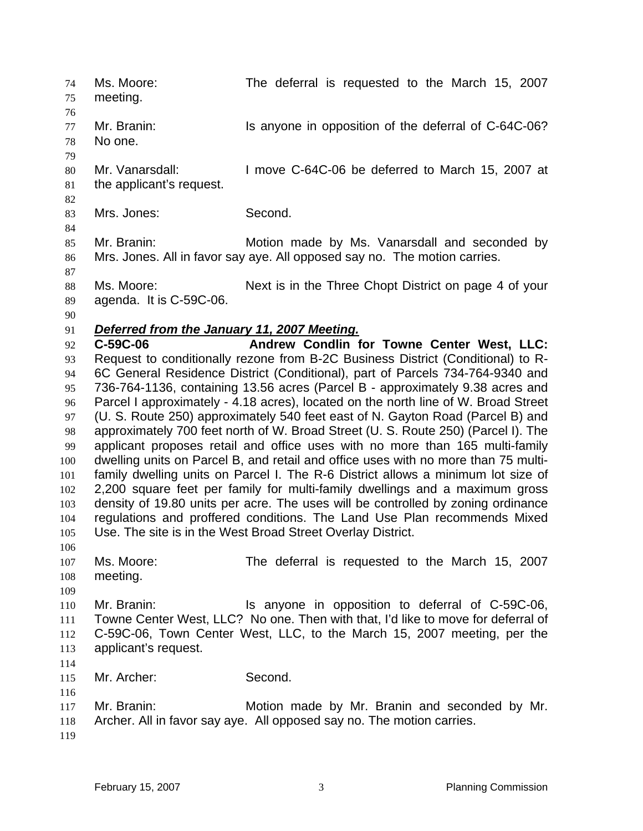Ms. Moore: The deferral is requested to the March 15, 2007 meeting. 77 Mr. Branin: Is anyone in opposition of the deferral of C-64C-06? No one. Mr. Vanarsdall: I move C-64C-06 be deferred to March 15, 2007 at the applicant's request. Mrs. Jones: Second. Mr. Branin: Motion made by Ms. Vanarsdall and seconded by Mrs. Jones. All in favor say aye. All opposed say no. The motion carries. Ms. Moore: Next is in the Three Chopt District on page 4 of your agenda. It is C-59C-06. *Deferred from the January 11, 2007 Meeting.* **C-59C-06 Andrew Condlin for Towne Center West, LLC:** Request to conditionally rezone from B-2C Business District (Conditional) to R-6C General Residence District (Conditional), part of Parcels 734-764-9340 and 736-764-1136, containing 13.56 acres (Parcel B - approximately 9.38 acres and Parcel I approximately - 4.18 acres), located on the north line of W. Broad Street (U. S. Route 250) approximately 540 feet east of N. Gayton Road (Parcel B) and approximately 700 feet north of W. Broad Street (U. S. Route 250) (Parcel I). The applicant proposes retail and office uses with no more than 165 multi-family dwelling units on Parcel B, and retail and office uses with no more than 75 multi-family dwelling units on Parcel I. The R-6 District allows a minimum lot size of 2,200 square feet per family for multi-family dwellings and a maximum gross density of 19.80 units per acre. The uses will be controlled by zoning ordinance regulations and proffered conditions. The Land Use Plan recommends Mixed Use. The site is in the West Broad Street Overlay District. Ms. Moore: The deferral is requested to the March 15, 2007 meeting. Mr. Branin: Is anyone in opposition to deferral of C-59C-06, Towne Center West, LLC? No one. Then with that, I'd like to move for deferral of C-59C-06, Town Center West, LLC, to the March 15, 2007 meeting, per the applicant's request. Mr. Archer: Second. Mr. Branin: Motion made by Mr. Branin and seconded by Mr. Archer. All in favor say aye. All opposed say no. The motion carries.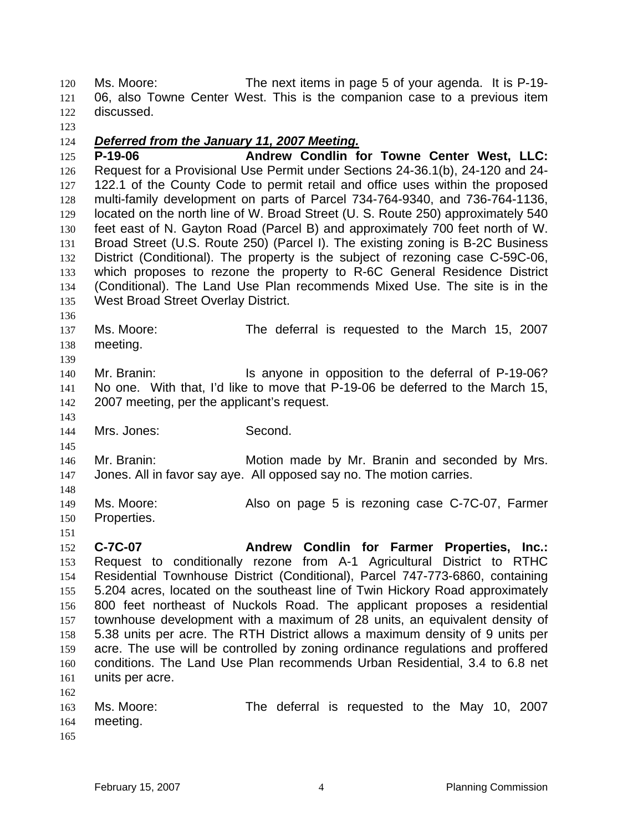Ms. Moore: The next items in page 5 of your agenda. It is P-19- 06, also Towne Center West. This is the companion case to a previous item discussed.

# *Deferred from the January 11, 2007 Meeting.*

**P-19-06 Andrew Condlin for Towne Center West, LLC:**  Request for a Provisional Use Permit under Sections 24-36.1(b), 24-120 and 24- 127 122.1 of the County Code to permit retail and office uses within the proposed multi-family development on parts of Parcel 734-764-9340, and 736-764-1136, located on the north line of W. Broad Street (U. S. Route 250) approximately 540 feet east of N. Gayton Road (Parcel B) and approximately 700 feet north of W. Broad Street (U.S. Route 250) (Parcel I). The existing zoning is B-2C Business District (Conditional). The property is the subject of rezoning case C-59C-06, which proposes to rezone the property to R-6C General Residence District (Conditional). The Land Use Plan recommends Mixed Use. The site is in the West Broad Street Overlay District.

- 
- Ms. Moore: The deferral is requested to the March 15, 2007 meeting.
- 

140 Mr. Branin: **Is anyone in opposition to the deferral of P-19-06?** No one. With that, I'd like to move that P-19-06 be deferred to the March 15, 2007 meeting, per the applicant's request.

Mrs. Jones: Second.

Mr. Branin: Motion made by Mr. Branin and seconded by Mrs. Jones. All in favor say aye. All opposed say no. The motion carries.

- Ms. Moore: Also on page 5 is rezoning case C-7C-07, Farmer Properties.
- **C-7C-07 Andrew Condlin for Farmer Properties, Inc.:** Request to conditionally rezone from A-1 Agricultural District to RTHC Residential Townhouse District (Conditional), Parcel 747-773-6860, containing 5.204 acres, located on the southeast line of Twin Hickory Road approximately 800 feet northeast of Nuckols Road. The applicant proposes a residential townhouse development with a maximum of 28 units, an equivalent density of 5.38 units per acre. The RTH District allows a maximum density of 9 units per acre. The use will be controlled by zoning ordinance regulations and proffered conditions. The Land Use Plan recommends Urban Residential, 3.4 to 6.8 net units per acre.

|     | 163 Ms. Moore: |  | The deferral is requested to the May 10, 2007 |  |  |  |
|-----|----------------|--|-----------------------------------------------|--|--|--|
|     | 164 meeting.   |  |                                               |  |  |  |
| 165 |                |  |                                               |  |  |  |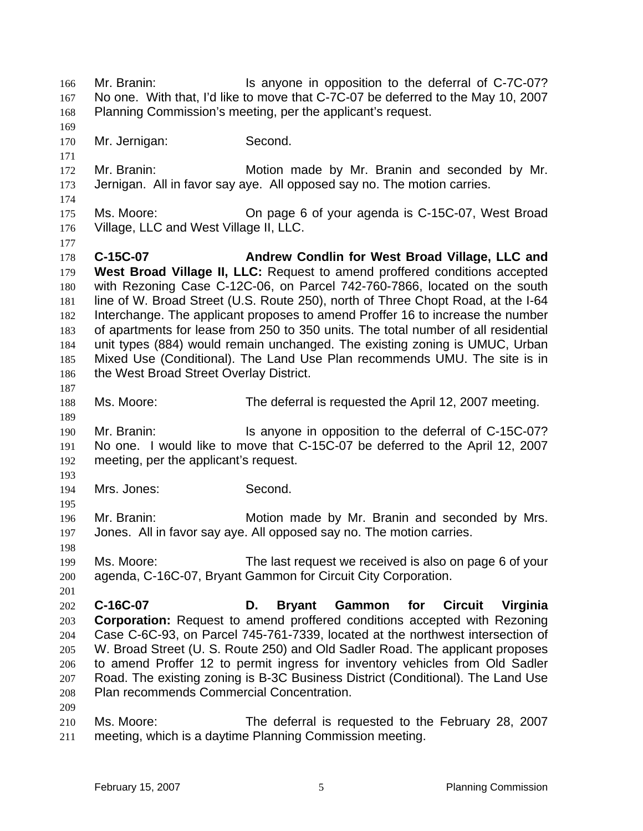Mr. Branin: Is anyone in opposition to the deferral of C-7C-07? No one. With that, I'd like to move that C-7C-07 be deferred to the May 10, 2007 Planning Commission's meeting, per the applicant's request. Mr. Jernigan: Second. Mr. Branin: Motion made by Mr. Branin and seconded by Mr. Jernigan. All in favor say aye. All opposed say no. The motion carries. Ms. Moore: On page 6 of your agenda is C-15C-07, West Broad Village, LLC and West Village II, LLC. **C-15C-07 Andrew Condlin for West Broad Village, LLC and West Broad Village II, LLC:** Request to amend proffered conditions accepted with Rezoning Case C-12C-06, on Parcel 742-760-7866, located on the south line of W. Broad Street (U.S. Route 250), north of Three Chopt Road, at the I-64 Interchange. The applicant proposes to amend Proffer 16 to increase the number of apartments for lease from 250 to 350 units. The total number of all residential unit types (884) would remain unchanged. The existing zoning is UMUC, Urban Mixed Use (Conditional). The Land Use Plan recommends UMU. The site is in 186 the West Broad Street Overlay District. Ms. Moore: The deferral is requested the April 12, 2007 meeting. Mr. Branin: Is anyone in opposition to the deferral of C-15C-07? No one. I would like to move that C-15C-07 be deferred to the April 12, 2007 meeting, per the applicant's request. Mrs. Jones: Second. Mr. Branin: Motion made by Mr. Branin and seconded by Mrs. Jones. All in favor say aye. All opposed say no. The motion carries. Ms. Moore: The last request we received is also on page 6 of your agenda, C-16C-07, Bryant Gammon for Circuit City Corporation. **C-16C-07 D. Bryant Gammon for Circuit Virginia Corporation:** Request to amend proffered conditions accepted with Rezoning Case C-6C-93, on Parcel 745-761-7339, located at the northwest intersection of W. Broad Street (U. S. Route 250) and Old Sadler Road. The applicant proposes to amend Proffer 12 to permit ingress for inventory vehicles from Old Sadler Road. The existing zoning is B-3C Business District (Conditional). The Land Use Plan recommends Commercial Concentration. Ms. Moore: The deferral is requested to the February 28, 2007 meeting, which is a daytime Planning Commission meeting.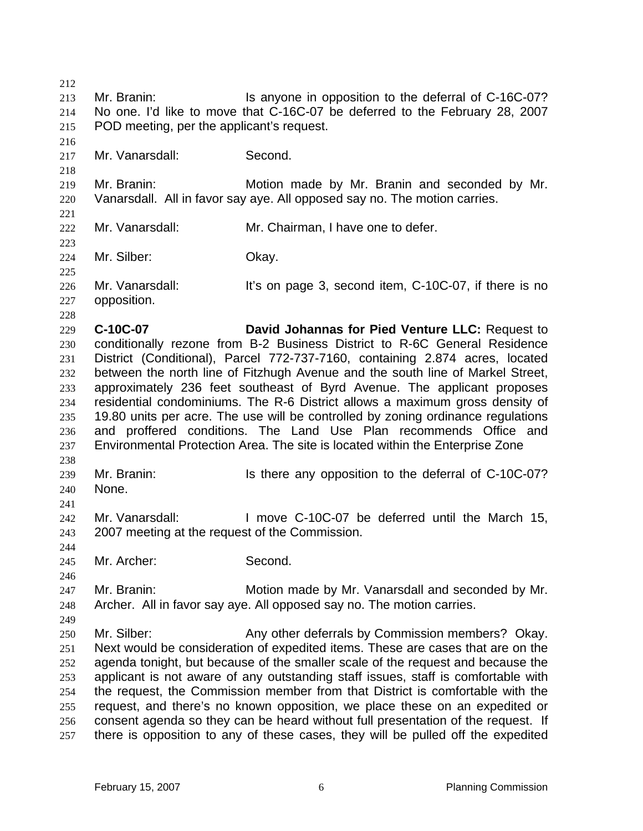213 Mr. Branin: Is anyone in opposition to the deferral of C-16C-07? No one. I'd like to move that C-16C-07 be deferred to the February 28, 2007 POD meeting, per the applicant's request. Mr. Vanarsdall: Second. Mr. Branin: Motion made by Mr. Branin and seconded by Mr. Vanarsdall. All in favor say aye. All opposed say no. The motion carries. Mr. Vanarsdall: Mr. Chairman, I have one to defer. Mr. Silber: Okay. 226 Mr. Vanarsdall: It's on page 3, second item, C-10C-07, if there is no opposition. **C-10C-07 David Johannas for Pied Venture LLC:** Request to conditionally rezone from B-2 Business District to R-6C General Residence District (Conditional), Parcel 772-737-7160, containing 2.874 acres, located between the north line of Fitzhugh Avenue and the south line of Markel Street, approximately 236 feet southeast of Byrd Avenue. The applicant proposes residential condominiums. The R-6 District allows a maximum gross density of 19.80 units per acre. The use will be controlled by zoning ordinance regulations and proffered conditions. The Land Use Plan recommends Office and Environmental Protection Area. The site is located within the Enterprise Zone Mr. Branin: Is there any opposition to the deferral of C-10C-07? None. Mr. Vanarsdall: I move C-10C-07 be deferred until the March 15, 2007 meeting at the request of the Commission. Mr. Archer: Second. Mr. Branin: Motion made by Mr. Vanarsdall and seconded by Mr. Archer. All in favor say aye. All opposed say no. The motion carries. Mr. Silber: Any other deferrals by Commission members? Okay. Next would be consideration of expedited items. These are cases that are on the agenda tonight, but because of the smaller scale of the request and because the applicant is not aware of any outstanding staff issues, staff is comfortable with the request, the Commission member from that District is comfortable with the request, and there's no known opposition, we place these on an expedited or consent agenda so they can be heard without full presentation of the request. If there is opposition to any of these cases, they will be pulled off the expedited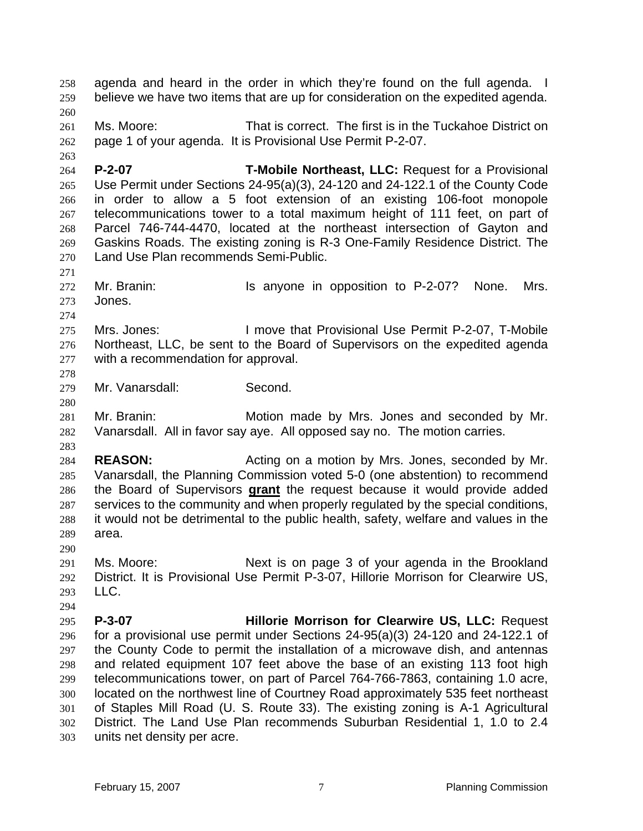agenda and heard in the order in which they're found on the full agenda. I believe we have two items that are up for consideration on the expedited agenda. Ms. Moore: That is correct. The first is in the Tuckahoe District on page 1 of your agenda. It is Provisional Use Permit P-2-07. **P-2-07 T-Mobile Northeast, LLC:** Request for a Provisional Use Permit under Sections 24-95(a)(3), 24-120 and 24-122.1 of the County Code in order to allow a 5 foot extension of an existing 106-foot monopole telecommunications tower to a total maximum height of 111 feet, on part of Parcel 746-744-4470, located at the northeast intersection of Gayton and Gaskins Roads. The existing zoning is R-3 One-Family Residence District. The Land Use Plan recommends Semi-Public. 272 Mr. Branin: Is anyone in opposition to P-2-07? None. Mrs. Jones. Mrs. Jones: I move that Provisional Use Permit P-2-07, T-Mobile Northeast, LLC, be sent to the Board of Supervisors on the expedited agenda with a recommendation for approval. Mr. Vanarsdall: Second. Mr. Branin: Motion made by Mrs. Jones and seconded by Mr. Vanarsdall. All in favor say aye. All opposed say no. The motion carries. **REASON:** Acting on a motion by Mrs. Jones, seconded by Mr. Vanarsdall, the Planning Commission voted 5-0 (one abstention) to recommend the Board of Supervisors **grant** the request because it would provide added services to the community and when properly regulated by the special conditions, it would not be detrimental to the public health, safety, welfare and values in the area. Ms. Moore: Next is on page 3 of your agenda in the Brookland District. It is Provisional Use Permit P-3-07, Hillorie Morrison for Clearwire US, LLC. **P-3-07 Hillorie Morrison for Clearwire US, LLC:** Request for a provisional use permit under Sections 24-95(a)(3) 24-120 and 24-122.1 of the County Code to permit the installation of a microwave dish, and antennas and related equipment 107 feet above the base of an existing 113 foot high telecommunications tower, on part of Parcel 764-766-7863, containing 1.0 acre, located on the northwest line of Courtney Road approximately 535 feet northeast of Staples Mill Road (U. S. Route 33). The existing zoning is A-1 Agricultural District. The Land Use Plan recommends Suburban Residential 1, 1.0 to 2.4 units net density per acre.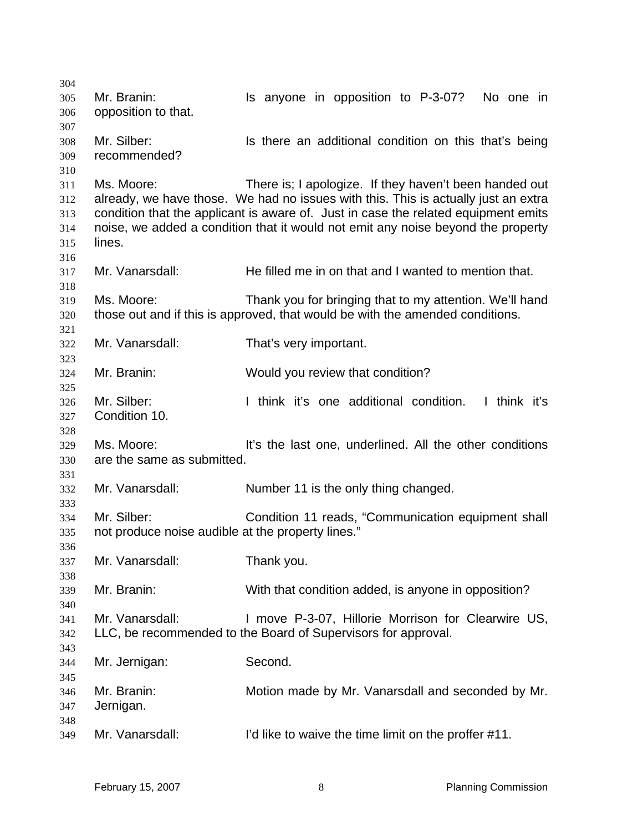| 304 |                                                   |                                                                                    |
|-----|---------------------------------------------------|------------------------------------------------------------------------------------|
| 305 | Mr. Branin:                                       | Is anyone in opposition to P-3-07?<br>No one in                                    |
| 306 | opposition to that.                               |                                                                                    |
| 307 |                                                   |                                                                                    |
| 308 | Mr. Silber:                                       | Is there an additional condition on this that's being                              |
| 309 | recommended?                                      |                                                                                    |
|     |                                                   |                                                                                    |
| 310 | Ms. Moore:                                        | There is; I apologize. If they haven't been handed out                             |
| 311 |                                                   |                                                                                    |
| 312 |                                                   | already, we have those. We had no issues with this. This is actually just an extra |
| 313 |                                                   | condition that the applicant is aware of. Just in case the related equipment emits |
| 314 |                                                   | noise, we added a condition that it would not emit any noise beyond the property   |
| 315 | lines.                                            |                                                                                    |
| 316 |                                                   |                                                                                    |
| 317 | Mr. Vanarsdall:                                   | He filled me in on that and I wanted to mention that.                              |
| 318 |                                                   |                                                                                    |
| 319 | Ms. Moore:                                        | Thank you for bringing that to my attention. We'll hand                            |
| 320 |                                                   | those out and if this is approved, that would be with the amended conditions.      |
| 321 |                                                   |                                                                                    |
| 322 | Mr. Vanarsdall:                                   | That's very important.                                                             |
| 323 |                                                   |                                                                                    |
| 324 | Mr. Branin:                                       | Would you review that condition?                                                   |
| 325 |                                                   |                                                                                    |
| 326 | Mr. Silber:                                       | I think it's one additional condition. I think it's                                |
| 327 | Condition 10.                                     |                                                                                    |
|     |                                                   |                                                                                    |
| 328 |                                                   |                                                                                    |
| 329 | Ms. Moore:                                        | It's the last one, underlined. All the other conditions                            |
| 330 | are the same as submitted.                        |                                                                                    |
| 331 |                                                   |                                                                                    |
| 332 | Mr. Vanarsdall:                                   | Number 11 is the only thing changed.                                               |
| 333 |                                                   |                                                                                    |
| 334 | Mr. Silber:                                       | Condition 11 reads, "Communication equipment shall                                 |
| 335 | not produce noise audible at the property lines." |                                                                                    |
| 336 |                                                   |                                                                                    |
| 337 | Mr. Vanarsdall:                                   | Thank you.                                                                         |
| 338 |                                                   |                                                                                    |
| 339 | Mr. Branin:                                       | With that condition added, is anyone in opposition?                                |
| 340 |                                                   |                                                                                    |
| 341 | Mr. Vanarsdall:                                   | I move P-3-07, Hillorie Morrison for Clearwire US,                                 |
| 342 |                                                   | LLC, be recommended to the Board of Supervisors for approval.                      |
| 343 |                                                   |                                                                                    |
| 344 | Mr. Jernigan:                                     | Second.                                                                            |
|     |                                                   |                                                                                    |
| 345 | Mr. Branin:                                       |                                                                                    |
| 346 |                                                   | Motion made by Mr. Vanarsdall and seconded by Mr.                                  |
| 347 | Jernigan.                                         |                                                                                    |
| 348 |                                                   |                                                                                    |
| 349 | Mr. Vanarsdall:                                   | I'd like to waive the time limit on the proffer #11.                               |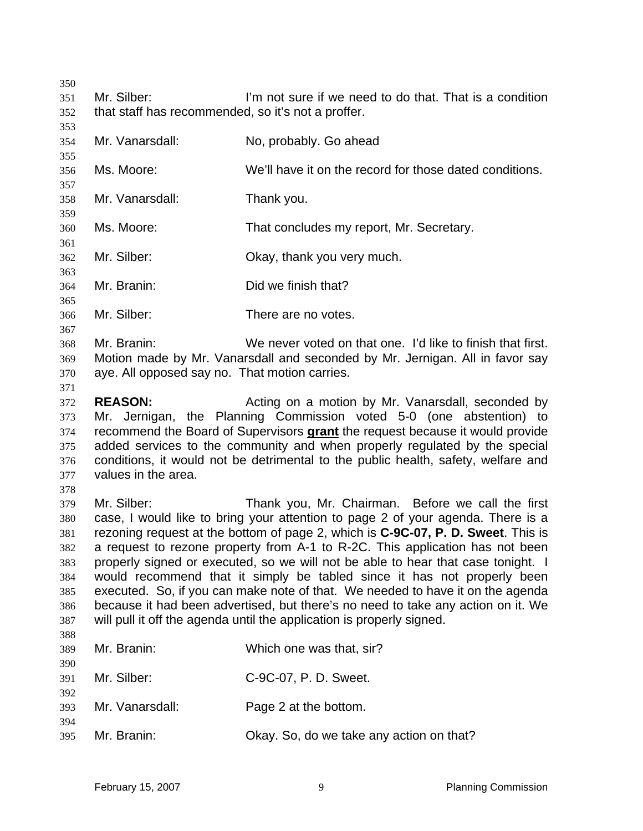Mr. Silber: I'm not sure if we need to do that. That is a condition that staff has recommended, so it's not a proffer.

Mr. Vanarsdall: No, probably. Go ahead Ms. Moore: We'll have it on the record for those dated conditions. Mr. Vanarsdall: Thank you. Ms. Moore: That concludes my report, Mr. Secretary. Mr. Silber: Okay, thank you very much. Mr. Branin: Did we finish that? Mr. Silber: There are no votes. Mr. Branin: We never voted on that one. I'd like to finish that first. Motion made by Mr. Vanarsdall and seconded by Mr. Jernigan. All in favor say aye. All opposed say no. That motion carries. **REASON:** Acting on a motion by Mr. Vanarsdall, seconded by Mr. Jernigan, the Planning Commission voted 5-0 (one abstention) to recommend the Board of Supervisors **grant** the request because it would provide added services to the community and when properly regulated by the special conditions, it would not be detrimental to the public health, safety, welfare and values in the area. Mr. Silber: Thank you, Mr. Chairman. Before we call the first case, I would like to bring your attention to page 2 of your agenda. There is a rezoning request at the bottom of page 2, which is **C-9C-07, P. D. Sweet**. This is a request to rezone property from A-1 to R-2C. This application has not been properly signed or executed, so we will not be able to hear that case tonight. I would recommend that it simply be tabled since it has not properly been executed. So, if you can make note of that. We needed to have it on the agenda because it had been advertised, but there's no need to take any action on it. We will pull it off the agenda until the application is properly signed. Mr. Branin: Which one was that, sir? Mr. Silber: C-9C-07, P. D. Sweet. Mr. Vanarsdall: Page 2 at the bottom. 

Mr. Branin: Okay. So, do we take any action on that?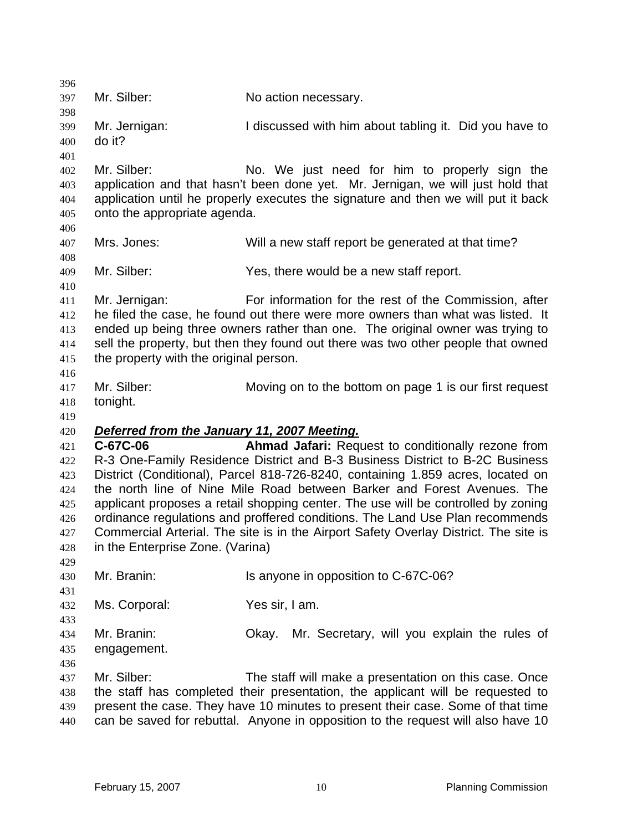| 396 |                                             |                                                                                      |
|-----|---------------------------------------------|--------------------------------------------------------------------------------------|
| 397 | Mr. Silber:                                 | No action necessary.                                                                 |
| 398 |                                             |                                                                                      |
| 399 | Mr. Jernigan:                               | I discussed with him about tabling it. Did you have to                               |
| 400 | do it?                                      |                                                                                      |
| 401 |                                             |                                                                                      |
| 402 | Mr. Silber:                                 | No. We just need for him to properly sign the                                        |
| 403 |                                             | application and that hasn't been done yet. Mr. Jernigan, we will just hold that      |
| 404 |                                             | application until he properly executes the signature and then we will put it back    |
| 405 | onto the appropriate agenda.                |                                                                                      |
| 406 |                                             |                                                                                      |
| 407 | Mrs. Jones:                                 | Will a new staff report be generated at that time?                                   |
| 408 |                                             |                                                                                      |
| 409 | Mr. Silber:                                 | Yes, there would be a new staff report.                                              |
| 410 |                                             |                                                                                      |
| 411 | Mr. Jernigan:                               | For information for the rest of the Commission, after                                |
| 412 |                                             | he filed the case, he found out there were more owners than what was listed. It      |
| 413 |                                             | ended up being three owners rather than one. The original owner was trying to        |
| 414 |                                             | sell the property, but then they found out there was two other people that owned     |
| 415 | the property with the original person.      |                                                                                      |
| 416 |                                             |                                                                                      |
| 417 | Mr. Silber:                                 | Moving on to the bottom on page 1 is our first request                               |
| 418 | tonight.                                    |                                                                                      |
| 419 |                                             |                                                                                      |
| 420 | Deferred from the January 11, 2007 Meeting. |                                                                                      |
| 421 | C-67C-06                                    | Ahmad Jafari: Request to conditionally rezone from                                   |
| 422 |                                             | R-3 One-Family Residence District and B-3 Business District to B-2C Business         |
| 423 |                                             | District (Conditional), Parcel 818-726-8240, containing 1.859 acres, located on      |
| 424 |                                             | the north line of Nine Mile Road between Barker and Forest Avenues. The              |
| 425 |                                             | applicant proposes a retail shopping center. The use will be controlled by zoning    |
| 426 |                                             | ordinance regulations and proffered conditions. The Land Use Plan recommends         |
| 427 |                                             | Commercial Arterial. The site is in the Airport Safety Overlay District. The site is |
| 428 | in the Enterprise Zone. (Varina)            |                                                                                      |
| 429 |                                             |                                                                                      |
| 430 | Mr. Branin:                                 | Is anyone in opposition to C-67C-06?                                                 |
| 431 |                                             |                                                                                      |
| 432 | Ms. Corporal:                               | Yes sir, I am.                                                                       |
| 433 |                                             |                                                                                      |
| 434 | Mr. Branin:                                 | Mr. Secretary, will you explain the rules of<br>Okay.                                |
| 435 | engagement.                                 |                                                                                      |
| 436 |                                             |                                                                                      |
| 437 | Mr. Silber:                                 | The staff will make a presentation on this case. Once                                |
| 438 |                                             | the staff has completed their presentation, the applicant will be requested to       |
| 439 |                                             | present the case. They have 10 minutes to present their case. Some of that time      |
| 440 |                                             | can be saved for rebuttal. Anyone in opposition to the request will also have 10     |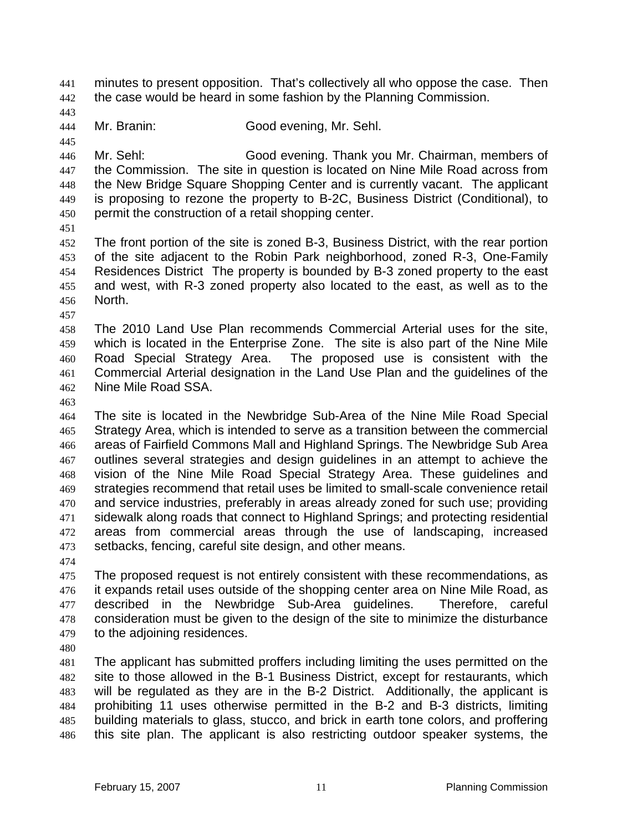minutes to present opposition. That's collectively all who oppose the case. Then 442 the case would be heard in some fashion by the Planning Commission.

Mr. Branin: Good evening, Mr. Sehl.

Mr. Sehl: Good evening. Thank you Mr. Chairman, members of the Commission. The site in question is located on Nine Mile Road across from the New Bridge Square Shopping Center and is currently vacant. The applicant is proposing to rezone the property to B-2C, Business District (Conditional), to permit the construction of a retail shopping center.

The front portion of the site is zoned B-3, Business District, with the rear portion of the site adjacent to the Robin Park neighborhood, zoned R-3, One-Family Residences District The property is bounded by B-3 zoned property to the east and west, with R-3 zoned property also located to the east, as well as to the North.

The 2010 Land Use Plan recommends Commercial Arterial uses for the site, which is located in the Enterprise Zone. The site is also part of the Nine Mile Road Special Strategy Area. The proposed use is consistent with the Commercial Arterial designation in the Land Use Plan and the guidelines of the Nine Mile Road SSA.

The site is located in the Newbridge Sub-Area of the Nine Mile Road Special Strategy Area, which is intended to serve as a transition between the commercial areas of Fairfield Commons Mall and Highland Springs. The Newbridge Sub Area outlines several strategies and design guidelines in an attempt to achieve the vision of the Nine Mile Road Special Strategy Area. These guidelines and strategies recommend that retail uses be limited to small-scale convenience retail and service industries, preferably in areas already zoned for such use; providing sidewalk along roads that connect to Highland Springs; and protecting residential areas from commercial areas through the use of landscaping, increased setbacks, fencing, careful site design, and other means.

The proposed request is not entirely consistent with these recommendations, as it expands retail uses outside of the shopping center area on Nine Mile Road, as described in the Newbridge Sub-Area guidelines. Therefore, careful consideration must be given to the design of the site to minimize the disturbance to the adjoining residences.

The applicant has submitted proffers including limiting the uses permitted on the site to those allowed in the B-1 Business District, except for restaurants, which will be regulated as they are in the B-2 District. Additionally, the applicant is prohibiting 11 uses otherwise permitted in the B-2 and B-3 districts, limiting building materials to glass, stucco, and brick in earth tone colors, and proffering this site plan. The applicant is also restricting outdoor speaker systems, the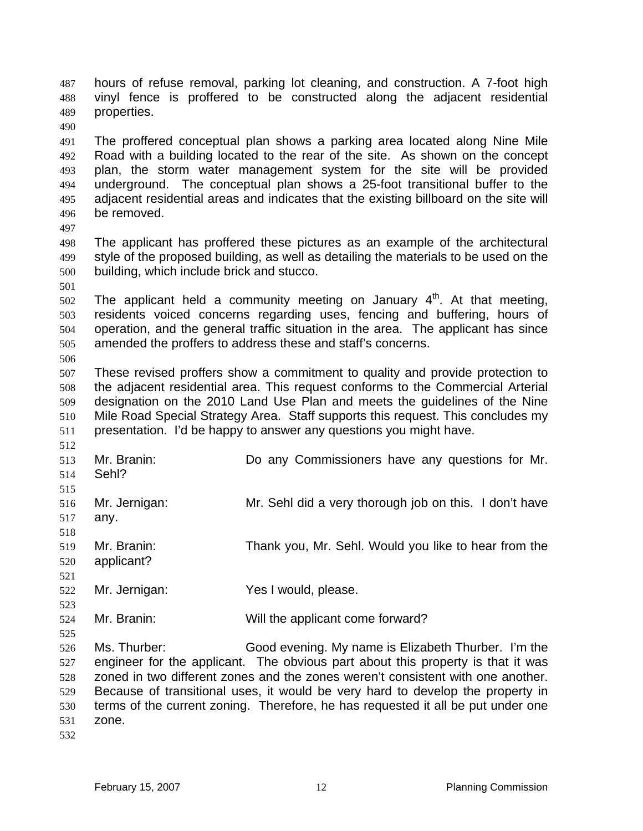hours of refuse removal, parking lot cleaning, and construction. A 7-foot high vinyl fence is proffered to be constructed along the adjacent residential properties.

The proffered conceptual plan shows a parking area located along Nine Mile Road with a building located to the rear of the site. As shown on the concept plan, the storm water management system for the site will be provided underground. The conceptual plan shows a 25-foot transitional buffer to the adjacent residential areas and indicates that the existing billboard on the site will be removed.

The applicant has proffered these pictures as an example of the architectural style of the proposed building, as well as detailing the materials to be used on the building, which include brick and stucco.

 The applicant held a community meeting on January  $4<sup>th</sup>$ . At that meeting, residents voiced concerns regarding uses, fencing and buffering, hours of operation, and the general traffic situation in the area. The applicant has since amended the proffers to address these and staff's concerns. 

These revised proffers show a commitment to quality and provide protection to the adjacent residential area. This request conforms to the Commercial Arterial designation on the 2010 Land Use Plan and meets the guidelines of the Nine Mile Road Special Strategy Area. Staff supports this request. This concludes my presentation. I'd be happy to answer any questions you might have.

 Mr. Branin: Do any Commissioners have any questions for Mr. Sehl? Mr. Jernigan: Mr. Sehl did a very thorough job on this. I don't have any. Mr. Branin: Thank you, Mr. Sehl. Would you like to hear from the applicant? Mr. Jernigan: Yes I would, please. Mr. Branin: Will the applicant come forward?

Ms. Thurber: Good evening. My name is Elizabeth Thurber. I'm the engineer for the applicant. The obvious part about this property is that it was zoned in two different zones and the zones weren't consistent with one another. Because of transitional uses, it would be very hard to develop the property in terms of the current zoning. Therefore, he has requested it all be put under one zone.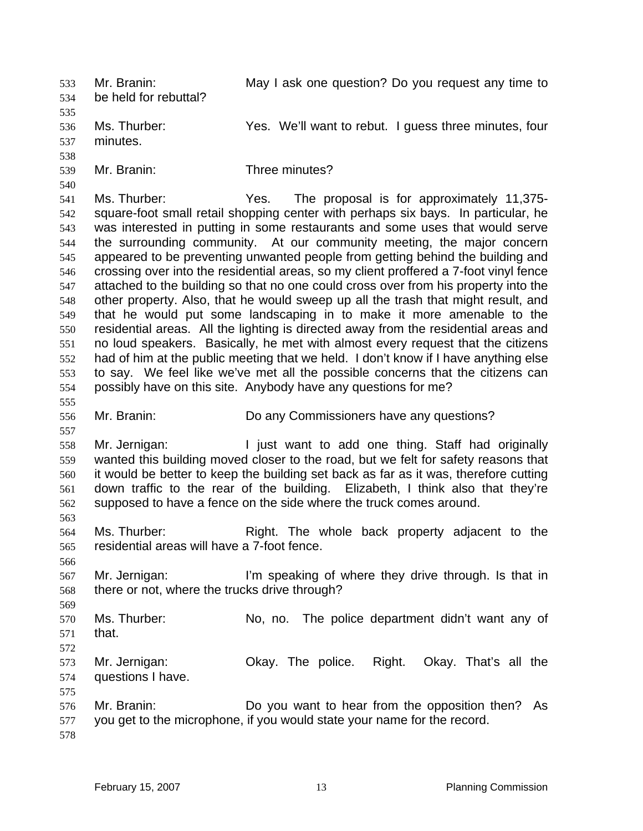Mr. Branin: May I ask one question? Do you request any time to be held for rebuttal? Ms. Thurber: Yes. We'll want to rebut. I guess three minutes, four minutes. Mr. Branin: Three minutes? Ms. Thurber: Yes. The proposal is for approximately 11,375- square-foot small retail shopping center with perhaps six bays. In particular, he was interested in putting in some restaurants and some uses that would serve the surrounding community. At our community meeting, the major concern appeared to be preventing unwanted people from getting behind the building and crossing over into the residential areas, so my client proffered a 7-foot vinyl fence attached to the building so that no one could cross over from his property into the other property. Also, that he would sweep up all the trash that might result, and that he would put some landscaping in to make it more amenable to the residential areas. All the lighting is directed away from the residential areas and no loud speakers. Basically, he met with almost every request that the citizens had of him at the public meeting that we held. I don't know if I have anything else to say. We feel like we've met all the possible concerns that the citizens can possibly have on this site. Anybody have any questions for me? Mr. Branin: Do any Commissioners have any questions? Mr. Jernigan: I just want to add one thing. Staff had originally wanted this building moved closer to the road, but we felt for safety reasons that it would be better to keep the building set back as far as it was, therefore cutting down traffic to the rear of the building. Elizabeth, I think also that they're supposed to have a fence on the side where the truck comes around. Ms. Thurber: Right. The whole back property adjacent to the residential areas will have a 7-foot fence. Mr. Jernigan: I'm speaking of where they drive through. Is that in there or not, where the trucks drive through? Ms. Thurber: No, no. The police department didn't want any of that. Mr. Jernigan: Okay. The police. Right. Okay. That's all the questions I have. Mr. Branin: Do you want to hear from the opposition then? As you get to the microphone, if you would state your name for the record.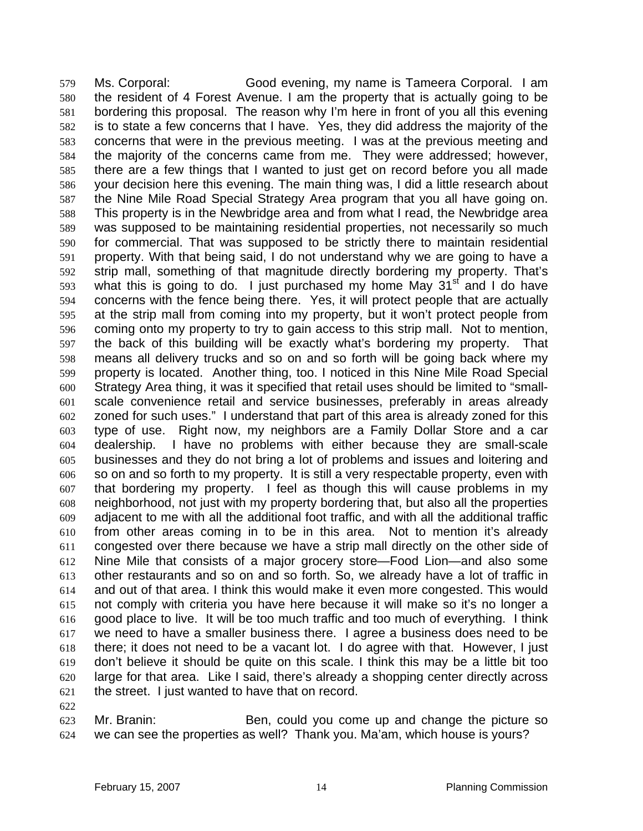Ms. Corporal: Good evening, my name is Tameera Corporal. I am the resident of 4 Forest Avenue. I am the property that is actually going to be bordering this proposal. The reason why I'm here in front of you all this evening is to state a few concerns that I have. Yes, they did address the majority of the concerns that were in the previous meeting. I was at the previous meeting and the majority of the concerns came from me. They were addressed; however, there are a few things that I wanted to just get on record before you all made your decision here this evening. The main thing was, I did a little research about the Nine Mile Road Special Strategy Area program that you all have going on. This property is in the Newbridge area and from what I read, the Newbridge area was supposed to be maintaining residential properties, not necessarily so much for commercial. That was supposed to be strictly there to maintain residential property. With that being said, I do not understand why we are going to have a strip mall, something of that magnitude directly bordering my property. That's what this is going to do. I just purchased my home May  $31<sup>st</sup>$  and I do have concerns with the fence being there. Yes, it will protect people that are actually at the strip mall from coming into my property, but it won't protect people from coming onto my property to try to gain access to this strip mall. Not to mention, the back of this building will be exactly what's bordering my property. That means all delivery trucks and so on and so forth will be going back where my property is located. Another thing, too. I noticed in this Nine Mile Road Special Strategy Area thing, it was it specified that retail uses should be limited to "small-scale convenience retail and service businesses, preferably in areas already zoned for such uses." I understand that part of this area is already zoned for this type of use. Right now, my neighbors are a Family Dollar Store and a car dealership. I have no problems with either because they are small-scale businesses and they do not bring a lot of problems and issues and loitering and so on and so forth to my property. It is still a very respectable property, even with that bordering my property. I feel as though this will cause problems in my neighborhood, not just with my property bordering that, but also all the properties adjacent to me with all the additional foot traffic, and with all the additional traffic from other areas coming in to be in this area. Not to mention it's already congested over there because we have a strip mall directly on the other side of Nine Mile that consists of a major grocery store—Food Lion—and also some other restaurants and so on and so forth. So, we already have a lot of traffic in and out of that area. I think this would make it even more congested. This would not comply with criteria you have here because it will make so it's no longer a good place to live. It will be too much traffic and too much of everything. I think we need to have a smaller business there. I agree a business does need to be there; it does not need to be a vacant lot. I do agree with that. However, I just don't believe it should be quite on this scale. I think this may be a little bit too large for that area. Like I said, there's already a shopping center directly across the street. I just wanted to have that on record.

Mr. Branin: Ben, could you come up and change the picture so we can see the properties as well? Thank you. Ma'am, which house is yours?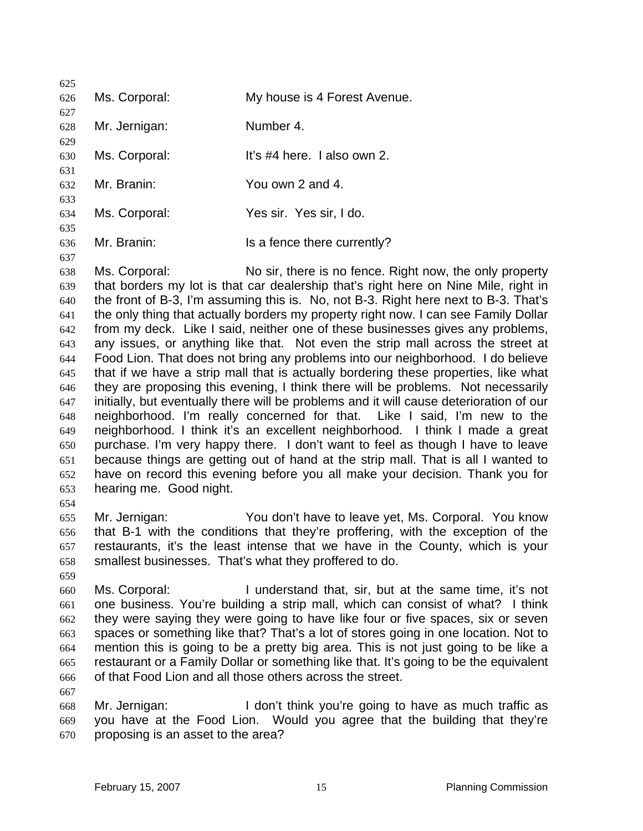| 625 |               |                              |
|-----|---------------|------------------------------|
| 626 | Ms. Corporal: | My house is 4 Forest Avenue. |
| 627 |               |                              |
| 628 | Mr. Jernigan: | Number 4.                    |
| 629 |               |                              |
| 630 | Ms. Corporal: | It's #4 here. I also own 2.  |
| 631 |               |                              |
| 632 | Mr. Branin:   | You own 2 and 4.             |
| 633 |               |                              |
| 634 | Ms. Corporal: | Yes sir. Yes sir, I do.      |
| 635 |               |                              |
| 636 | Mr. Branin:   | Is a fence there currently?  |

Ms. Corporal: No sir, there is no fence. Right now, the only property that borders my lot is that car dealership that's right here on Nine Mile, right in the front of B-3, I'm assuming this is. No, not B-3. Right here next to B-3. That's the only thing that actually borders my property right now. I can see Family Dollar from my deck. Like I said, neither one of these businesses gives any problems, any issues, or anything like that. Not even the strip mall across the street at Food Lion. That does not bring any problems into our neighborhood. I do believe that if we have a strip mall that is actually bordering these properties, like what they are proposing this evening, I think there will be problems. Not necessarily initially, but eventually there will be problems and it will cause deterioration of our neighborhood. I'm really concerned for that. Like I said, I'm new to the neighborhood. I think it's an excellent neighborhood. I think I made a great purchase. I'm very happy there. I don't want to feel as though I have to leave because things are getting out of hand at the strip mall. That is all I wanted to have on record this evening before you all make your decision. Thank you for hearing me. Good night. 

- Mr. Jernigan: You don't have to leave yet, Ms. Corporal. You know that B-1 with the conditions that they're proffering, with the exception of the restaurants, it's the least intense that we have in the County, which is your smallest businesses. That's what they proffered to do.
- 

- Ms. Corporal: I understand that, sir, but at the same time, it's not one business. You're building a strip mall, which can consist of what? I think they were saying they were going to have like four or five spaces, six or seven spaces or something like that? That's a lot of stores going in one location. Not to mention this is going to be a pretty big area. This is not just going to be like a restaurant or a Family Dollar or something like that. It's going to be the equivalent of that Food Lion and all those others across the street.
- 

Mr. Jernigan: I don't think you're going to have as much traffic as you have at the Food Lion. Would you agree that the building that they're proposing is an asset to the area?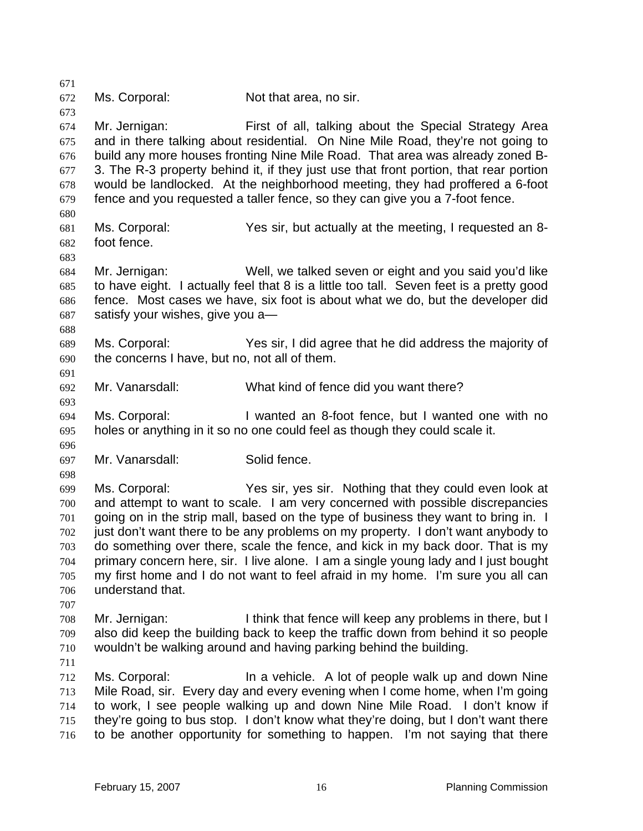Ms. Corporal: Not that area, no sir. Mr. Jernigan: First of all, talking about the Special Strategy Area and in there talking about residential. On Nine Mile Road, they're not going to build any more houses fronting Nine Mile Road. That area was already zoned B-3. The R-3 property behind it, if they just use that front portion, that rear portion would be landlocked. At the neighborhood meeting, they had proffered a 6-foot fence and you requested a taller fence, so they can give you a 7-foot fence. Ms. Corporal: Yes sir, but actually at the meeting, I requested an 8- foot fence. Mr. Jernigan: Well, we talked seven or eight and you said you'd like to have eight. I actually feel that 8 is a little too tall. Seven feet is a pretty good fence. Most cases we have, six foot is about what we do, but the developer did satisfy your wishes, give you a— Ms. Corporal: Yes sir, I did agree that he did address the majority of the concerns I have, but no, not all of them. Mr. Vanarsdall: What kind of fence did you want there? Ms. Corporal: I wanted an 8-foot fence, but I wanted one with no holes or anything in it so no one could feel as though they could scale it. Mr. Vanarsdall: Solid fence. Ms. Corporal: Yes sir, yes sir. Nothing that they could even look at and attempt to want to scale. I am very concerned with possible discrepancies going on in the strip mall, based on the type of business they want to bring in. I just don't want there to be any problems on my property. I don't want anybody to do something over there, scale the fence, and kick in my back door. That is my primary concern here, sir. I live alone. I am a single young lady and I just bought my first home and I do not want to feel afraid in my home. I'm sure you all can understand that. Mr. Jernigan: I think that fence will keep any problems in there, but I also did keep the building back to keep the traffic down from behind it so people wouldn't be walking around and having parking behind the building. Ms. Corporal: In a vehicle. A lot of people walk up and down Nine Mile Road, sir. Every day and every evening when I come home, when I'm going to work, I see people walking up and down Nine Mile Road. I don't know if they're going to bus stop. I don't know what they're doing, but I don't want there to be another opportunity for something to happen. I'm not saying that there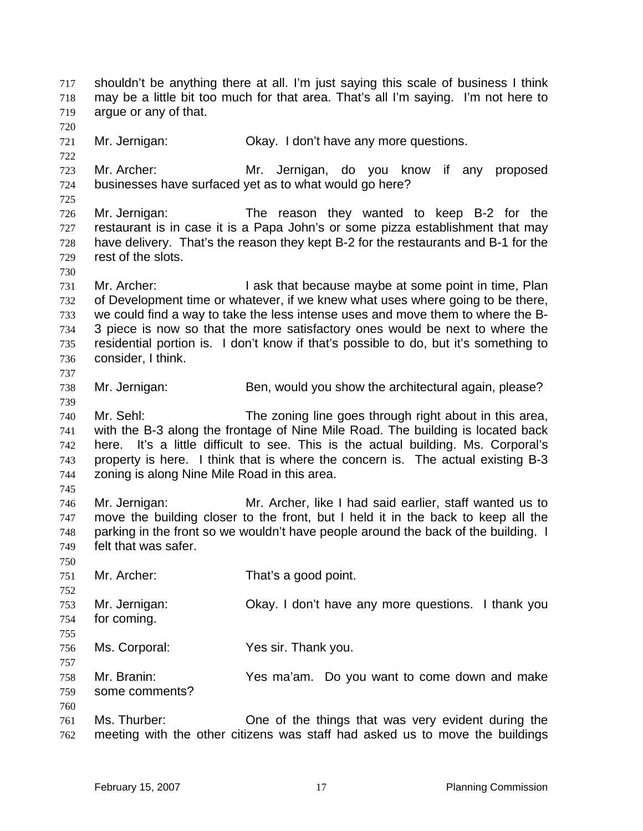shouldn't be anything there at all. I'm just saying this scale of business I think may be a little bit too much for that area. That's all I'm saying. I'm not here to argue or any of that. Mr. Jernigan: Okay. I don't have any more questions. Mr. Archer: Mr. Jernigan, do you know if any proposed businesses have surfaced yet as to what would go here? Mr. Jernigan: The reason they wanted to keep B-2 for the restaurant is in case it is a Papa John's or some pizza establishment that may have delivery. That's the reason they kept B-2 for the restaurants and B-1 for the rest of the slots. 731 Mr. Archer: I ask that because maybe at some point in time, Plan of Development time or whatever, if we knew what uses where going to be there, we could find a way to take the less intense uses and move them to where the B-3 piece is now so that the more satisfactory ones would be next to where the residential portion is. I don't know if that's possible to do, but it's something to consider, I think. Mr. Jernigan: Ben, would you show the architectural again, please? Mr. Sehl: The zoning line goes through right about in this area, with the B-3 along the frontage of Nine Mile Road. The building is located back here. It's a little difficult to see. This is the actual building. Ms. Corporal's property is here. I think that is where the concern is. The actual existing B-3 zoning is along Nine Mile Road in this area. Mr. Jernigan: Mr. Archer, like I had said earlier, staff wanted us to move the building closer to the front, but I held it in the back to keep all the parking in the front so we wouldn't have people around the back of the building. I felt that was safer. Mr. Archer: That's a good point. Mr. Jernigan: Okay. I don't have any more questions. I thank you for coming. Ms. Corporal: Yes sir. Thank you. Mr. Branin: Yes ma'am. Do you want to come down and make some comments? Ms. Thurber: One of the things that was very evident during the meeting with the other citizens was staff had asked us to move the buildings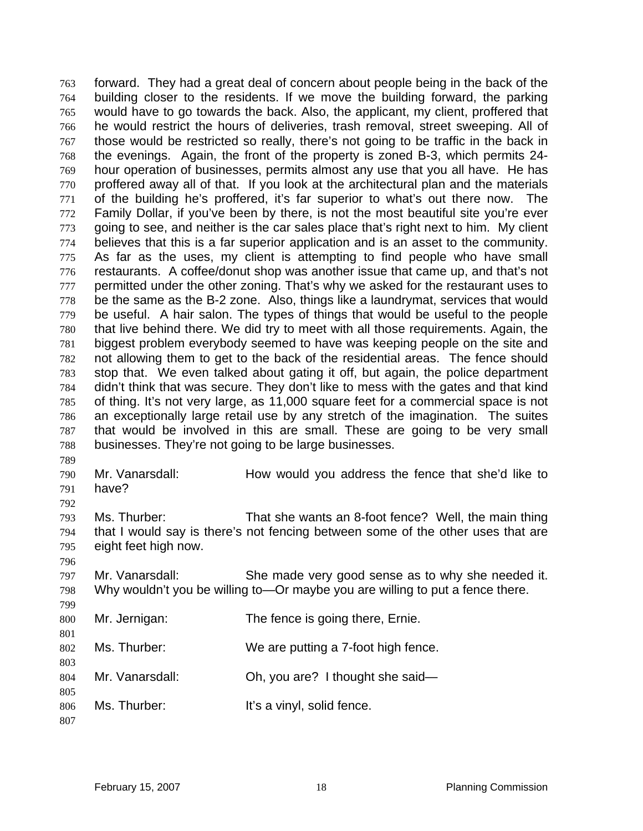forward. They had a great deal of concern about people being in the back of the building closer to the residents. If we move the building forward, the parking would have to go towards the back. Also, the applicant, my client, proffered that he would restrict the hours of deliveries, trash removal, street sweeping. All of those would be restricted so really, there's not going to be traffic in the back in the evenings. Again, the front of the property is zoned B-3, which permits 24- hour operation of businesses, permits almost any use that you all have. He has proffered away all of that. If you look at the architectural plan and the materials of the building he's proffered, it's far superior to what's out there now. The 772 Family Dollar, if you've been by there, is not the most beautiful site you're ever going to see, and neither is the car sales place that's right next to him. My client believes that this is a far superior application and is an asset to the community. As far as the uses, my client is attempting to find people who have small restaurants. A coffee/donut shop was another issue that came up, and that's not 777 permitted under the other zoning. That's why we asked for the restaurant uses to be the same as the B-2 zone. Also, things like a laundrymat, services that would be useful. A hair salon. The types of things that would be useful to the people that live behind there. We did try to meet with all those requirements. Again, the biggest problem everybody seemed to have was keeping people on the site and not allowing them to get to the back of the residential areas. The fence should stop that. We even talked about gating it off, but again, the police department didn't think that was secure. They don't like to mess with the gates and that kind of thing. It's not very large, as 11,000 square feet for a commercial space is not an exceptionally large retail use by any stretch of the imagination. The suites that would be involved in this are small. These are going to be very small businesses. They're not going to be large businesses.

Mr. Vanarsdall: How would you address the fence that she'd like to have?

Ms. Thurber: That she wants an 8-foot fence? Well, the main thing that I would say is there's not fencing between some of the other uses that are eight feet high now.

Mr. Vanarsdall: She made very good sense as to why she needed it. Why wouldn't you be willing to—Or maybe you are willing to put a fence there.

- Mr. Jernigan: The fence is going there, Ernie.
- Ms. Thurber: We are putting a 7-foot high fence.
- Mr. Vanarsdall: Oh, you are? I thought she said—
- 806 Ms. Thurber: It's a vinyl, solid fence.
-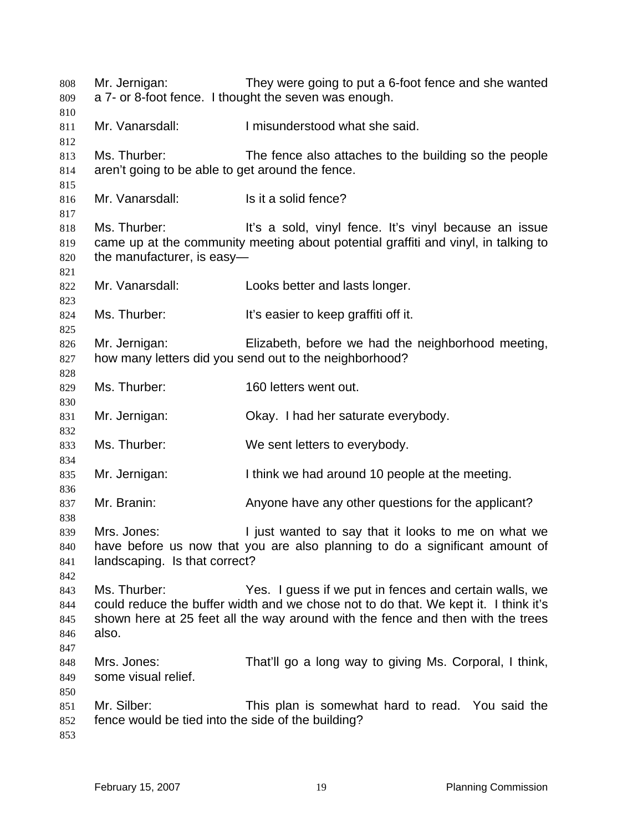| 808<br>809<br>810               | Mr. Jernigan:                                                     | They were going to put a 6-foot fence and she wanted<br>a 7- or 8-foot fence. I thought the seven was enough.                                                                                                                    |
|---------------------------------|-------------------------------------------------------------------|----------------------------------------------------------------------------------------------------------------------------------------------------------------------------------------------------------------------------------|
| 811<br>812                      | Mr. Vanarsdall:                                                   | I misunderstood what she said.                                                                                                                                                                                                   |
| 813<br>814                      | Ms. Thurber:<br>aren't going to be able to get around the fence.  | The fence also attaches to the building so the people                                                                                                                                                                            |
| 815<br>816<br>817               | Mr. Vanarsdall:                                                   | Is it a solid fence?                                                                                                                                                                                                             |
| 818<br>819<br>820<br>821        | Ms. Thurber:<br>the manufacturer, is easy-                        | It's a sold, vinyl fence. It's vinyl because an issue<br>came up at the community meeting about potential graffiti and vinyl, in talking to                                                                                      |
| 822<br>823                      | Mr. Vanarsdall:                                                   | Looks better and lasts longer.                                                                                                                                                                                                   |
| 824<br>825                      | Ms. Thurber:                                                      | It's easier to keep graffiti off it.                                                                                                                                                                                             |
| 826<br>827<br>828               | Mr. Jernigan:                                                     | Elizabeth, before we had the neighborhood meeting,<br>how many letters did you send out to the neighborhood?                                                                                                                     |
| 829<br>830                      | Ms. Thurber:                                                      | 160 letters went out.                                                                                                                                                                                                            |
| 831<br>832                      | Mr. Jernigan:                                                     | Okay. I had her saturate everybody.                                                                                                                                                                                              |
| 833<br>834                      | Ms. Thurber:                                                      | We sent letters to everybody.                                                                                                                                                                                                    |
| 835<br>836                      | Mr. Jernigan:                                                     | I think we had around 10 people at the meeting.                                                                                                                                                                                  |
| 837<br>838                      | Mr. Branin:                                                       | Anyone have any other questions for the applicant?                                                                                                                                                                               |
| 839<br>840<br>841<br>842        | Mrs. Jones:<br>landscaping. Is that correct?                      | I just wanted to say that it looks to me on what we<br>have before us now that you are also planning to do a significant amount of                                                                                               |
| 843<br>844<br>845<br>846<br>847 | Ms. Thurber:<br>also.                                             | Yes. I guess if we put in fences and certain walls, we<br>could reduce the buffer width and we chose not to do that. We kept it. I think it's<br>shown here at 25 feet all the way around with the fence and then with the trees |
| 848<br>849<br>850               | Mrs. Jones:<br>some visual relief.                                | That'll go a long way to giving Ms. Corporal, I think,                                                                                                                                                                           |
| 851<br>852<br>853               | Mr. Silber:<br>fence would be tied into the side of the building? | This plan is somewhat hard to read. You said the                                                                                                                                                                                 |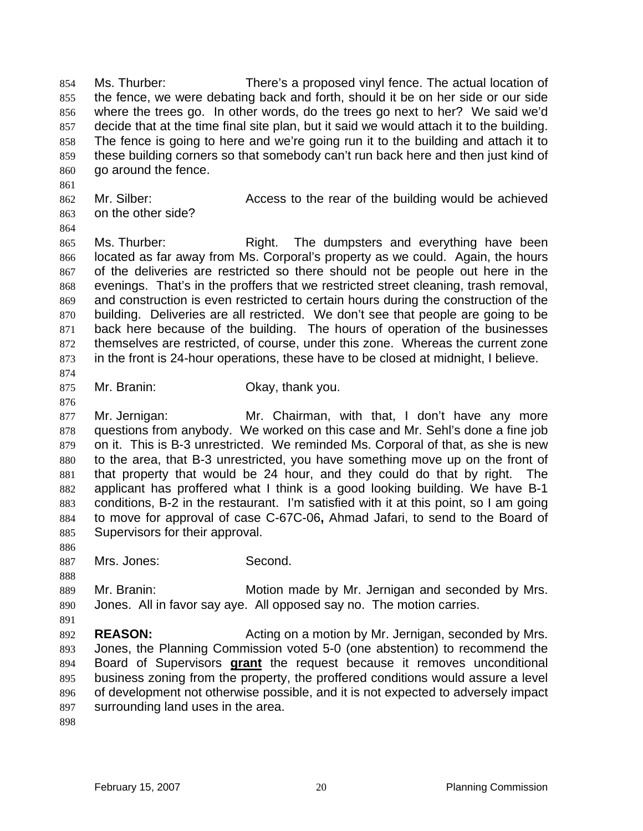Ms. Thurber: There's a proposed vinyl fence. The actual location of the fence, we were debating back and forth, should it be on her side or our side where the trees go. In other words, do the trees go next to her? We said we'd decide that at the time final site plan, but it said we would attach it to the building. The fence is going to here and we're going run it to the building and attach it to these building corners so that somebody can't run back here and then just kind of go around the fence.

- 862 Mr. Silber: Access to the rear of the building would be achieved on the other side?
- 

865 Ms. Thurber: Right. The dumpsters and everything have been located as far away from Ms. Corporal's property as we could. Again, the hours of the deliveries are restricted so there should not be people out here in the evenings. That's in the proffers that we restricted street cleaning, trash removal, and construction is even restricted to certain hours during the construction of the building. Deliveries are all restricted. We don't see that people are going to be back here because of the building. The hours of operation of the businesses themselves are restricted, of course, under this zone. Whereas the current zone in the front is 24-hour operations, these have to be closed at midnight, I believe.

Mr. Branin: Okay, thank you.

Mr. Jernigan: Mr. Chairman, with that, I don't have any more questions from anybody. We worked on this case and Mr. Sehl's done a fine job on it. This is B-3 unrestricted. We reminded Ms. Corporal of that, as she is new to the area, that B-3 unrestricted, you have something move up on the front of that property that would be 24 hour, and they could do that by right. The applicant has proffered what I think is a good looking building. We have B-1 conditions, B-2 in the restaurant. I'm satisfied with it at this point, so I am going to move for approval of case C-67C-06**,** Ahmad Jafari, to send to the Board of Supervisors for their approval.

Mrs. Jones: Second.

Mr. Branin: Motion made by Mr. Jernigan and seconded by Mrs. Jones. All in favor say aye. All opposed say no. The motion carries.

**REASON:** Acting on a motion by Mr. Jernigan, seconded by Mrs. Jones, the Planning Commission voted 5-0 (one abstention) to recommend the Board of Supervisors **grant** the request because it removes unconditional business zoning from the property, the proffered conditions would assure a level of development not otherwise possible, and it is not expected to adversely impact surrounding land uses in the area.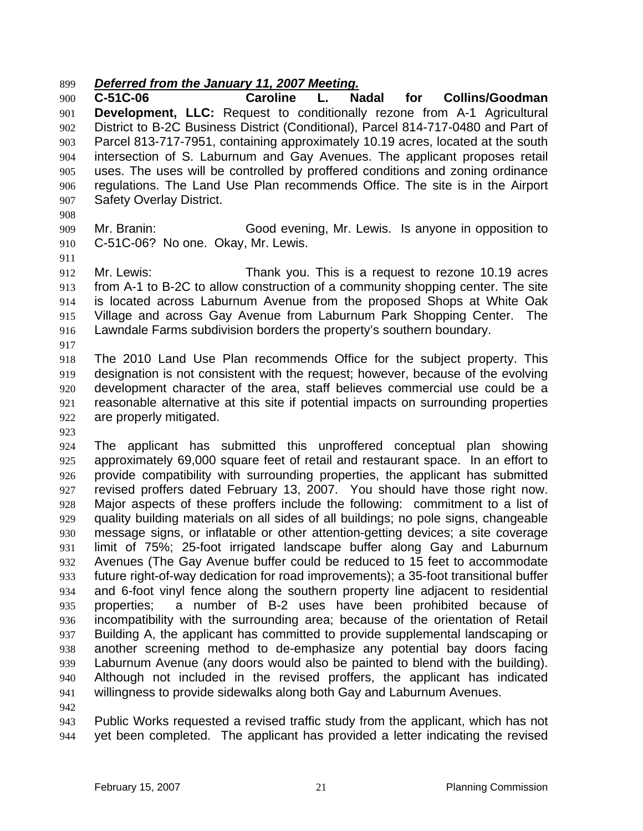#### *Deferred from the January 11, 2007 Meeting.*

**C-51C-06 Caroline L. Nadal for Collins/Goodman Development, LLC:** Request to conditionally rezone from A-1 Agricultural District to B-2C Business District (Conditional), Parcel 814-717-0480 and Part of Parcel 813-717-7951, containing approximately 10.19 acres, located at the south intersection of S. Laburnum and Gay Avenues. The applicant proposes retail uses. The uses will be controlled by proffered conditions and zoning ordinance regulations. The Land Use Plan recommends Office. The site is in the Airport Safety Overlay District.

Mr. Branin: Good evening, Mr. Lewis. Is anyone in opposition to C-51C-06? No one. Okay, Mr. Lewis.

Mr. Lewis: Thank you. This is a request to rezone 10.19 acres from A-1 to B-2C to allow construction of a community shopping center. The site is located across Laburnum Avenue from the proposed Shops at White Oak Village and across Gay Avenue from Laburnum Park Shopping Center. The Lawndale Farms subdivision borders the property's southern boundary.

The 2010 Land Use Plan recommends Office for the subject property. This designation is not consistent with the request; however, because of the evolving development character of the area, staff believes commercial use could be a reasonable alternative at this site if potential impacts on surrounding properties are properly mitigated.

The applicant has submitted this unproffered conceptual plan showing approximately 69,000 square feet of retail and restaurant space. In an effort to provide compatibility with surrounding properties, the applicant has submitted revised proffers dated February 13, 2007. You should have those right now. Major aspects of these proffers include the following: commitment to a list of quality building materials on all sides of all buildings; no pole signs, changeable message signs, or inflatable or other attention-getting devices; a site coverage limit of 75%; 25-foot irrigated landscape buffer along Gay and Laburnum Avenues (The Gay Avenue buffer could be reduced to 15 feet to accommodate future right-of-way dedication for road improvements); a 35-foot transitional buffer and 6-foot vinyl fence along the southern property line adjacent to residential properties; a number of B-2 uses have been prohibited because of incompatibility with the surrounding area; because of the orientation of Retail Building A, the applicant has committed to provide supplemental landscaping or another screening method to de-emphasize any potential bay doors facing Laburnum Avenue (any doors would also be painted to blend with the building). Although not included in the revised proffers, the applicant has indicated willingness to provide sidewalks along both Gay and Laburnum Avenues.

Public Works requested a revised traffic study from the applicant, which has not yet been completed. The applicant has provided a letter indicating the revised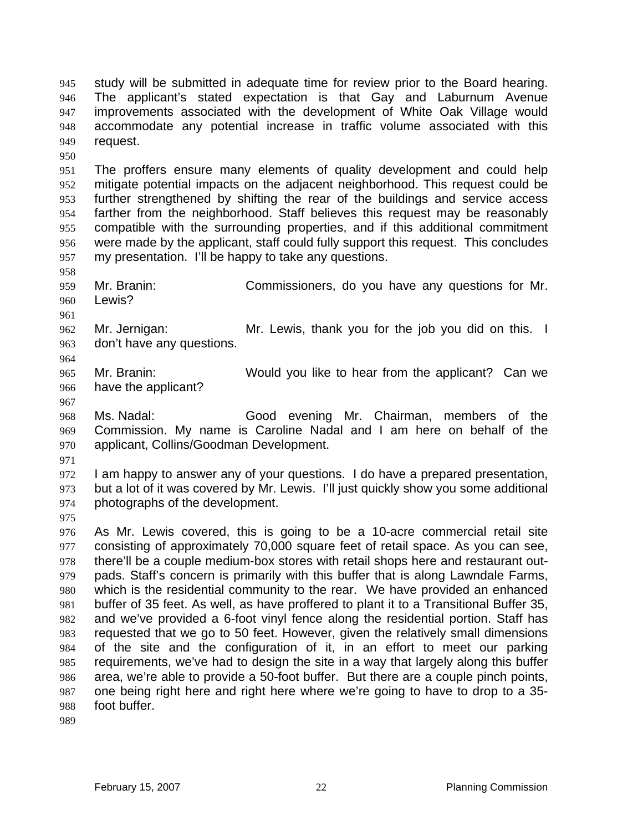study will be submitted in adequate time for review prior to the Board hearing. The applicant's stated expectation is that Gay and Laburnum Avenue improvements associated with the development of White Oak Village would accommodate any potential increase in traffic volume associated with this request.

The proffers ensure many elements of quality development and could help mitigate potential impacts on the adjacent neighborhood. This request could be further strengthened by shifting the rear of the buildings and service access farther from the neighborhood. Staff believes this request may be reasonably compatible with the surrounding properties, and if this additional commitment were made by the applicant, staff could fully support this request. This concludes my presentation. I'll be happy to take any questions.

- Mr. Branin: Commissioners, do you have any questions for Mr. Lewis?
- 

Mr. Jernigan: Mr. Lewis, thank you for the job you did on this. I don't have any questions.

Mr. Branin: Would you like to hear from the applicant? Can we have the applicant?

Ms. Nadal: Good evening Mr. Chairman, members of the Commission. My name is Caroline Nadal and I am here on behalf of the applicant, Collins/Goodman Development.

I am happy to answer any of your questions. I do have a prepared presentation, but a lot of it was covered by Mr. Lewis. I'll just quickly show you some additional photographs of the development.

As Mr. Lewis covered, this is going to be a 10-acre commercial retail site consisting of approximately 70,000 square feet of retail space. As you can see, there'll be a couple medium-box stores with retail shops here and restaurant out-pads. Staff's concern is primarily with this buffer that is along Lawndale Farms, which is the residential community to the rear. We have provided an enhanced buffer of 35 feet. As well, as have proffered to plant it to a Transitional Buffer 35, and we've provided a 6-foot vinyl fence along the residential portion. Staff has requested that we go to 50 feet. However, given the relatively small dimensions of the site and the configuration of it, in an effort to meet our parking requirements, we've had to design the site in a way that largely along this buffer area, we're able to provide a 50-foot buffer. But there are a couple pinch points, one being right here and right here where we're going to have to drop to a 35- foot buffer.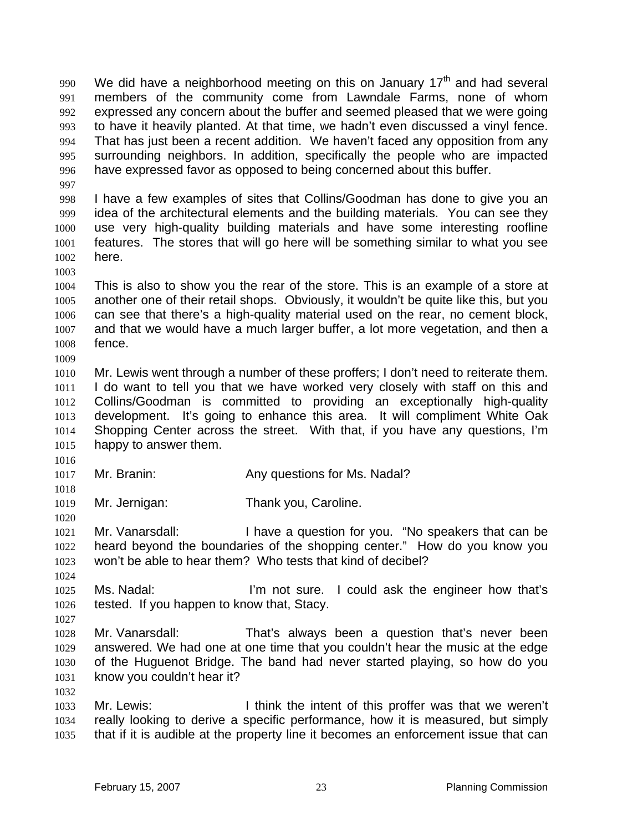990 We did have a neighborhood meeting on this on January  $17<sup>th</sup>$  and had several members of the community come from Lawndale Farms, none of whom expressed any concern about the buffer and seemed pleased that we were going to have it heavily planted. At that time, we hadn't even discussed a vinyl fence. That has just been a recent addition. We haven't faced any opposition from any surrounding neighbors. In addition, specifically the people who are impacted have expressed favor as opposed to being concerned about this buffer.

I have a few examples of sites that Collins/Goodman has done to give you an idea of the architectural elements and the building materials. You can see they use very high-quality building materials and have some interesting roofline features. The stores that will go here will be something similar to what you see here.

This is also to show you the rear of the store. This is an example of a store at another one of their retail shops. Obviously, it wouldn't be quite like this, but you can see that there's a high-quality material used on the rear, no cement block, and that we would have a much larger buffer, a lot more vegetation, and then a fence. 

Mr. Lewis went through a number of these proffers; I don't need to reiterate them. I do want to tell you that we have worked very closely with staff on this and Collins/Goodman is committed to providing an exceptionally high-quality development. It's going to enhance this area. It will compliment White Oak Shopping Center across the street. With that, if you have any questions, I'm happy to answer them.

1017 Mr. Branin: Any questions for Ms. Nadal?

Mr. Jernigan: Thank you, Caroline.

1021 Mr. Vanarsdall: I have a question for you. "No speakers that can be heard beyond the boundaries of the shopping center." How do you know you won't be able to hear them? Who tests that kind of decibel?

Ms. Nadal: I'm not sure. I could ask the engineer how that's tested. If you happen to know that, Stacy.

Mr. Vanarsdall: That's always been a question that's never been answered. We had one at one time that you couldn't hear the music at the edge of the Huguenot Bridge. The band had never started playing, so how do you know you couldn't hear it?

Mr. Lewis: I think the intent of this proffer was that we weren't really looking to derive a specific performance, how it is measured, but simply that if it is audible at the property line it becomes an enforcement issue that can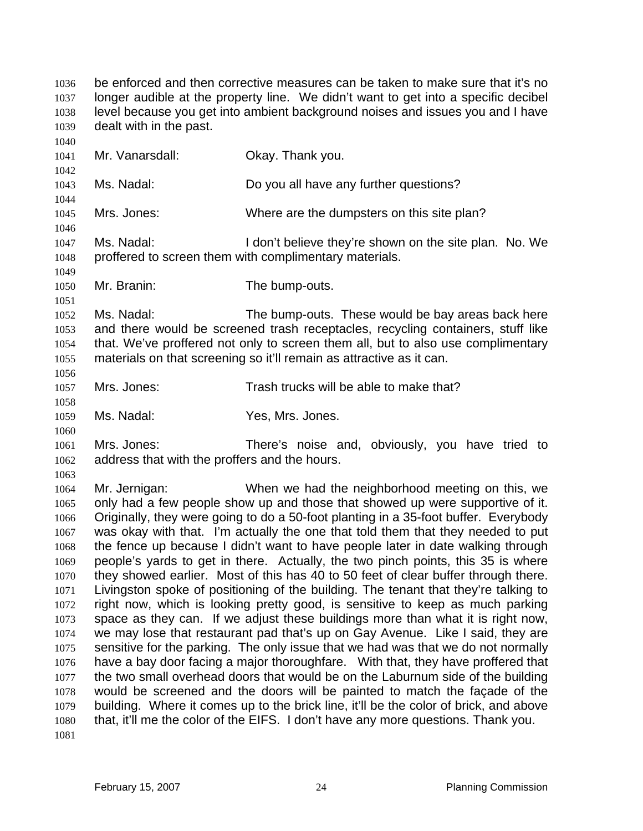be enforced and then corrective measures can be taken to make sure that it's no longer audible at the property line. We didn't want to get into a specific decibel level because you get into ambient background noises and issues you and I have dealt with in the past. Mr. Vanarsdall: Okay. Thank you. Ms. Nadal: Do you all have any further questions? Mrs. Jones: Where are the dumpsters on this site plan? 1047 Ms. Nadal: I don't believe they're shown on the site plan. No. We proffered to screen them with complimentary materials. Mr. Branin: The bump-outs. Ms. Nadal: The bump-outs. These would be bay areas back here and there would be screened trash receptacles, recycling containers, stuff like that. We've proffered not only to screen them all, but to also use complimentary materials on that screening so it'll remain as attractive as it can. Mrs. Jones: Trash trucks will be able to make that? Ms. Nadal: Yes, Mrs. Jones. Mrs. Jones: There's noise and, obviously, you have tried to address that with the proffers and the hours. Mr. Jernigan: When we had the neighborhood meeting on this, we only had a few people show up and those that showed up were supportive of it. Originally, they were going to do a 50-foot planting in a 35-foot buffer. Everybody was okay with that. I'm actually the one that told them that they needed to put the fence up because I didn't want to have people later in date walking through people's yards to get in there. Actually, the two pinch points, this 35 is where they showed earlier. Most of this has 40 to 50 feet of clear buffer through there. Livingston spoke of positioning of the building. The tenant that they're talking to right now, which is looking pretty good, is sensitive to keep as much parking space as they can. If we adjust these buildings more than what it is right now, we may lose that restaurant pad that's up on Gay Avenue. Like I said, they are sensitive for the parking. The only issue that we had was that we do not normally have a bay door facing a major thoroughfare. With that, they have proffered that the two small overhead doors that would be on the Laburnum side of the building would be screened and the doors will be painted to match the façade of the building. Where it comes up to the brick line, it'll be the color of brick, and above that, it'll me the color of the EIFS. I don't have any more questions. Thank you.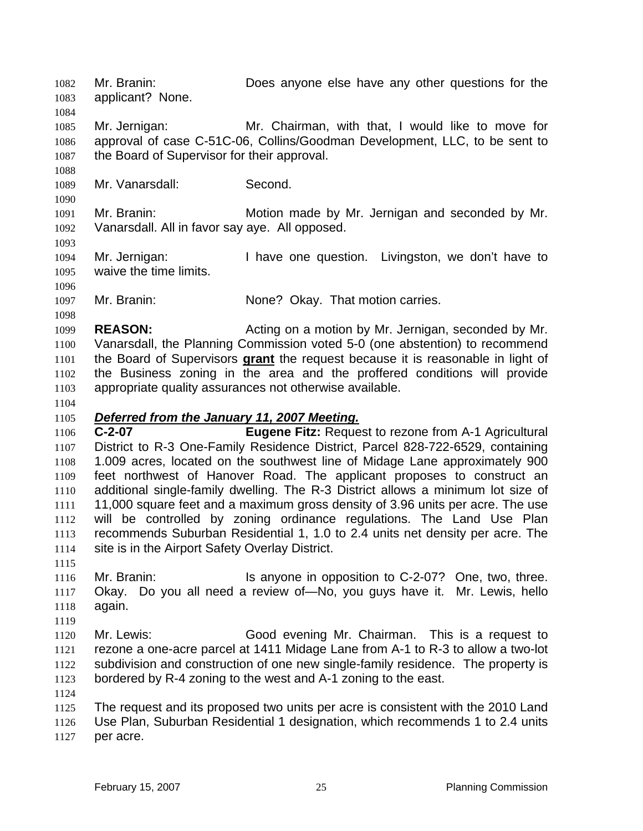Mr. Branin: Does anyone else have any other questions for the applicant? None. 

Mr. Jernigan: Mr. Chairman, with that, I would like to move for approval of case C-51C-06, Collins/Goodman Development, LLC, to be sent to 1087 the Board of Supervisor for their approval.

Mr. Vanarsdall: Second.

Mr. Branin: Motion made by Mr. Jernigan and seconded by Mr. Vanarsdall. All in favor say aye. All opposed.

Mr. Jernigan: I have one question. Livingston, we don't have to waive the time limits.

Mr. Branin: None? Okay. That motion carries.

**REASON:** Acting on a motion by Mr. Jernigan, seconded by Mr. Vanarsdall, the Planning Commission voted 5-0 (one abstention) to recommend the Board of Supervisors **grant** the request because it is reasonable in light of the Business zoning in the area and the proffered conditions will provide appropriate quality assurances not otherwise available.

# *Deferred from the January 11, 2007 Meeting.*

**C-2-07 Eugene Fitz:** Request to rezone from A-1 Agricultural District to R-3 One-Family Residence District, Parcel 828-722-6529, containing 1.009 acres, located on the southwest line of Midage Lane approximately 900 feet northwest of Hanover Road. The applicant proposes to construct an additional single-family dwelling. The R-3 District allows a minimum lot size of 11,000 square feet and a maximum gross density of 3.96 units per acre. The use will be controlled by zoning ordinance regulations. The Land Use Plan recommends Suburban Residential 1, 1.0 to 2.4 units net density per acre. The site is in the Airport Safety Overlay District.

1116 Mr. Branin: Is anyone in opposition to C-2-07? One, two, three. Okay. Do you all need a review of—No, you guys have it. Mr. Lewis, hello again.

Mr. Lewis: Good evening Mr. Chairman. This is a request to rezone a one-acre parcel at 1411 Midage Lane from A-1 to R-3 to allow a two-lot subdivision and construction of one new single-family residence. The property is bordered by R-4 zoning to the west and A-1 zoning to the east.

The request and its proposed two units per acre is consistent with the 2010 Land Use Plan, Suburban Residential 1 designation, which recommends 1 to 2.4 units per acre.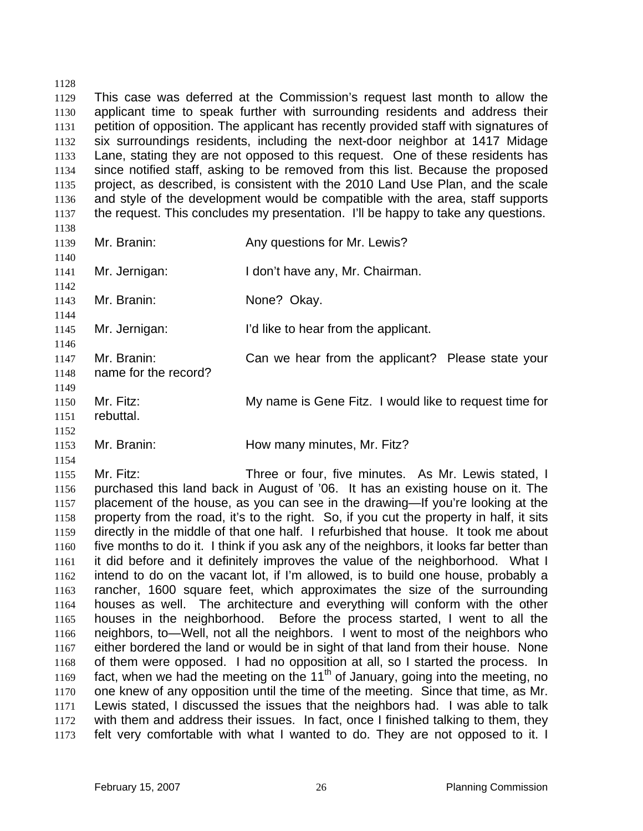This case was deferred at the Commission's request last month to allow the applicant time to speak further with surrounding residents and address their petition of opposition. The applicant has recently provided staff with signatures of six surroundings residents, including the next-door neighbor at 1417 Midage Lane, stating they are not opposed to this request. One of these residents has since notified staff, asking to be removed from this list. Because the proposed project, as described, is consistent with the 2010 Land Use Plan, and the scale and style of the development would be compatible with the area, staff supports the request. This concludes my presentation. I'll be happy to take any questions. 

Mr. Branin: Any questions for Mr. Lewis? 

Mr. Jernigan: I don't have any, Mr. Chairman. 

Mr. Branin: None? Okay.

Mr. Jernigan: I'd like to hear from the applicant.

Mr. Branin: Can we hear from the applicant? Please state your name for the record?

- 
- Mr. Fitz: My name is Gene Fitz. I would like to request time for
- rebuttal.

Mr. Branin: How many minutes, Mr. Fitz?

Mr. Fitz: Three or four, five minutes. As Mr. Lewis stated, I purchased this land back in August of '06. It has an existing house on it. The placement of the house, as you can see in the drawing—If you're looking at the property from the road, it's to the right. So, if you cut the property in half, it sits directly in the middle of that one half. I refurbished that house. It took me about five months to do it. I think if you ask any of the neighbors, it looks far better than it did before and it definitely improves the value of the neighborhood. What I intend to do on the vacant lot, if I'm allowed, is to build one house, probably a rancher, 1600 square feet, which approximates the size of the surrounding houses as well. The architecture and everything will conform with the other houses in the neighborhood. Before the process started, I went to all the neighbors, to—Well, not all the neighbors. I went to most of the neighbors who either bordered the land or would be in sight of that land from their house. None of them were opposed. I had no opposition at all, so I started the process. In 1169 fact, when we had the meeting on the 11<sup>th</sup> of January, going into the meeting, no one knew of any opposition until the time of the meeting. Since that time, as Mr. Lewis stated, I discussed the issues that the neighbors had. I was able to talk with them and address their issues. In fact, once I finished talking to them, they felt very comfortable with what I wanted to do. They are not opposed to it. I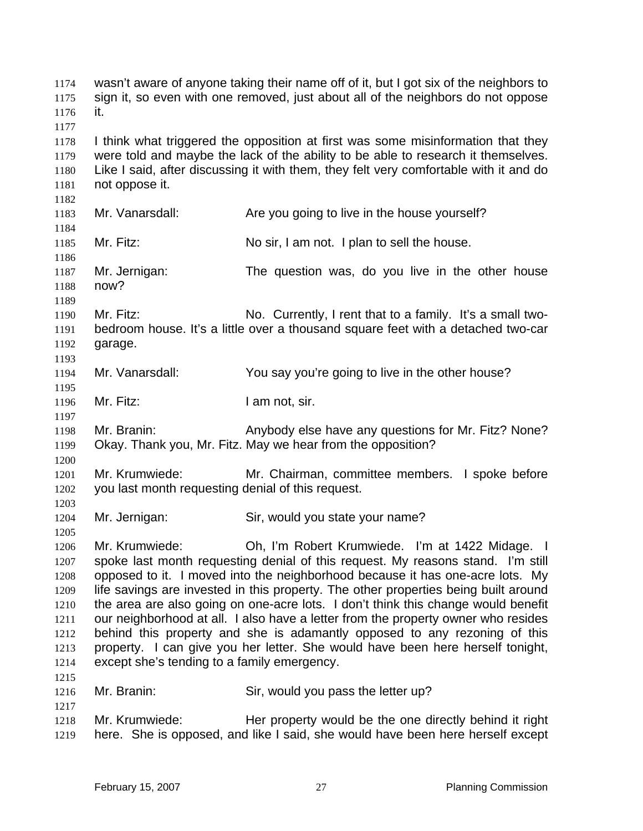wasn't aware of anyone taking their name off of it, but I got six of the neighbors to sign it, so even with one removed, just about all of the neighbors do not oppose it. I think what triggered the opposition at first was some misinformation that they were told and maybe the lack of the ability to be able to research it themselves. Like I said, after discussing it with them, they felt very comfortable with it and do not oppose it. 1183 Mr. Vanarsdall: Are you going to live in the house yourself? 1185 Mr. Fitz: No sir, I am not. I plan to sell the house. Mr. Jernigan: The question was, do you live in the other house now? Mr. Fitz: No. Currently, I rent that to a family. It's a small two-bedroom house. It's a little over a thousand square feet with a detached two-car garage. Mr. Vanarsdall: You say you're going to live in the other house? 1196 Mr. Fitz: I am not, sir. Mr. Branin: Anybody else have any questions for Mr. Fitz? None? Okay. Thank you, Mr. Fitz. May we hear from the opposition? Mr. Krumwiede: Mr. Chairman, committee members. I spoke before you last month requesting denial of this request. Mr. Jernigan: Sir, would you state your name? Mr. Krumwiede: Oh, I'm Robert Krumwiede. I'm at 1422 Midage. I spoke last month requesting denial of this request. My reasons stand. I'm still 1208 opposed to it. I moved into the neighborhood because it has one-acre lots. My life savings are invested in this property. The other properties being built around the area are also going on one-acre lots. I don't think this change would benefit our neighborhood at all. I also have a letter from the property owner who resides behind this property and she is adamantly opposed to any rezoning of this property. I can give you her letter. She would have been here herself tonight, except she's tending to a family emergency. 1216 Mr. Branin: Sir, would you pass the letter up? Mr. Krumwiede: Her property would be the one directly behind it right here. She is opposed, and like I said, she would have been here herself except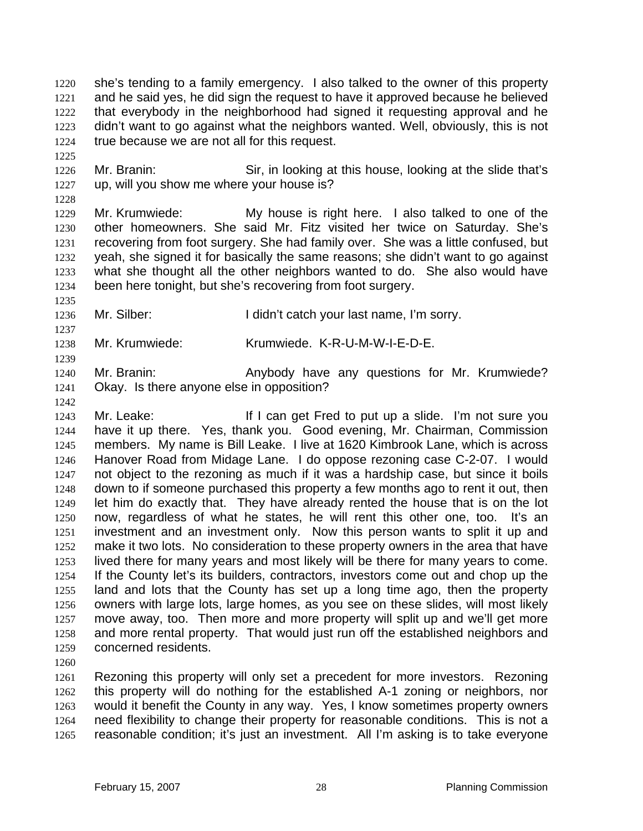she's tending to a family emergency. I also talked to the owner of this property and he said yes, he did sign the request to have it approved because he believed that everybody in the neighborhood had signed it requesting approval and he didn't want to go against what the neighbors wanted. Well, obviously, this is not true because we are not all for this request.

Mr. Branin: Sir, in looking at this house, looking at the slide that's up, will you show me where your house is?

Mr. Krumwiede: My house is right here. I also talked to one of the other homeowners. She said Mr. Fitz visited her twice on Saturday. She's recovering from foot surgery. She had family over. She was a little confused, but yeah, she signed it for basically the same reasons; she didn't want to go against what she thought all the other neighbors wanted to do. She also would have been here tonight, but she's recovering from foot surgery.

1236 Mr. Silber: I didn't catch your last name, I'm sorry.

Mr. Krumwiede: Krumwiede. K-R-U-M-W-I-E-D-E.

Mr. Branin: Anybody have any questions for Mr. Krumwiede? Okay. Is there anyone else in opposition?

1243 Mr. Leake: If I can get Fred to put up a slide. I'm not sure you have it up there. Yes, thank you. Good evening, Mr. Chairman, Commission members. My name is Bill Leake. I live at 1620 Kimbrook Lane, which is across Hanover Road from Midage Lane. I do oppose rezoning case C-2-07. I would not object to the rezoning as much if it was a hardship case, but since it boils down to if someone purchased this property a few months ago to rent it out, then let him do exactly that. They have already rented the house that is on the lot now, regardless of what he states, he will rent this other one, too. It's an investment and an investment only. Now this person wants to split it up and make it two lots. No consideration to these property owners in the area that have lived there for many years and most likely will be there for many years to come. If the County let's its builders, contractors, investors come out and chop up the land and lots that the County has set up a long time ago, then the property owners with large lots, large homes, as you see on these slides, will most likely move away, too. Then more and more property will split up and we'll get more and more rental property. That would just run off the established neighbors and concerned residents.

Rezoning this property will only set a precedent for more investors. Rezoning this property will do nothing for the established A-1 zoning or neighbors, nor would it benefit the County in any way. Yes, I know sometimes property owners need flexibility to change their property for reasonable conditions. This is not a reasonable condition; it's just an investment. All I'm asking is to take everyone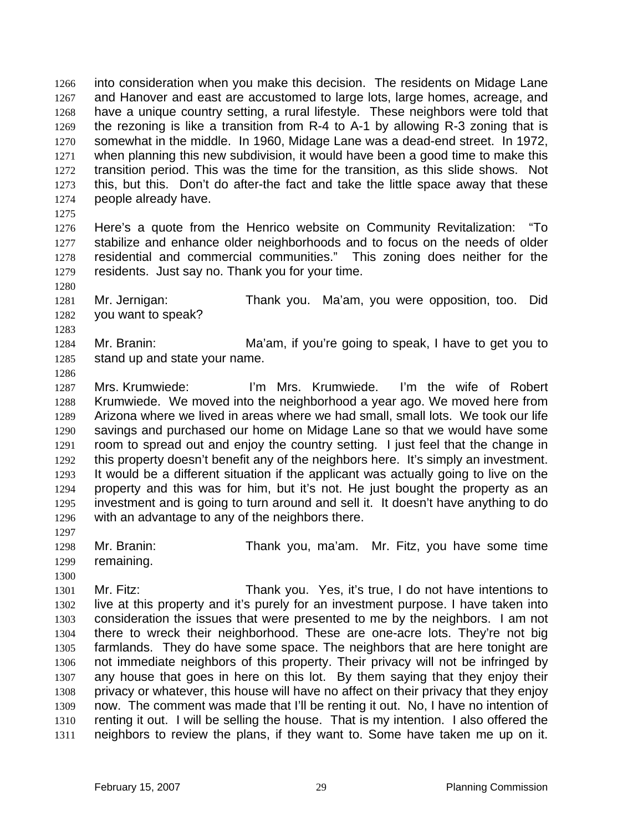into consideration when you make this decision. The residents on Midage Lane and Hanover and east are accustomed to large lots, large homes, acreage, and have a unique country setting, a rural lifestyle. These neighbors were told that the rezoning is like a transition from R-4 to A-1 by allowing R-3 zoning that is somewhat in the middle. In 1960, Midage Lane was a dead-end street. In 1972, when planning this new subdivision, it would have been a good time to make this transition period. This was the time for the transition, as this slide shows. Not this, but this. Don't do after-the fact and take the little space away that these people already have.

Here's a quote from the Henrico website on Community Revitalization: "To stabilize and enhance older neighborhoods and to focus on the needs of older residential and commercial communities." This zoning does neither for the residents. Just say no. Thank you for your time.

Mr. Jernigan: Thank you. Ma'am, you were opposition, too. Did you want to speak?

Mr. Branin: Ma'am, if you're going to speak, I have to get you to stand up and state your name.

Mrs. Krumwiede: I'm Mrs. Krumwiede. I'm the wife of Robert Krumwiede. We moved into the neighborhood a year ago. We moved here from Arizona where we lived in areas where we had small, small lots. We took our life savings and purchased our home on Midage Lane so that we would have some room to spread out and enjoy the country setting. I just feel that the change in this property doesn't benefit any of the neighbors here. It's simply an investment. It would be a different situation if the applicant was actually going to live on the property and this was for him, but it's not. He just bought the property as an investment and is going to turn around and sell it. It doesn't have anything to do with an advantage to any of the neighbors there.

Mr. Branin: Thank you, ma'am. Mr. Fitz, you have some time remaining.

Mr. Fitz: Thank you. Yes, it's true, I do not have intentions to live at this property and it's purely for an investment purpose. I have taken into consideration the issues that were presented to me by the neighbors. I am not there to wreck their neighborhood. These are one-acre lots. They're not big farmlands. They do have some space. The neighbors that are here tonight are not immediate neighbors of this property. Their privacy will not be infringed by any house that goes in here on this lot. By them saying that they enjoy their privacy or whatever, this house will have no affect on their privacy that they enjoy now. The comment was made that I'll be renting it out. No, I have no intention of renting it out. I will be selling the house. That is my intention. I also offered the neighbors to review the plans, if they want to. Some have taken me up on it.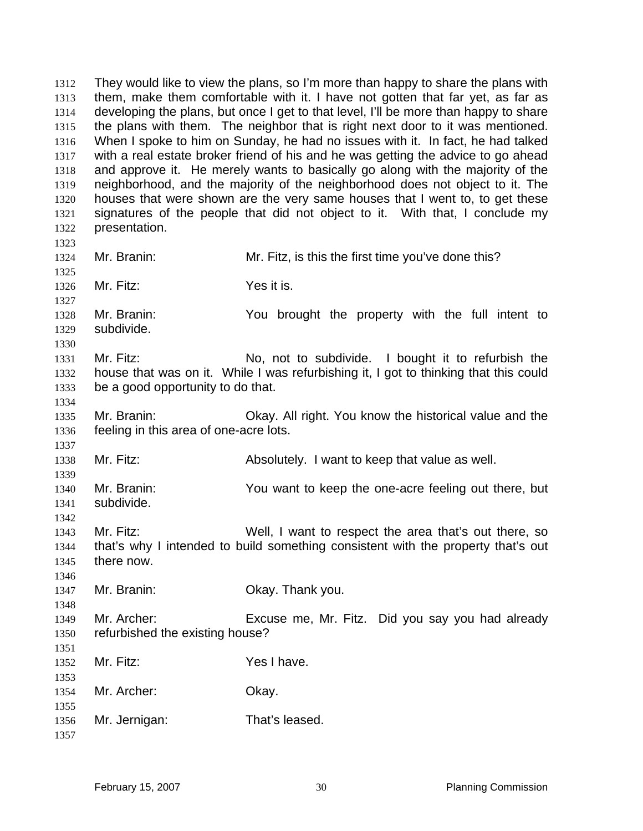They would like to view the plans, so I'm more than happy to share the plans with them, make them comfortable with it. I have not gotten that far yet, as far as developing the plans, but once I get to that level, I'll be more than happy to share the plans with them. The neighbor that is right next door to it was mentioned. When I spoke to him on Sunday, he had no issues with it. In fact, he had talked with a real estate broker friend of his and he was getting the advice to go ahead and approve it. He merely wants to basically go along with the majority of the neighborhood, and the majority of the neighborhood does not object to it. The houses that were shown are the very same houses that I went to, to get these signatures of the people that did not object to it. With that, I conclude my presentation. Mr. Branin: Mr. Fitz, is this the first time you've done this? Mr. Fitz: Yes it is. Mr. Branin: You brought the property with the full intent to subdivide. 1331 Mr. Fitz: No, not to subdivide. I bought it to refurbish the house that was on it. While I was refurbishing it, I got to thinking that this could be a good opportunity to do that. Mr. Branin: Okay. All right. You know the historical value and the feeling in this area of one-acre lots. Mr. Fitz: Absolutely. I want to keep that value as well. Mr. Branin: You want to keep the one-acre feeling out there, but subdivide. Mr. Fitz: Well, I want to respect the area that's out there, so that's why I intended to build something consistent with the property that's out there now. Mr. Branin: Okay. Thank you. Mr. Archer: Excuse me, Mr. Fitz. Did you say you had already refurbished the existing house? Mr. Fitz: Yes I have. Mr. Archer: Okay. Mr. Jernigan: That's leased.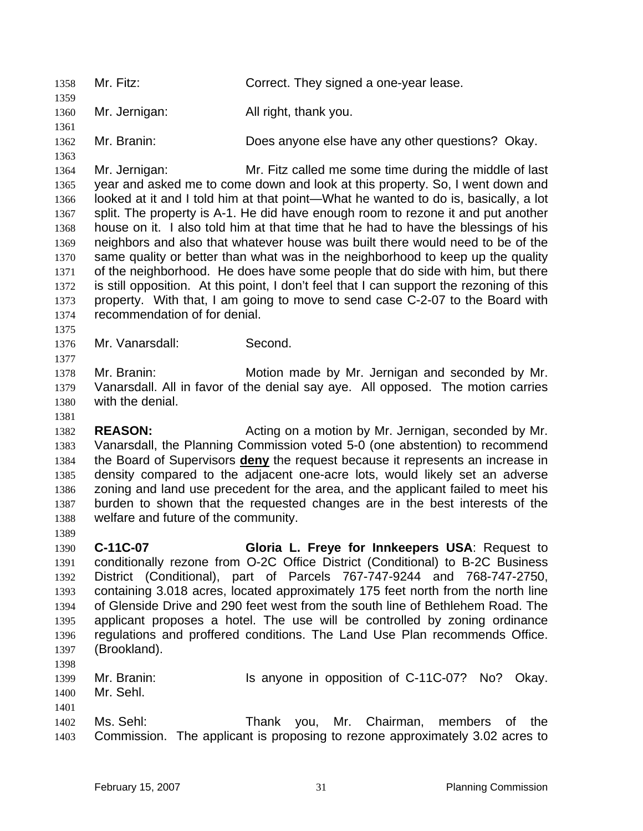Mr. Fitz: Correct. They signed a one-year lease. Mr. Jernigan: All right, thank you. Mr. Branin: Does anyone else have any other questions? Okay. Mr. Jernigan: Mr. Fitz called me some time during the middle of last year and asked me to come down and look at this property. So, I went down and looked at it and I told him at that point—What he wanted to do is, basically, a lot 1367 split. The property is A-1. He did have enough room to rezone it and put another house on it. I also told him at that time that he had to have the blessings of his neighbors and also that whatever house was built there would need to be of the same quality or better than what was in the neighborhood to keep up the quality of the neighborhood. He does have some people that do side with him, but there is still opposition. At this point, I don't feel that I can support the rezoning of this property. With that, I am going to move to send case C-2-07 to the Board with recommendation of for denial. Mr. Vanarsdall: Second. Mr. Branin: Motion made by Mr. Jernigan and seconded by Mr. Vanarsdall. All in favor of the denial say aye. All opposed. The motion carries with the denial. **REASON:** Acting on a motion by Mr. Jernigan, seconded by Mr. Vanarsdall, the Planning Commission voted 5-0 (one abstention) to recommend the Board of Supervisors **deny** the request because it represents an increase in density compared to the adjacent one-acre lots, would likely set an adverse zoning and land use precedent for the area, and the applicant failed to meet his burden to shown that the requested changes are in the best interests of the welfare and future of the community. **C-11C-07 Gloria L. Freye for Innkeepers USA**: Request to conditionally rezone from O-2C Office District (Conditional) to B-2C Business District (Conditional), part of Parcels 767-747-9244 and 768-747-2750, containing 3.018 acres, located approximately 175 feet north from the north line of Glenside Drive and 290 feet west from the south line of Bethlehem Road. The applicant proposes a hotel. The use will be controlled by zoning ordinance regulations and proffered conditions. The Land Use Plan recommends Office. (Brookland). 1399 Mr. Branin: Is anyone in opposition of C-11C-07? No? Okay. Mr. Sehl. Ms. Sehl: Thank you, Mr. Chairman, members of the Commission. The applicant is proposing to rezone approximately 3.02 acres to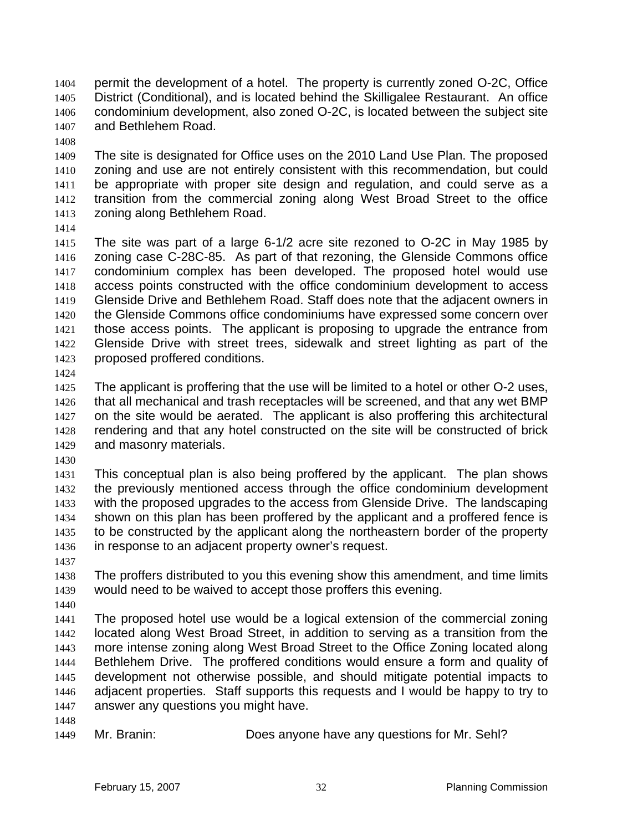permit the development of a hotel. The property is currently zoned O-2C, Office District (Conditional), and is located behind the Skilligalee Restaurant. An office condominium development, also zoned O-2C, is located between the subject site and Bethlehem Road.

The site is designated for Office uses on the 2010 Land Use Plan. The proposed zoning and use are not entirely consistent with this recommendation, but could be appropriate with proper site design and regulation, and could serve as a transition from the commercial zoning along West Broad Street to the office zoning along Bethlehem Road.

The site was part of a large 6-1/2 acre site rezoned to O-2C in May 1985 by zoning case C-28C-85. As part of that rezoning, the Glenside Commons office condominium complex has been developed. The proposed hotel would use access points constructed with the office condominium development to access Glenside Drive and Bethlehem Road. Staff does note that the adjacent owners in the Glenside Commons office condominiums have expressed some concern over those access points. The applicant is proposing to upgrade the entrance from Glenside Drive with street trees, sidewalk and street lighting as part of the proposed proffered conditions.

The applicant is proffering that the use will be limited to a hotel or other O-2 uses, that all mechanical and trash receptacles will be screened, and that any wet BMP on the site would be aerated. The applicant is also proffering this architectural rendering and that any hotel constructed on the site will be constructed of brick and masonry materials.

This conceptual plan is also being proffered by the applicant. The plan shows the previously mentioned access through the office condominium development with the proposed upgrades to the access from Glenside Drive. The landscaping shown on this plan has been proffered by the applicant and a proffered fence is to be constructed by the applicant along the northeastern border of the property in response to an adjacent property owner's request.

The proffers distributed to you this evening show this amendment, and time limits would need to be waived to accept those proffers this evening.

The proposed hotel use would be a logical extension of the commercial zoning located along West Broad Street, in addition to serving as a transition from the more intense zoning along West Broad Street to the Office Zoning located along Bethlehem Drive. The proffered conditions would ensure a form and quality of development not otherwise possible, and should mitigate potential impacts to adjacent properties. Staff supports this requests and I would be happy to try to answer any questions you might have.

Mr. Branin: Does anyone have any questions for Mr. Sehl?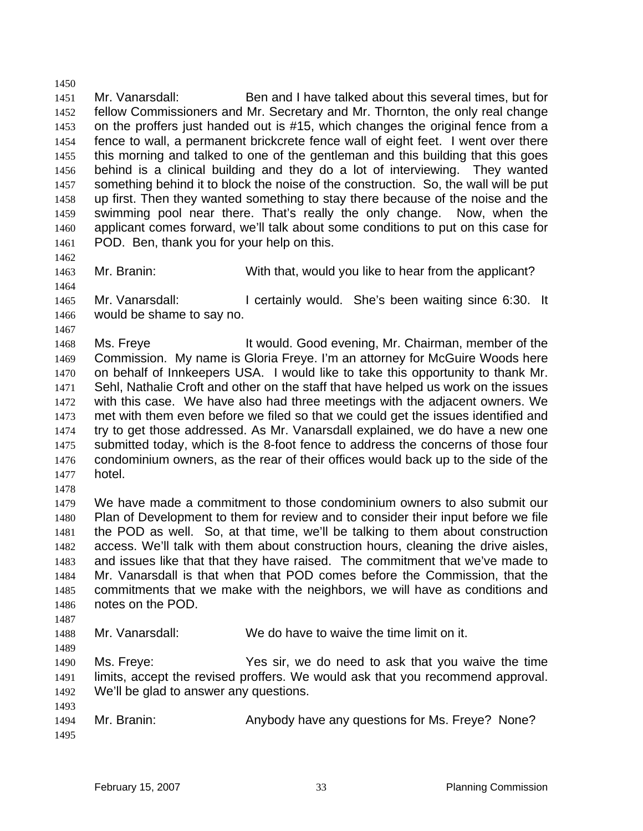Mr. Vanarsdall: Ben and I have talked about this several times, but for fellow Commissioners and Mr. Secretary and Mr. Thornton, the only real change on the proffers just handed out is #15, which changes the original fence from a fence to wall, a permanent brickcrete fence wall of eight feet. I went over there this morning and talked to one of the gentleman and this building that this goes behind is a clinical building and they do a lot of interviewing. They wanted 1457 something behind it to block the noise of the construction. So, the wall will be put up first. Then they wanted something to stay there because of the noise and the swimming pool near there. That's really the only change. Now, when the applicant comes forward, we'll talk about some conditions to put on this case for POD. Ben, thank you for your help on this. 

Mr. Branin: With that, would you like to hear from the applicant?

1465 Mr. Vanarsdall: I certainly would. She's been waiting since 6:30. It would be shame to say no.

- 
- 1468 Ms. Freye It would. Good evening, Mr. Chairman, member of the Commission. My name is Gloria Freye. I'm an attorney for McGuire Woods here on behalf of Innkeepers USA. I would like to take this opportunity to thank Mr. Sehl, Nathalie Croft and other on the staff that have helped us work on the issues with this case. We have also had three meetings with the adjacent owners. We met with them even before we filed so that we could get the issues identified and try to get those addressed. As Mr. Vanarsdall explained, we do have a new one submitted today, which is the 8-foot fence to address the concerns of those four condominium owners, as the rear of their offices would back up to the side of the hotel.
- 

We have made a commitment to those condominium owners to also submit our Plan of Development to them for review and to consider their input before we file the POD as well. So, at that time, we'll be talking to them about construction access. We'll talk with them about construction hours, cleaning the drive aisles, and issues like that that they have raised. The commitment that we've made to Mr. Vanarsdall is that when that POD comes before the Commission, that the commitments that we make with the neighbors, we will have as conditions and notes on the POD.

Mr. Vanarsdall: We do have to waive the time limit on it.

Ms. Freye: Yes sir, we do need to ask that you waive the time limits, accept the revised proffers. We would ask that you recommend approval. We'll be glad to answer any questions.

 Mr. Branin: Anybody have any questions for Ms. Freye? None?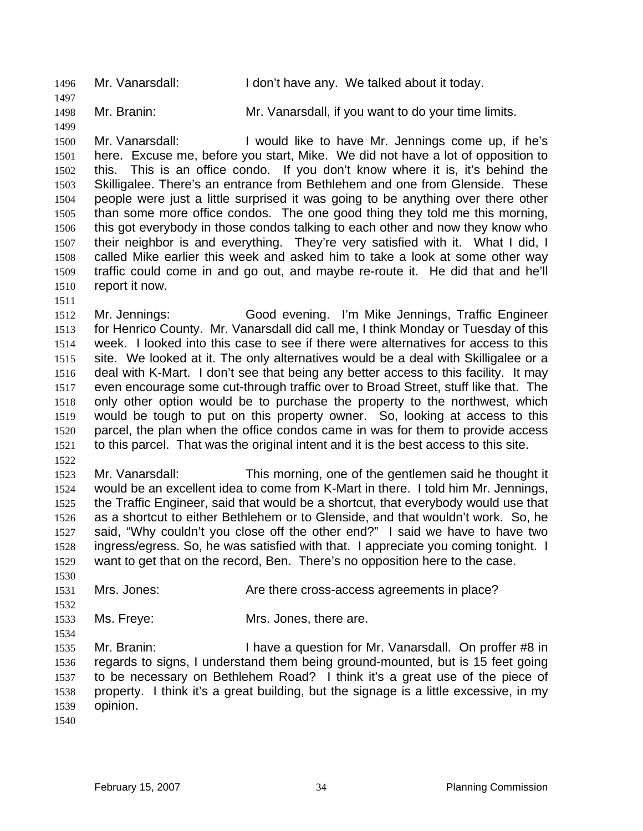1496 Mr. Vanarsdall: I don't have any. We talked about it today.

Mr. Branin: Mr. Vanarsdall, if you want to do your time limits.

Mr. Vanarsdall: I would like to have Mr. Jennings come up, if he's here. Excuse me, before you start, Mike. We did not have a lot of opposition to this. This is an office condo. If you don't know where it is, it's behind the Skilligalee. There's an entrance from Bethlehem and one from Glenside. These people were just a little surprised it was going to be anything over there other than some more office condos. The one good thing they told me this morning, this got everybody in those condos talking to each other and now they know who their neighbor is and everything. They're very satisfied with it. What I did, I called Mike earlier this week and asked him to take a look at some other way traffic could come in and go out, and maybe re-route it. He did that and he'll report it now.

Mr. Jennings: Good evening. I'm Mike Jennings, Traffic Engineer for Henrico County. Mr. Vanarsdall did call me, I think Monday or Tuesday of this week. I looked into this case to see if there were alternatives for access to this site. We looked at it. The only alternatives would be a deal with Skilligalee or a deal with K-Mart. I don't see that being any better access to this facility. It may even encourage some cut-through traffic over to Broad Street, stuff like that. The only other option would be to purchase the property to the northwest, which would be tough to put on this property owner. So, looking at access to this parcel, the plan when the office condos came in was for them to provide access to this parcel. That was the original intent and it is the best access to this site. 

Mr. Vanarsdall: This morning, one of the gentlemen said he thought it would be an excellent idea to come from K-Mart in there. I told him Mr. Jennings, the Traffic Engineer, said that would be a shortcut, that everybody would use that as a shortcut to either Bethlehem or to Glenside, and that wouldn't work. So, he said, "Why couldn't you close off the other end?" I said we have to have two ingress/egress. So, he was satisfied with that. I appreciate you coming tonight. I want to get that on the record, Ben. There's no opposition here to the case.

Mrs. Jones: Are there cross-access agreements in place?

Ms. Freye: Mrs. Jones, there are.

1535 Mr. Branin: I have a question for Mr. Vanarsdall. On proffer #8 in regards to signs, I understand them being ground-mounted, but is 15 feet going to be necessary on Bethlehem Road? I think it's a great use of the piece of property. I think it's a great building, but the signage is a little excessive, in my opinion.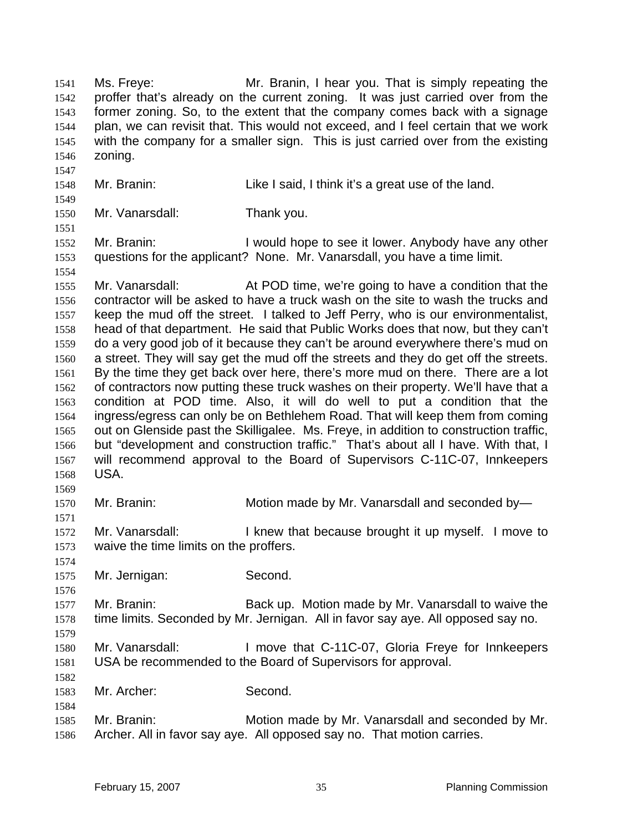Ms. Freye: Mr. Branin, I hear you. That is simply repeating the proffer that's already on the current zoning. It was just carried over from the former zoning. So, to the extent that the company comes back with a signage plan, we can revisit that. This would not exceed, and I feel certain that we work with the company for a smaller sign. This is just carried over from the existing zoning. Mr. Branin: Like I said, I think it's a great use of the land. Mr. Vanarsdall: Thank you. 1552 Mr. Branin: I would hope to see it lower. Anybody have any other questions for the applicant? None. Mr. Vanarsdall, you have a time limit. Mr. Vanarsdall: At POD time, we're going to have a condition that the contractor will be asked to have a truck wash on the site to wash the trucks and keep the mud off the street. I talked to Jeff Perry, who is our environmentalist, head of that department. He said that Public Works does that now, but they can't do a very good job of it because they can't be around everywhere there's mud on a street. They will say get the mud off the streets and they do get off the streets. By the time they get back over here, there's more mud on there. There are a lot of contractors now putting these truck washes on their property. We'll have that a condition at POD time. Also, it will do well to put a condition that the ingress/egress can only be on Bethlehem Road. That will keep them from coming out on Glenside past the Skilligalee. Ms. Freye, in addition to construction traffic, but "development and construction traffic." That's about all I have. With that, I will recommend approval to the Board of Supervisors C-11C-07, Innkeepers USA. Mr. Branin: Motion made by Mr. Vanarsdall and seconded by— 1572 Mr. Vanarsdall: I knew that because brought it up myself. I move to waive the time limits on the proffers. Mr. Jernigan: Second. Mr. Branin: Back up. Motion made by Mr. Vanarsdall to waive the time limits. Seconded by Mr. Jernigan. All in favor say aye. All opposed say no. Mr. Vanarsdall: I move that C-11C-07, Gloria Freye for Innkeepers USA be recommended to the Board of Supervisors for approval. Mr. Archer: Second. Mr. Branin: Motion made by Mr. Vanarsdall and seconded by Mr. Archer. All in favor say aye. All opposed say no. That motion carries.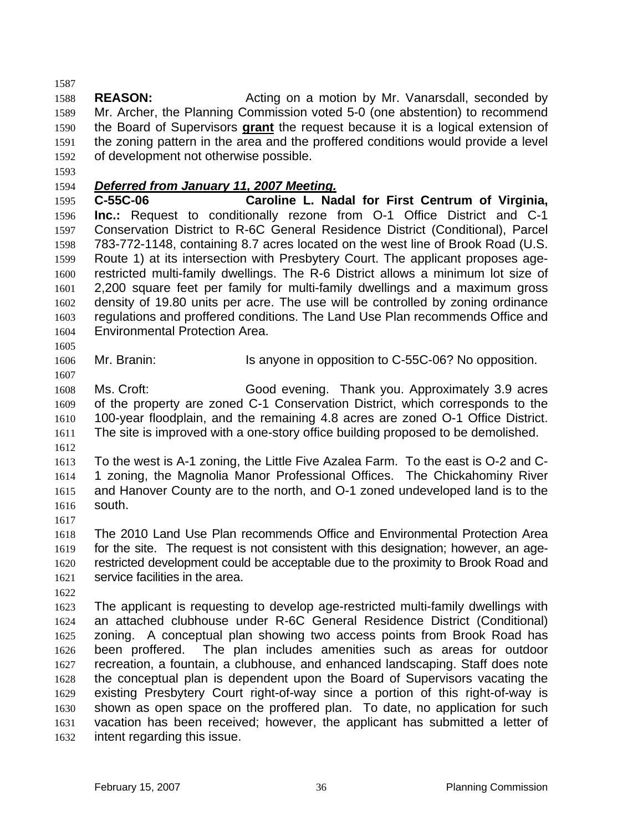**REASON:** Acting on a motion by Mr. Vanarsdall, seconded by Mr. Archer, the Planning Commission voted 5-0 (one abstention) to recommend the Board of Supervisors **grant** the request because it is a logical extension of the zoning pattern in the area and the proffered conditions would provide a level of development not otherwise possible.

# *Deferred from January 11, 2007 Meeting.*

**C-55C-06 Caroline L. Nadal for First Centrum of Virginia, Inc.:** Request to conditionally rezone from O-1 Office District and C-1 Conservation District to R-6C General Residence District (Conditional), Parcel 783-772-1148, containing 8.7 acres located on the west line of Brook Road (U.S. Route 1) at its intersection with Presbytery Court. The applicant proposes age-restricted multi-family dwellings. The R-6 District allows a minimum lot size of 2,200 square feet per family for multi-family dwellings and a maximum gross density of 19.80 units per acre. The use will be controlled by zoning ordinance regulations and proffered conditions. The Land Use Plan recommends Office and Environmental Protection Area.

1606 Mr. Branin: Is anyone in opposition to C-55C-06? No opposition.

Ms. Croft: Good evening. Thank you. Approximately 3.9 acres of the property are zoned C-1 Conservation District, which corresponds to the 100-year floodplain, and the remaining 4.8 acres are zoned O-1 Office District. The site is improved with a one-story office building proposed to be demolished.

To the west is A-1 zoning, the Little Five Azalea Farm. To the east is O-2 and C-1 zoning, the Magnolia Manor Professional Offices. The Chickahominy River and Hanover County are to the north, and O-1 zoned undeveloped land is to the south.

The 2010 Land Use Plan recommends Office and Environmental Protection Area for the site. The request is not consistent with this designation; however, an age-restricted development could be acceptable due to the proximity to Brook Road and service facilities in the area.

The applicant is requesting to develop age-restricted multi-family dwellings with an attached clubhouse under R-6C General Residence District (Conditional) zoning. A conceptual plan showing two access points from Brook Road has been proffered. The plan includes amenities such as areas for outdoor recreation, a fountain, a clubhouse, and enhanced landscaping. Staff does note the conceptual plan is dependent upon the Board of Supervisors vacating the existing Presbytery Court right-of-way since a portion of this right-of-way is shown as open space on the proffered plan. To date, no application for such vacation has been received; however, the applicant has submitted a letter of intent regarding this issue.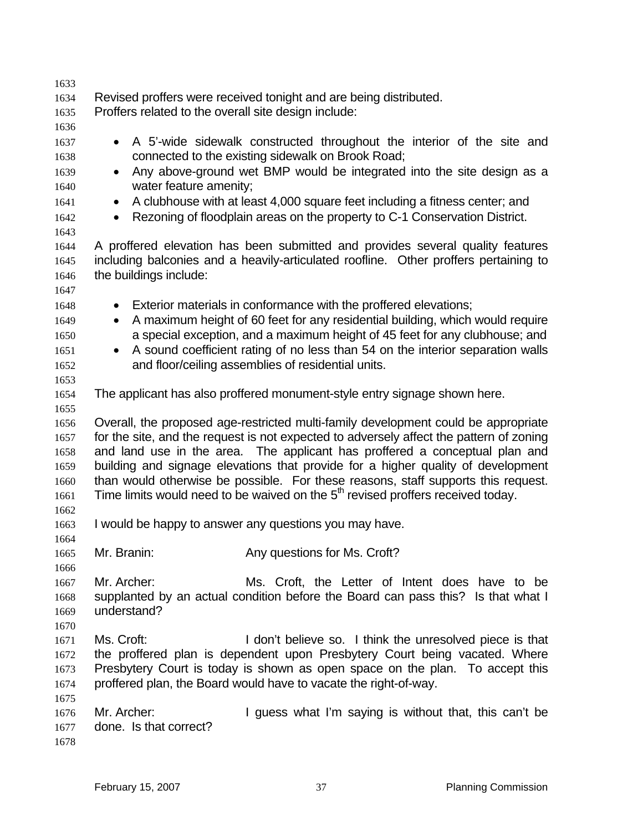| 1633 |                                                                                                                                                                                  |  |  |
|------|----------------------------------------------------------------------------------------------------------------------------------------------------------------------------------|--|--|
| 1634 | Revised proffers were received tonight and are being distributed.                                                                                                                |  |  |
| 1635 | Proffers related to the overall site design include:                                                                                                                             |  |  |
| 1636 |                                                                                                                                                                                  |  |  |
| 1637 | A 5'-wide sidewalk constructed throughout the interior of the site and<br>$\bullet$                                                                                              |  |  |
| 1638 | connected to the existing sidewalk on Brook Road;                                                                                                                                |  |  |
| 1639 | Any above-ground wet BMP would be integrated into the site design as a<br>$\bullet$                                                                                              |  |  |
|      |                                                                                                                                                                                  |  |  |
| 1640 | water feature amenity;                                                                                                                                                           |  |  |
| 1641 | A clubhouse with at least 4,000 square feet including a fitness center; and<br>۰                                                                                                 |  |  |
| 1642 | Rezoning of floodplain areas on the property to C-1 Conservation District.<br>$\bullet$                                                                                          |  |  |
| 1643 |                                                                                                                                                                                  |  |  |
| 1644 | A proffered elevation has been submitted and provides several quality features                                                                                                   |  |  |
| 1645 | including balconies and a heavily-articulated roofline. Other proffers pertaining to                                                                                             |  |  |
| 1646 | the buildings include:                                                                                                                                                           |  |  |
| 1647 |                                                                                                                                                                                  |  |  |
| 1648 | Exterior materials in conformance with the proffered elevations;<br>۰                                                                                                            |  |  |
| 1649 | A maximum height of 60 feet for any residential building, which would require<br>$\bullet$                                                                                       |  |  |
| 1650 | a special exception, and a maximum height of 45 feet for any clubhouse; and                                                                                                      |  |  |
| 1651 | A sound coefficient rating of no less than 54 on the interior separation walls                                                                                                   |  |  |
| 1652 | and floor/ceiling assemblies of residential units.                                                                                                                               |  |  |
| 1653 |                                                                                                                                                                                  |  |  |
| 1654 | The applicant has also proffered monument-style entry signage shown here.                                                                                                        |  |  |
| 1655 |                                                                                                                                                                                  |  |  |
| 1656 | Overall, the proposed age-restricted multi-family development could be appropriate                                                                                               |  |  |
| 1657 | for the site, and the request is not expected to adversely affect the pattern of zoning                                                                                          |  |  |
| 1658 | and land use in the area. The applicant has proffered a conceptual plan and                                                                                                      |  |  |
| 1659 | building and signage elevations that provide for a higher quality of development                                                                                                 |  |  |
|      |                                                                                                                                                                                  |  |  |
| 1660 | than would otherwise be possible. For these reasons, staff supports this request.<br>Time limits would need to be waived on the 5 <sup>th</sup> revised proffers received today. |  |  |
| 1661 |                                                                                                                                                                                  |  |  |
| 1662 |                                                                                                                                                                                  |  |  |
| 1663 | I would be happy to answer any questions you may have.                                                                                                                           |  |  |
| 1664 |                                                                                                                                                                                  |  |  |
| 1665 | Any questions for Ms. Croft?<br>Mr. Branin:                                                                                                                                      |  |  |
| 1666 |                                                                                                                                                                                  |  |  |
| 1667 | Mr. Archer:<br>Ms. Croft, the Letter of Intent does have to be                                                                                                                   |  |  |
| 1668 | supplanted by an actual condition before the Board can pass this? Is that what I                                                                                                 |  |  |
| 1669 | understand?                                                                                                                                                                      |  |  |
| 1670 |                                                                                                                                                                                  |  |  |
| 1671 | Ms. Croft:<br>I don't believe so. I think the unresolved piece is that                                                                                                           |  |  |
| 1672 | the proffered plan is dependent upon Presbytery Court being vacated. Where                                                                                                       |  |  |
| 1673 | Presbytery Court is today is shown as open space on the plan. To accept this                                                                                                     |  |  |
| 1674 | proffered plan, the Board would have to vacate the right-of-way.                                                                                                                 |  |  |
| 1675 |                                                                                                                                                                                  |  |  |
| 1676 | Mr. Archer:<br>I guess what I'm saying is without that, this can't be                                                                                                            |  |  |
| 1677 | done. Is that correct?                                                                                                                                                           |  |  |
| 1678 |                                                                                                                                                                                  |  |  |
|      |                                                                                                                                                                                  |  |  |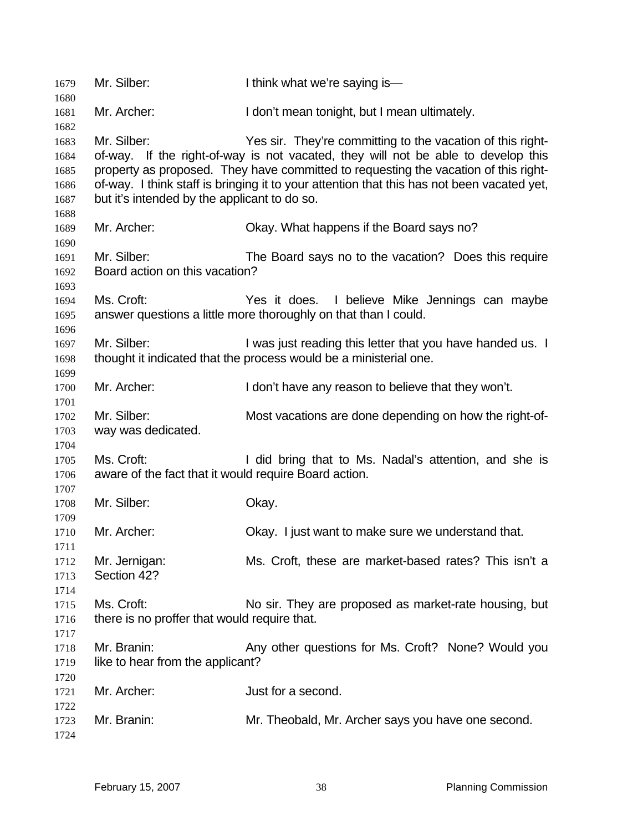| 1679<br>1680 | Mr. Silber:                                           | I think what we're saying is-                                                                                                                   |
|--------------|-------------------------------------------------------|-------------------------------------------------------------------------------------------------------------------------------------------------|
| 1681         | Mr. Archer:                                           | I don't mean tonight, but I mean ultimately.                                                                                                    |
| 1682         |                                                       |                                                                                                                                                 |
| 1683<br>1684 | Mr. Silber:                                           | Yes sir. They're committing to the vacation of this right-<br>of-way. If the right-of-way is not vacated, they will not be able to develop this |
| 1685         |                                                       | property as proposed. They have committed to requesting the vacation of this right-                                                             |
| 1686         |                                                       | of-way. I think staff is bringing it to your attention that this has not been vacated yet,                                                      |
| 1687         | but it's intended by the applicant to do so.          |                                                                                                                                                 |
| 1688         |                                                       |                                                                                                                                                 |
| 1689         | Mr. Archer:                                           | Okay. What happens if the Board says no?                                                                                                        |
| 1690         |                                                       |                                                                                                                                                 |
| 1691         | Mr. Silber:                                           | The Board says no to the vacation? Does this require                                                                                            |
| 1692         | Board action on this vacation?                        |                                                                                                                                                 |
| 1693         |                                                       |                                                                                                                                                 |
| 1694         | Ms. Croft:                                            | Yes it does. I believe Mike Jennings can maybe                                                                                                  |
| 1695         |                                                       | answer questions a little more thoroughly on that than I could.                                                                                 |
| 1696         |                                                       |                                                                                                                                                 |
|              | Mr. Silber:                                           | I was just reading this letter that you have handed us. I                                                                                       |
| 1697         |                                                       |                                                                                                                                                 |
| 1698         |                                                       | thought it indicated that the process would be a ministerial one.                                                                               |
| 1699         |                                                       |                                                                                                                                                 |
| 1700         | Mr. Archer:                                           | I don't have any reason to believe that they won't.                                                                                             |
| 1701         |                                                       |                                                                                                                                                 |
| 1702         | Mr. Silber:                                           | Most vacations are done depending on how the right-of-                                                                                          |
| 1703         | way was dedicated.                                    |                                                                                                                                                 |
| 1704         |                                                       |                                                                                                                                                 |
| 1705         | Ms. Croft:                                            | I did bring that to Ms. Nadal's attention, and she is                                                                                           |
| 1706         | aware of the fact that it would require Board action. |                                                                                                                                                 |
| 1707         |                                                       |                                                                                                                                                 |
| 1708         | Mr. Silber:                                           | Okay.                                                                                                                                           |
| 1709         |                                                       |                                                                                                                                                 |
| 1710         | Mr. Archer:                                           | Okay. I just want to make sure we understand that.                                                                                              |
| 1711         |                                                       |                                                                                                                                                 |
| 1712         | Mr. Jernigan:                                         | Ms. Croft, these are market-based rates? This isn't a                                                                                           |
| 1713         | Section 42?                                           |                                                                                                                                                 |
| 1714         |                                                       |                                                                                                                                                 |
| 1715         | Ms. Croft:                                            | No sir. They are proposed as market-rate housing, but                                                                                           |
| 1716         | there is no proffer that would require that.          |                                                                                                                                                 |
| 1717         |                                                       |                                                                                                                                                 |
| 1718         | Mr. Branin:                                           | Any other questions for Ms. Croft? None? Would you                                                                                              |
| 1719         | like to hear from the applicant?                      |                                                                                                                                                 |
| 1720         |                                                       |                                                                                                                                                 |
| 1721         | Mr. Archer:                                           | Just for a second.                                                                                                                              |
| 1722         |                                                       |                                                                                                                                                 |
| 1723         | Mr. Branin:                                           | Mr. Theobald, Mr. Archer says you have one second.                                                                                              |
| 1724         |                                                       |                                                                                                                                                 |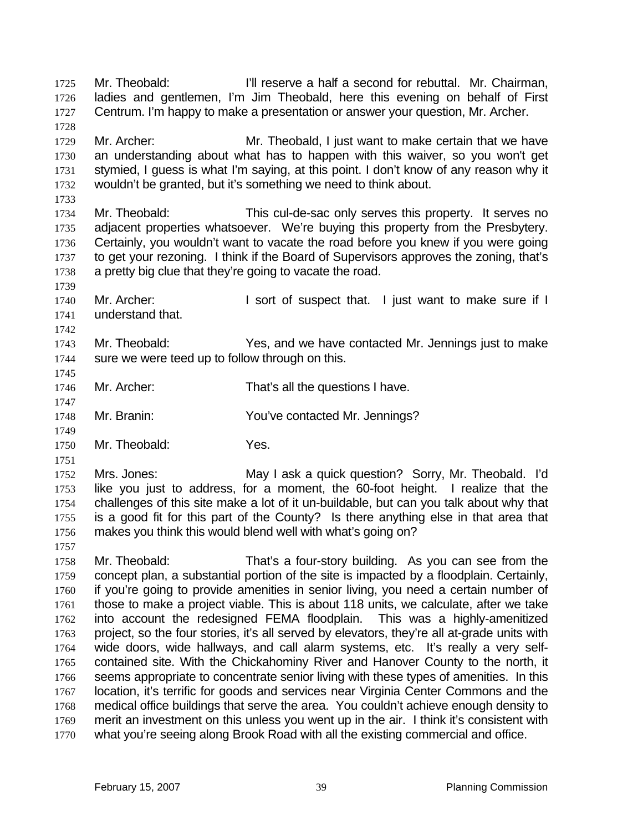Mr. Theobald: I'll reserve a half a second for rebuttal. Mr. Chairman, ladies and gentlemen, I'm Jim Theobald, here this evening on behalf of First Centrum. I'm happy to make a presentation or answer your question, Mr. Archer. 

Mr. Archer: Mr. Theobald, I just want to make certain that we have an understanding about what has to happen with this waiver, so you won't get stymied, I guess is what I'm saying, at this point. I don't know of any reason why it wouldn't be granted, but it's something we need to think about.

Mr. Theobald: This cul-de-sac only serves this property. It serves no adjacent properties whatsoever. We're buying this property from the Presbytery. Certainly, you wouldn't want to vacate the road before you knew if you were going to get your rezoning. I think if the Board of Supervisors approves the zoning, that's a pretty big clue that they're going to vacate the road.

1740 Mr. Archer: I sort of suspect that. I just want to make sure if I understand that.

Mr. Theobald: Yes, and we have contacted Mr. Jennings just to make 1744 sure we were teed up to follow through on this.

Mr. Archer: That's all the questions I have.

Mr. Branin: You've contacted Mr. Jennings?

Mr. Theobald: Yes.

Mrs. Jones: May I ask a quick question? Sorry, Mr. Theobald. I'd like you just to address, for a moment, the 60-foot height. I realize that the challenges of this site make a lot of it un-buildable, but can you talk about why that is a good fit for this part of the County? Is there anything else in that area that makes you think this would blend well with what's going on?

Mr. Theobald: That's a four-story building. As you can see from the concept plan, a substantial portion of the site is impacted by a floodplain. Certainly, if you're going to provide amenities in senior living, you need a certain number of those to make a project viable. This is about 118 units, we calculate, after we take into account the redesigned FEMA floodplain. This was a highly-amenitized project, so the four stories, it's all served by elevators, they're all at-grade units with wide doors, wide hallways, and call alarm systems, etc. It's really a very self-contained site. With the Chickahominy River and Hanover County to the north, it seems appropriate to concentrate senior living with these types of amenities. In this location, it's terrific for goods and services near Virginia Center Commons and the medical office buildings that serve the area. You couldn't achieve enough density to merit an investment on this unless you went up in the air. I think it's consistent with what you're seeing along Brook Road with all the existing commercial and office.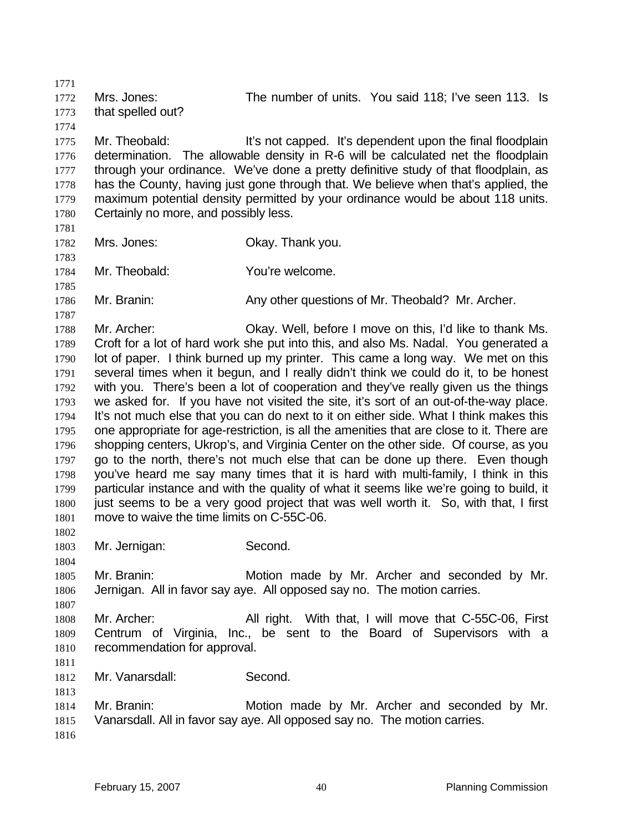Mrs. Jones: The number of units. You said 118; I've seen 113. Is that spelled out? Mr. Theobald: It's not capped. It's dependent upon the final floodplain determination. The allowable density in R-6 will be calculated net the floodplain through your ordinance. We've done a pretty definitive study of that floodplain, as has the County, having just gone through that. We believe when that's applied, the maximum potential density permitted by your ordinance would be about 118 units. 1780 Certainly no more, and possibly less. Mrs. Jones: Okay. Thank you. Mr. Theobald: You're welcome. Mr. Branin: Any other questions of Mr. Theobald? Mr. Archer. Mr. Archer: Okay. Well, before I move on this, I'd like to thank Ms. Croft for a lot of hard work she put into this, and also Ms. Nadal. You generated a lot of paper. I think burned up my printer. This came a long way. We met on this several times when it begun, and I really didn't think we could do it, to be honest with you. There's been a lot of cooperation and they've really given us the things we asked for. If you have not visited the site, it's sort of an out-of-the-way place. It's not much else that you can do next to it on either side. What I think makes this one appropriate for age-restriction, is all the amenities that are close to it. There are shopping centers, Ukrop's, and Virginia Center on the other side. Of course, as you go to the north, there's not much else that can be done up there. Even though you've heard me say many times that it is hard with multi-family, I think in this particular instance and with the quality of what it seems like we're going to build, it just seems to be a very good project that was well worth it. So, with that, I first move to waive the time limits on C-55C-06. Mr. Jernigan: Second. Mr. Branin: Motion made by Mr. Archer and seconded by Mr. Jernigan. All in favor say aye. All opposed say no. The motion carries. 1808 Mr. Archer: All right. With that, I will move that C-55C-06, First Centrum of Virginia, Inc., be sent to the Board of Supervisors with a recommendation for approval. Mr. Vanarsdall: Second. Mr. Branin: Motion made by Mr. Archer and seconded by Mr. Vanarsdall. All in favor say aye. All opposed say no. The motion carries.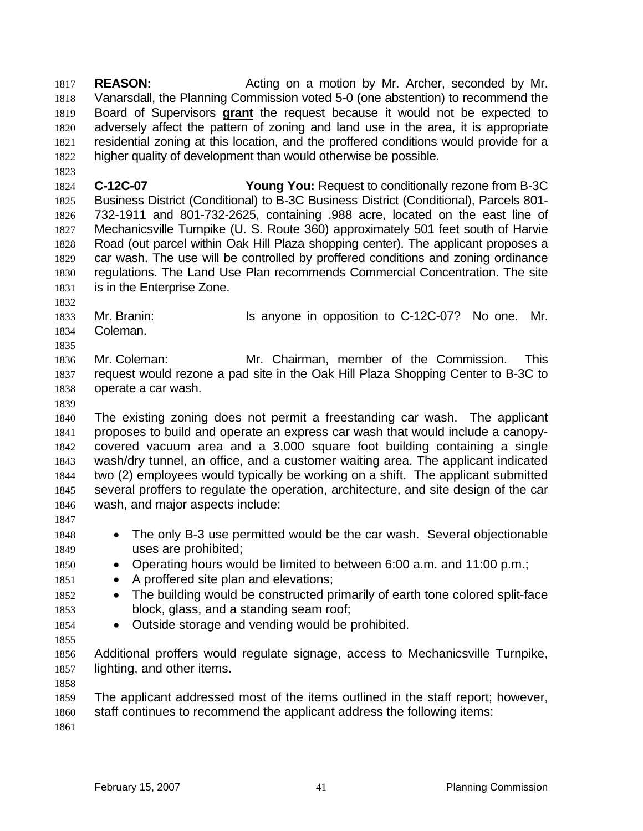**REASON:** Acting on a motion by Mr. Archer, seconded by Mr. Vanarsdall, the Planning Commission voted 5-0 (one abstention) to recommend the Board of Supervisors **grant** the request because it would not be expected to adversely affect the pattern of zoning and land use in the area, it is appropriate residential zoning at this location, and the proffered conditions would provide for a higher quality of development than would otherwise be possible.

**C-12C-07 Young You:** Request to conditionally rezone from B-3C Business District (Conditional) to B-3C Business District (Conditional), Parcels 801- 732-1911 and 801-732-2625, containing .988 acre, located on the east line of Mechanicsville Turnpike (U. S. Route 360) approximately 501 feet south of Harvie Road (out parcel within Oak Hill Plaza shopping center). The applicant proposes a car wash. The use will be controlled by proffered conditions and zoning ordinance regulations. The Land Use Plan recommends Commercial Concentration. The site is in the Enterprise Zone.

1833 Mr. Branin: Is anyone in opposition to C-12C-07? No one. Mr. Coleman.

Mr. Coleman: Mr. Chairman, member of the Commission. This request would rezone a pad site in the Oak Hill Plaza Shopping Center to B-3C to operate a car wash.

The existing zoning does not permit a freestanding car wash. The applicant proposes to build and operate an express car wash that would include a canopy-covered vacuum area and a 3,000 square foot building containing a single wash/dry tunnel, an office, and a customer waiting area. The applicant indicated two (2) employees would typically be working on a shift. The applicant submitted several proffers to regulate the operation, architecture, and site design of the car wash, and major aspects include:

- 
- The only B-3 use permitted would be the car wash. Several objectionable uses are prohibited;
- Operating hours would be limited to between 6:00 a.m. and 11:00 p.m.;
- 1851 A proffered site plan and elevations;
- 1852 The building would be constructed primarily of earth tone colored split-face block, glass, and a standing seam roof;
- Outside storage and vending would be prohibited.

Additional proffers would regulate signage, access to Mechanicsville Turnpike, lighting, and other items.

The applicant addressed most of the items outlined in the staff report; however, staff continues to recommend the applicant address the following items: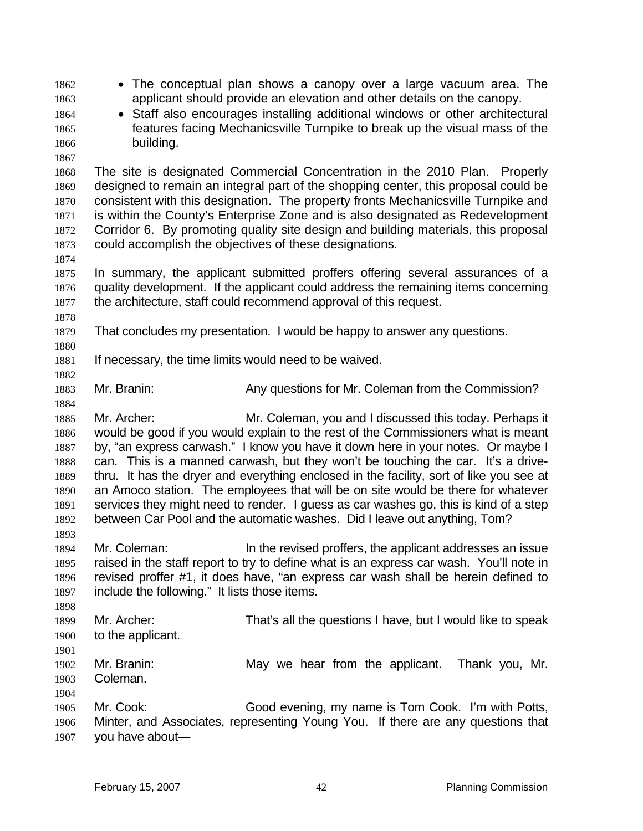- The conceptual plan shows a canopy over a large vacuum area. The applicant should provide an elevation and other details on the canopy.
- Staff also encourages installing additional windows or other architectural features facing Mechanicsville Turnpike to break up the visual mass of the building.
- 

The site is designated Commercial Concentration in the 2010 Plan. Properly designed to remain an integral part of the shopping center, this proposal could be consistent with this designation. The property fronts Mechanicsville Turnpike and is within the County's Enterprise Zone and is also designated as Redevelopment Corridor 6. By promoting quality site design and building materials, this proposal could accomplish the objectives of these designations.

In summary, the applicant submitted proffers offering several assurances of a quality development. If the applicant could address the remaining items concerning the architecture, staff could recommend approval of this request.

- That concludes my presentation. I would be happy to answer any questions.
- 

- If necessary, the time limits would need to be waived.
- Mr. Branin: Any questions for Mr. Coleman from the Commission?

Mr. Archer: Mr. Coleman, you and I discussed this today. Perhaps it would be good if you would explain to the rest of the Commissioners what is meant by, "an express carwash." I know you have it down here in your notes. Or maybe I can. This is a manned carwash, but they won't be touching the car. It's a drive-thru. It has the dryer and everything enclosed in the facility, sort of like you see at an Amoco station. The employees that will be on site would be there for whatever services they might need to render. I guess as car washes go, this is kind of a step between Car Pool and the automatic washes. Did I leave out anything, Tom?

- Mr. Coleman: In the revised proffers, the applicant addresses an issue raised in the staff report to try to define what is an express car wash. You'll note in revised proffer #1, it does have, "an express car wash shall be herein defined to include the following." It lists those items.
- Mr. Archer: That's all the questions I have, but I would like to speak to the applicant.
- 

- Mr. Branin: May we hear from the applicant. Thank you, Mr. Coleman.
- Mr. Cook: Good evening, my name is Tom Cook. I'm with Potts, Minter, and Associates, representing Young You. If there are any questions that you have about—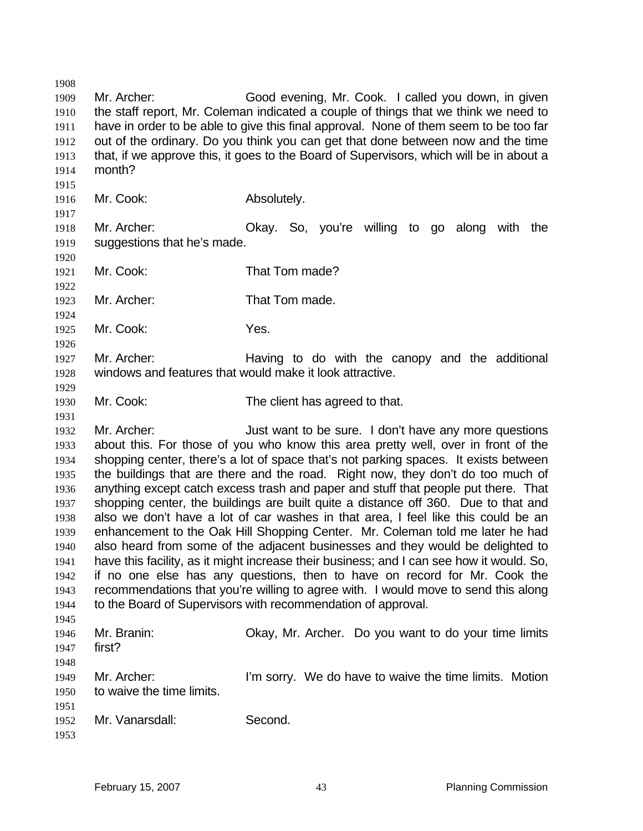Mr. Archer: Good evening, Mr. Cook. I called you down, in given the staff report, Mr. Coleman indicated a couple of things that we think we need to have in order to be able to give this final approval. None of them seem to be too far out of the ordinary. Do you think you can get that done between now and the time that, if we approve this, it goes to the Board of Supervisors, which will be in about a month? Mr. Cook: Absolutely. Mr. Archer: Okay. So, you're willing to go along with the suggestions that he's made. Mr. Cook: That Tom made? Mr. Archer: That Tom made. Mr. Cook: Yes. Mr. Archer: Having to do with the canopy and the additional windows and features that would make it look attractive. Mr. Cook: The client has agreed to that. 1932 Mr. Archer: Just want to be sure. I don't have any more questions about this. For those of you who know this area pretty well, over in front of the shopping center, there's a lot of space that's not parking spaces. It exists between the buildings that are there and the road. Right now, they don't do too much of anything except catch excess trash and paper and stuff that people put there. That shopping center, the buildings are built quite a distance off 360. Due to that and also we don't have a lot of car washes in that area, I feel like this could be an enhancement to the Oak Hill Shopping Center. Mr. Coleman told me later he had also heard from some of the adjacent businesses and they would be delighted to have this facility, as it might increase their business; and I can see how it would. So, if no one else has any questions, then to have on record for Mr. Cook the recommendations that you're willing to agree with. I would move to send this along to the Board of Supervisors with recommendation of approval. Mr. Branin: Okay, Mr. Archer. Do you want to do your time limits first? Mr. Archer: I'm sorry. We do have to waive the time limits. Motion to waive the time limits. Mr. Vanarsdall: Second.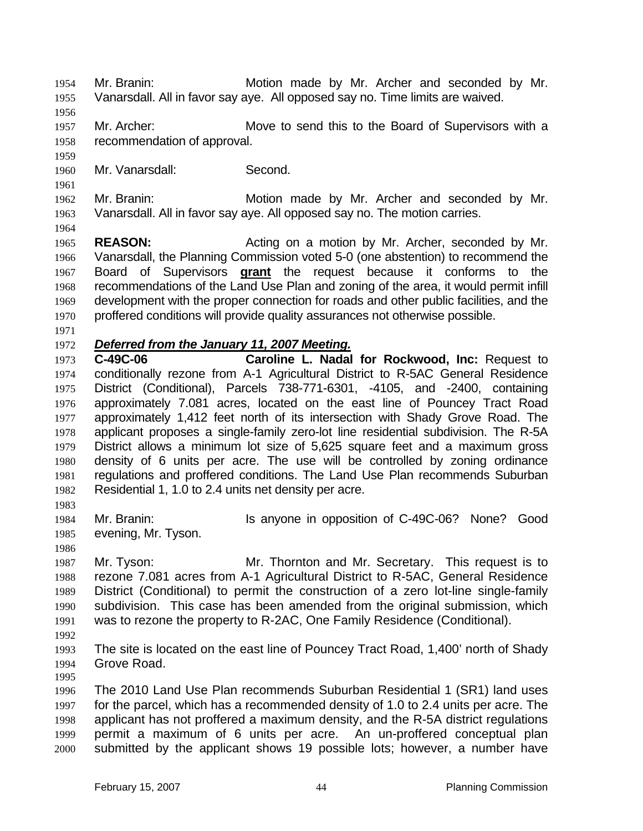Mr. Branin: Motion made by Mr. Archer and seconded by Mr. Vanarsdall. All in favor say aye. All opposed say no. Time limits are waived.

- 1957 Mr. Archer: Move to send this to the Board of Supervisors with a recommendation of approval.
- Mr. Vanarsdall: Second.

Mr. Branin: Motion made by Mr. Archer and seconded by Mr. Vanarsdall. All in favor say aye. All opposed say no. The motion carries.

**REASON:** Acting on a motion by Mr. Archer, seconded by Mr. Vanarsdall, the Planning Commission voted 5-0 (one abstention) to recommend the Board of Supervisors **grant** the request because it conforms to the recommendations of the Land Use Plan and zoning of the area, it would permit infill development with the proper connection for roads and other public facilities, and the proffered conditions will provide quality assurances not otherwise possible.

### *Deferred from the January 11, 2007 Meeting.*

**C-49C-06 Caroline L. Nadal for Rockwood, Inc:** Request to conditionally rezone from A-1 Agricultural District to R-5AC General Residence District (Conditional), Parcels 738-771-6301, -4105, and -2400, containing approximately 7.081 acres, located on the east line of Pouncey Tract Road approximately 1,412 feet north of its intersection with Shady Grove Road. The applicant proposes a single-family zero-lot line residential subdivision. The R-5A District allows a minimum lot size of 5,625 square feet and a maximum gross density of 6 units per acre. The use will be controlled by zoning ordinance regulations and proffered conditions. The Land Use Plan recommends Suburban Residential 1, 1.0 to 2.4 units net density per acre.

Mr. Branin: Is anyone in opposition of C-49C-06? None? Good evening, Mr. Tyson.

Mr. Tyson: Mr. Thornton and Mr. Secretary. This request is to rezone 7.081 acres from A-1 Agricultural District to R-5AC, General Residence District (Conditional) to permit the construction of a zero lot-line single-family subdivision. This case has been amended from the original submission, which was to rezone the property to R-2AC, One Family Residence (Conditional).

The site is located on the east line of Pouncey Tract Road, 1,400' north of Shady Grove Road.

The 2010 Land Use Plan recommends Suburban Residential 1 (SR1) land uses for the parcel, which has a recommended density of 1.0 to 2.4 units per acre. The applicant has not proffered a maximum density, and the R-5A district regulations permit a maximum of 6 units per acre. An un-proffered conceptual plan submitted by the applicant shows 19 possible lots; however, a number have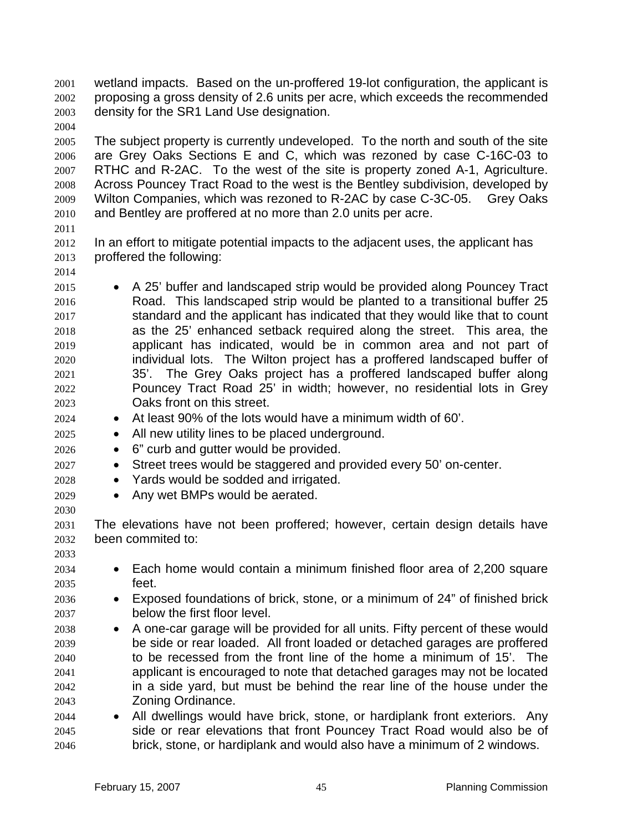wetland impacts. Based on the un-proffered 19-lot configuration, the applicant is proposing a gross density of 2.6 units per acre, which exceeds the recommended density for the SR1 Land Use designation.

- The subject property is currently undeveloped. To the north and south of the site are Grey Oaks Sections E and C, which was rezoned by case C-16C-03 to RTHC and R-2AC. To the west of the site is property zoned A-1, Agriculture. Across Pouncey Tract Road to the west is the Bentley subdivision, developed by Wilton Companies, which was rezoned to R-2AC by case C-3C-05. Grey Oaks and Bentley are proffered at no more than 2.0 units per acre.
- 

- In an effort to mitigate potential impacts to the adjacent uses, the applicant has proffered the following:
- A 25' buffer and landscaped strip would be provided along Pouncey Tract Road. This landscaped strip would be planted to a transitional buffer 25 standard and the applicant has indicated that they would like that to count as the 25' enhanced setback required along the street. This area, the applicant has indicated, would be in common area and not part of individual lots. The Wilton project has a proffered landscaped buffer of 35'. The Grey Oaks project has a proffered landscaped buffer along Pouncey Tract Road 25' in width; however, no residential lots in Grey Oaks front on this street.
- At least 90% of the lots would have a minimum width of 60'.
- All new utility lines to be placed underground.
- 6" curb and gutter would be provided.
- Street trees would be staggered and provided every 50' on-center.
- Yards would be sodded and irrigated.
- Any wet BMPs would be aerated.

The elevations have not been proffered; however, certain design details have been commited to: 

- Each home would contain a minimum finished floor area of 2,200 square feet.
- Exposed foundations of brick, stone, or a minimum of 24" of finished brick below the first floor level.
- A one-car garage will be provided for all units. Fifty percent of these would be side or rear loaded. All front loaded or detached garages are proffered to be recessed from the front line of the home a minimum of 15'. The applicant is encouraged to note that detached garages may not be located in a side yard, but must be behind the rear line of the house under the Zoning Ordinance.
- All dwellings would have brick, stone, or hardiplank front exteriors. Any side or rear elevations that front Pouncey Tract Road would also be of brick, stone, or hardiplank and would also have a minimum of 2 windows.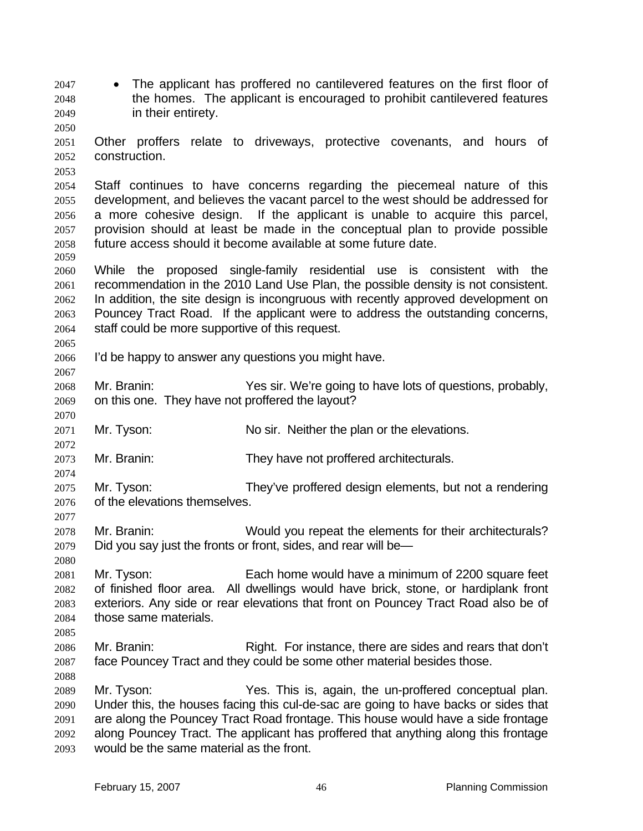- The applicant has proffered no cantilevered features on the first floor of the homes. The applicant is encouraged to prohibit cantilevered features in their entirety.
- Other proffers relate to driveways, protective covenants, and hours of construction.
- Staff continues to have concerns regarding the piecemeal nature of this development, and believes the vacant parcel to the west should be addressed for a more cohesive design. If the applicant is unable to acquire this parcel, provision should at least be made in the conceptual plan to provide possible future access should it become available at some future date.
- While the proposed single-family residential use is consistent with the recommendation in the 2010 Land Use Plan, the possible density is not consistent. In addition, the site design is incongruous with recently approved development on Pouncey Tract Road. If the applicant were to address the outstanding concerns, staff could be more supportive of this request.
- I'd be happy to answer any questions you might have.
- Mr. Branin: Yes sir. We're going to have lots of questions, probably, on this one. They have not proffered the layout?
- Mr. Tyson: No sir. Neither the plan or the elevations.
- Mr. Branin: They have not proffered architecturals.
- Mr. Tyson: They've proffered design elements, but not a rendering of the elevations themselves.
- Mr. Branin: Would you repeat the elements for their architecturals? Did you say just the fronts or front, sides, and rear will be*—*
- Mr. Tyson: Each home would have a minimum of 2200 square feet of finished floor area. All dwellings would have brick, stone, or hardiplank front exteriors. Any side or rear elevations that front on Pouncey Tract Road also be of those same materials.
- 

- 2086 Mr. Branin: Right. For instance, there are sides and rears that don't face Pouncey Tract and they could be some other material besides those.
- Mr. Tyson: Yes. This is, again, the un-proffered conceptual plan. Under this, the houses facing this cul-de-sac are going to have backs or sides that are along the Pouncey Tract Road frontage. This house would have a side frontage along Pouncey Tract. The applicant has proffered that anything along this frontage would be the same material as the front.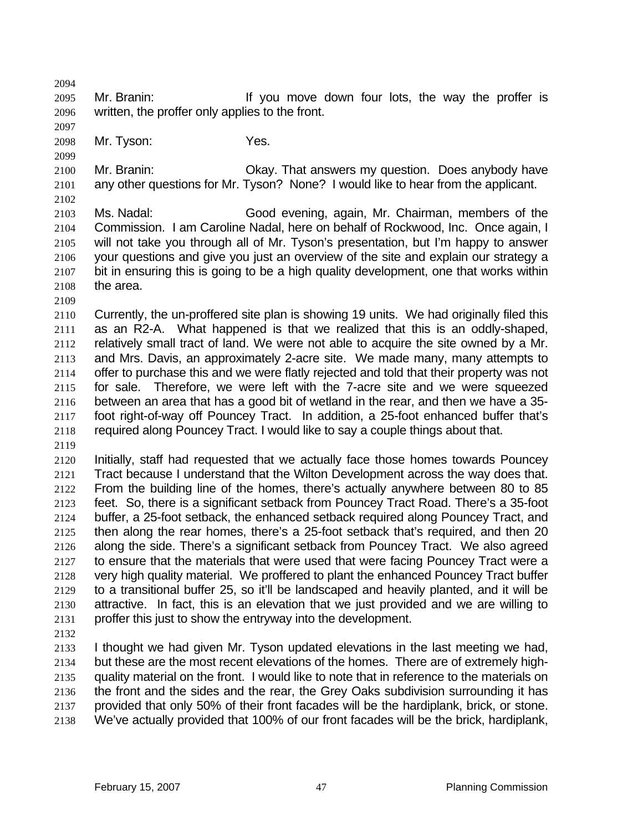Mr. Branin: If you move down four lots, the way the proffer is written, the proffer only applies to the front.

Mr. Tyson: Yes.

Mr. Branin: Okay. That answers my question. Does anybody have any other questions for Mr. Tyson? None? I would like to hear from the applicant. 

Ms. Nadal: Good evening, again, Mr. Chairman, members of the Commission. I am Caroline Nadal, here on behalf of Rockwood, Inc. Once again, I will not take you through all of Mr. Tyson's presentation, but I'm happy to answer your questions and give you just an overview of the site and explain our strategy a bit in ensuring this is going to be a high quality development, one that works within the area.

Currently, the un-proffered site plan is showing 19 units. We had originally filed this as an R2-A. What happened is that we realized that this is an oddly-shaped, relatively small tract of land. We were not able to acquire the site owned by a Mr. and Mrs. Davis, an approximately 2-acre site. We made many, many attempts to offer to purchase this and we were flatly rejected and told that their property was not for sale. Therefore, we were left with the 7-acre site and we were squeezed between an area that has a good bit of wetland in the rear, and then we have a 35- foot right-of-way off Pouncey Tract. In addition, a 25-foot enhanced buffer that's required along Pouncey Tract. I would like to say a couple things about that.

Initially, staff had requested that we actually face those homes towards Pouncey Tract because I understand that the Wilton Development across the way does that. From the building line of the homes, there's actually anywhere between 80 to 85 feet. So, there is a significant setback from Pouncey Tract Road. There's a 35-foot buffer, a 25-foot setback, the enhanced setback required along Pouncey Tract, and then along the rear homes, there's a 25-foot setback that's required, and then 20 along the side. There's a significant setback from Pouncey Tract. We also agreed 2127 to ensure that the materials that were used that were facing Pouncey Tract were a very high quality material. We proffered to plant the enhanced Pouncey Tract buffer to a transitional buffer 25, so it'll be landscaped and heavily planted, and it will be attractive. In fact, this is an elevation that we just provided and we are willing to proffer this just to show the entryway into the development.

I thought we had given Mr. Tyson updated elevations in the last meeting we had, but these are the most recent elevations of the homes. There are of extremely high-quality material on the front. I would like to note that in reference to the materials on the front and the sides and the rear, the Grey Oaks subdivision surrounding it has provided that only 50% of their front facades will be the hardiplank, brick, or stone. We've actually provided that 100% of our front facades will be the brick, hardiplank,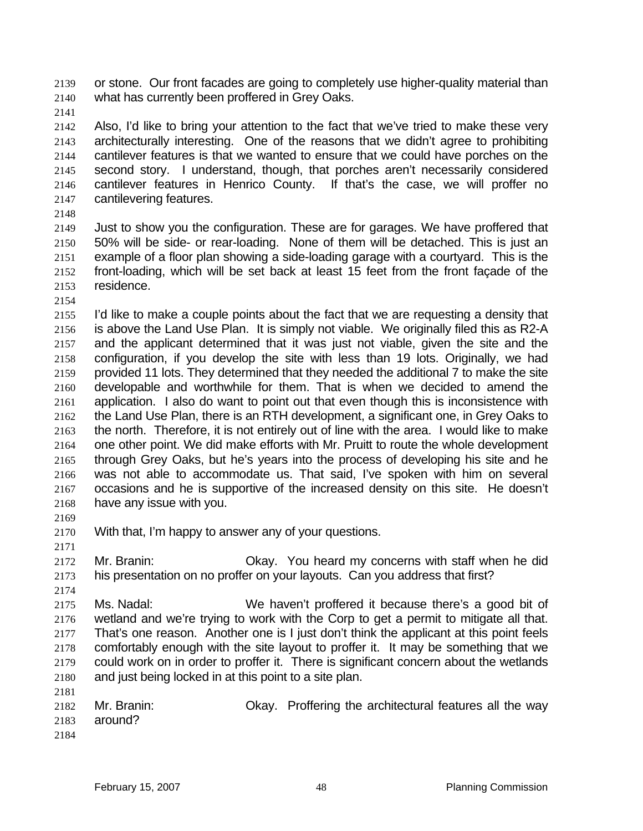or stone. Our front facades are going to completely use higher-quality material than what has currently been proffered in Grey Oaks.

Also, I'd like to bring your attention to the fact that we've tried to make these very architecturally interesting. One of the reasons that we didn't agree to prohibiting cantilever features is that we wanted to ensure that we could have porches on the second story. I understand, though, that porches aren't necessarily considered cantilever features in Henrico County. If that's the case, we will proffer no cantilevering features.

Just to show you the configuration. These are for garages. We have proffered that 50% will be side- or rear-loading. None of them will be detached. This is just an example of a floor plan showing a side-loading garage with a courtyard. This is the front-loading, which will be set back at least 15 feet from the front façade of the residence.

I'd like to make a couple points about the fact that we are requesting a density that is above the Land Use Plan. It is simply not viable. We originally filed this as R2-A and the applicant determined that it was just not viable, given the site and the configuration, if you develop the site with less than 19 lots. Originally, we had provided 11 lots. They determined that they needed the additional 7 to make the site developable and worthwhile for them. That is when we decided to amend the application. I also do want to point out that even though this is inconsistence with the Land Use Plan, there is an RTH development, a significant one, in Grey Oaks to the north. Therefore, it is not entirely out of line with the area. I would like to make one other point. We did make efforts with Mr. Pruitt to route the whole development through Grey Oaks, but he's years into the process of developing his site and he was not able to accommodate us. That said, I've spoken with him on several occasions and he is supportive of the increased density on this site. He doesn't have any issue with you.

- With that, I'm happy to answer any of your questions.
- 

Mr. Branin: Okay. You heard my concerns with staff when he did his presentation on no proffer on your layouts. Can you address that first?

Ms. Nadal: We haven't proffered it because there's a good bit of wetland and we're trying to work with the Corp to get a permit to mitigate all that. That's one reason. Another one is I just don't think the applicant at this point feels comfortably enough with the site layout to proffer it. It may be something that we could work on in order to proffer it. There is significant concern about the wetlands and just being locked in at this point to a site plan. 

|      | 2182 Mr. Branin: | Okay. Proffering the architectural features all the way |
|------|------------------|---------------------------------------------------------|
|      | 2183 around?     |                                                         |
| 2184 |                  |                                                         |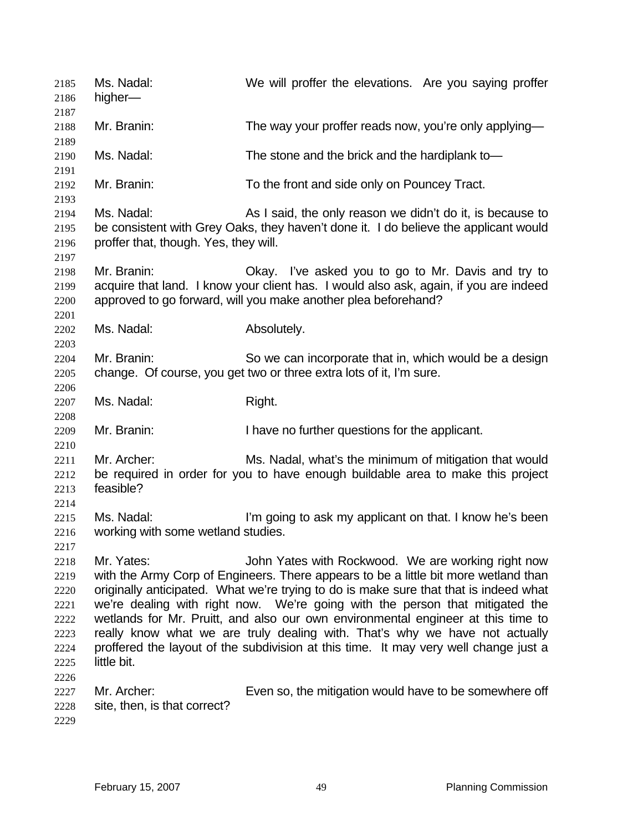Ms. Nadal: We will proffer the elevations. Are you saying proffer higher— Mr. Branin: The way your proffer reads now, you're only applying— Ms. Nadal: The stone and the brick and the hardiplank to— Mr. Branin: To the front and side only on Pouncey Tract. Ms. Nadal: As I said, the only reason we didn't do it, is because to be consistent with Grey Oaks, they haven't done it. I do believe the applicant would proffer that, though. Yes, they will. Mr. Branin: Okay. I've asked you to go to Mr. Davis and try to acquire that land. I know your client has. I would also ask, again, if you are indeed approved to go forward, will you make another plea beforehand? Ms. Nadal: Absolutely. Mr. Branin: So we can incorporate that in, which would be a design change. Of course, you get two or three extra lots of it, I'm sure. 2207 Ms. Nadal: Right. Mr. Branin: I have no further questions for the applicant. Mr. Archer: Ms. Nadal, what's the minimum of mitigation that would be required in order for you to have enough buildable area to make this project feasible? Ms. Nadal: I'm going to ask my applicant on that. I know he's been working with some wetland studies. 2218 Mr. Yates: John Yates with Rockwood. We are working right now with the Army Corp of Engineers. There appears to be a little bit more wetland than originally anticipated. What we're trying to do is make sure that that is indeed what we're dealing with right now. We're going with the person that mitigated the wetlands for Mr. Pruitt, and also our own environmental engineer at this time to really know what we are truly dealing with. That's why we have not actually proffered the layout of the subdivision at this time. It may very well change just a little bit. 2227 Mr. Archer: Even so, the mitigation would have to be somewhere off site, then, is that correct?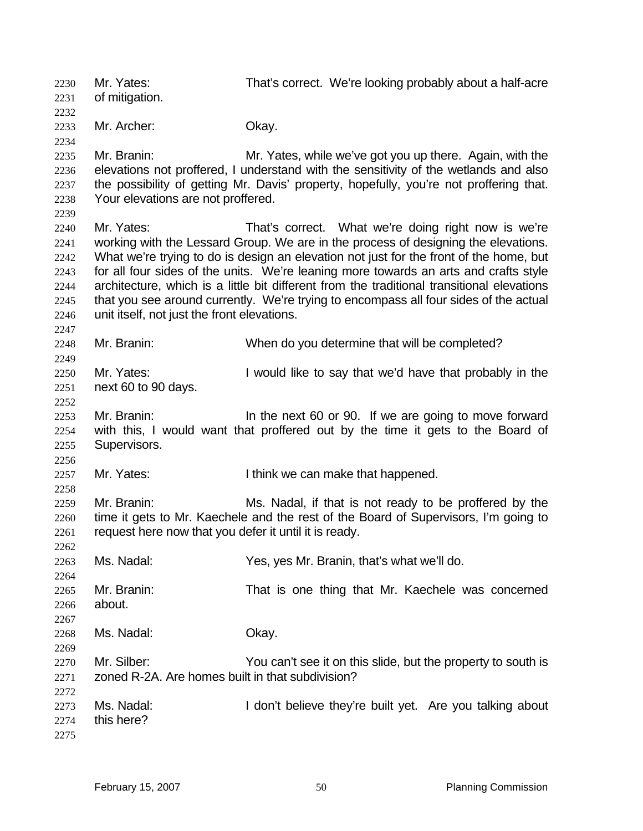Mr. Yates: That's correct. We're looking probably about a half-acre of mitigation. Mr. Archer: Okay. Mr. Branin: Mr. Yates, while we've got you up there. Again, with the elevations not proffered, I understand with the sensitivity of the wetlands and also the possibility of getting Mr. Davis' property, hopefully, you're not proffering that. Your elevations are not proffered. Mr. Yates: That's correct. What we're doing right now is we're working with the Lessard Group. We are in the process of designing the elevations. What we're trying to do is design an elevation not just for the front of the home, but for all four sides of the units. We're leaning more towards an arts and crafts style architecture, which is a little bit different from the traditional transitional elevations that you see around currently. We're trying to encompass all four sides of the actual unit itself, not just the front elevations. Mr. Branin: When do you determine that will be completed? 2250 Mr. Yates: I would like to say that we'd have that probably in the next 60 to 90 days. Mr. Branin: In the next 60 or 90. If we are going to move forward with this, I would want that proffered out by the time it gets to the Board of Supervisors. 2257 Mr. Yates: I think we can make that happened. Mr. Branin: Ms. Nadal, if that is not ready to be proffered by the time it gets to Mr. Kaechele and the rest of the Board of Supervisors, I'm going to 2261 request here now that you defer it until it is ready. Ms. Nadal: Yes, yes Mr. Branin, that's what we'll do. Mr. Branin: That is one thing that Mr. Kaechele was concerned about. Ms. Nadal: Okay. Mr. Silber: You can't see it on this slide, but the property to south is zoned R-2A. Are homes built in that subdivision? 2273 Ms. Nadal: I don't believe they're built yet. Are you talking about this here?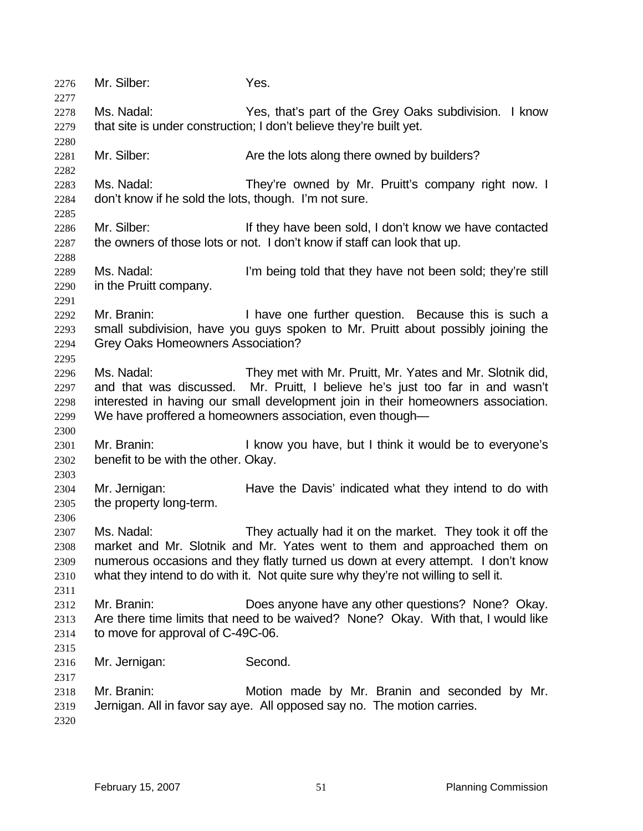| 2276<br>2277 | Mr. Silber:                                                         | Yes.                                                                               |  |  |
|--------------|---------------------------------------------------------------------|------------------------------------------------------------------------------------|--|--|
| 2278         | Ms. Nadal:                                                          | Yes, that's part of the Grey Oaks subdivision. I know                              |  |  |
| 2279         | that site is under construction; I don't believe they're built yet. |                                                                                    |  |  |
| 2280         |                                                                     |                                                                                    |  |  |
| 2281         | Mr. Silber:                                                         | Are the lots along there owned by builders?                                        |  |  |
| 2282         |                                                                     |                                                                                    |  |  |
| 2283         | Ms. Nadal:                                                          | They're owned by Mr. Pruitt's company right now. I                                 |  |  |
| 2284<br>2285 | don't know if he sold the lots, though. I'm not sure.               |                                                                                    |  |  |
| 2286         | Mr. Silber:                                                         | If they have been sold, I don't know we have contacted                             |  |  |
| 2287         |                                                                     | the owners of those lots or not. I don't know if staff can look that up.           |  |  |
| 2288         |                                                                     |                                                                                    |  |  |
| 2289         | Ms. Nadal:                                                          | I'm being told that they have not been sold; they're still                         |  |  |
| 2290         | in the Pruitt company.                                              |                                                                                    |  |  |
| 2291         |                                                                     |                                                                                    |  |  |
| 2292         | Mr. Branin:                                                         | I have one further question. Because this is such a                                |  |  |
| 2293         |                                                                     | small subdivision, have you guys spoken to Mr. Pruitt about possibly joining the   |  |  |
| 2294         | <b>Grey Oaks Homeowners Association?</b>                            |                                                                                    |  |  |
| 2295         |                                                                     |                                                                                    |  |  |
| 2296         | Ms. Nadal:                                                          | They met with Mr. Pruitt, Mr. Yates and Mr. Slotnik did,                           |  |  |
| 2297         |                                                                     | and that was discussed. Mr. Pruitt, I believe he's just too far in and wasn't      |  |  |
| 2298         |                                                                     | interested in having our small development join in their homeowners association.   |  |  |
| 2299         |                                                                     | We have proffered a homeowners association, even though-                           |  |  |
| 2300<br>2301 | Mr. Branin:                                                         | I know you have, but I think it would be to everyone's                             |  |  |
| 2302         | benefit to be with the other. Okay.                                 |                                                                                    |  |  |
| 2303         |                                                                     |                                                                                    |  |  |
| 2304         | Mr. Jernigan:                                                       | Have the Davis' indicated what they intend to do with                              |  |  |
| 2305         | the property long-term.                                             |                                                                                    |  |  |
| 2306         |                                                                     |                                                                                    |  |  |
| 2307         | Ms. Nadal:                                                          | They actually had it on the market. They took it off the                           |  |  |
| 2308         |                                                                     | market and Mr. Slotnik and Mr. Yates went to them and approached them on           |  |  |
| 2309         |                                                                     | numerous occasions and they flatly turned us down at every attempt. I don't know   |  |  |
| 2310         |                                                                     | what they intend to do with it. Not quite sure why they're not willing to sell it. |  |  |
| 2311         |                                                                     |                                                                                    |  |  |
| 2312         | Mr. Branin:                                                         | Does anyone have any other questions? None? Okay.                                  |  |  |
| 2313         |                                                                     | Are there time limits that need to be waived? None? Okay. With that, I would like  |  |  |
| 2314         | to move for approval of C-49C-06.                                   |                                                                                    |  |  |
| 2315         |                                                                     |                                                                                    |  |  |
| 2316         | Mr. Jernigan:                                                       | Second.                                                                            |  |  |
| 2317         |                                                                     |                                                                                    |  |  |
| 2318         | Mr. Branin:                                                         | Motion made by Mr. Branin and seconded by Mr.                                      |  |  |
| 2319         |                                                                     | Jernigan. All in favor say aye. All opposed say no. The motion carries.            |  |  |
| 2320         |                                                                     |                                                                                    |  |  |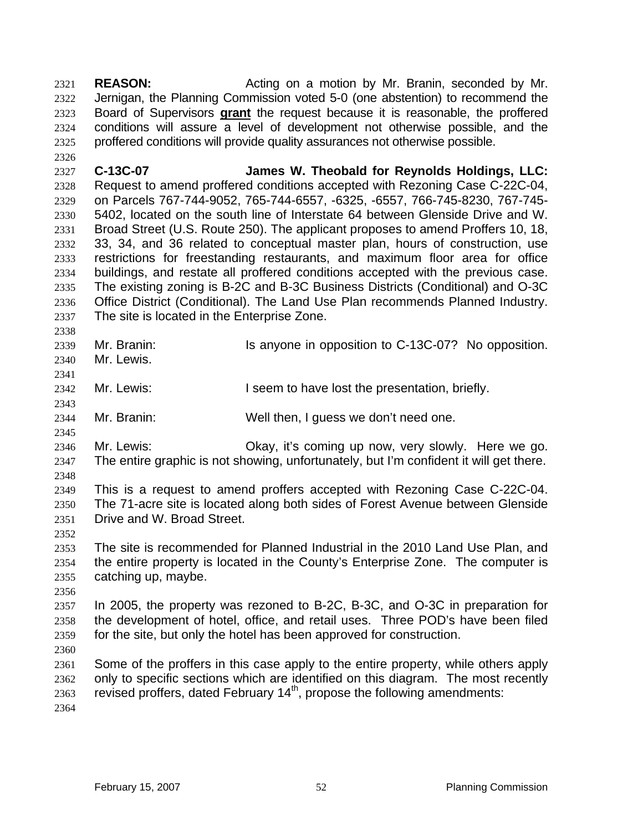**REASON:** Acting on a motion by Mr. Branin, seconded by Mr. Jernigan, the Planning Commission voted 5-0 (one abstention) to recommend the Board of Supervisors **grant** the request because it is reasonable, the proffered conditions will assure a level of development not otherwise possible, and the proffered conditions will provide quality assurances not otherwise possible.

**C-13C-07 James W. Theobald for Reynolds Holdings, LLC:**  Request to amend proffered conditions accepted with Rezoning Case C-22C-04, on Parcels 767-744-9052, 765-744-6557, -6325, -6557, 766-745-8230, 767-745- 5402, located on the south line of Interstate 64 between Glenside Drive and W. Broad Street (U.S. Route 250). The applicant proposes to amend Proffers 10, 18, 33, 34, and 36 related to conceptual master plan, hours of construction, use restrictions for freestanding restaurants, and maximum floor area for office buildings, and restate all proffered conditions accepted with the previous case. The existing zoning is B-2C and B-3C Business Districts (Conditional) and O-3C Office District (Conditional). The Land Use Plan recommends Planned Industry. The site is located in the Enterprise Zone.

- 2339 Mr. Branin: Is anyone in opposition to C-13C-07? No opposition. Mr. Lewis.
- Mr. Lewis: I seem to have lost the presentation, briefly.
- Mr. Branin: Well then, I guess we don't need one.
- Mr. Lewis: Okay, it's coming up now, very slowly. Here we go.
- The entire graphic is not showing, unfortunately, but I'm confident it will get there. This is a request to amend proffers accepted with Rezoning Case C-22C-04.
- The 71-acre site is located along both sides of Forest Avenue between Glenside Drive and W. Broad Street.
- The site is recommended for Planned Industrial in the 2010 Land Use Plan, and the entire property is located in the County's Enterprise Zone. The computer is catching up, maybe.
- 

In 2005, the property was rezoned to B-2C, B-3C, and O-3C in preparation for the development of hotel, office, and retail uses. Three POD's have been filed for the site, but only the hotel has been approved for construction.

Some of the proffers in this case apply to the entire property, while others apply only to specific sections which are identified on this diagram. The most recently 2363 revised proffers, dated February  $14<sup>th</sup>$ , propose the following amendments: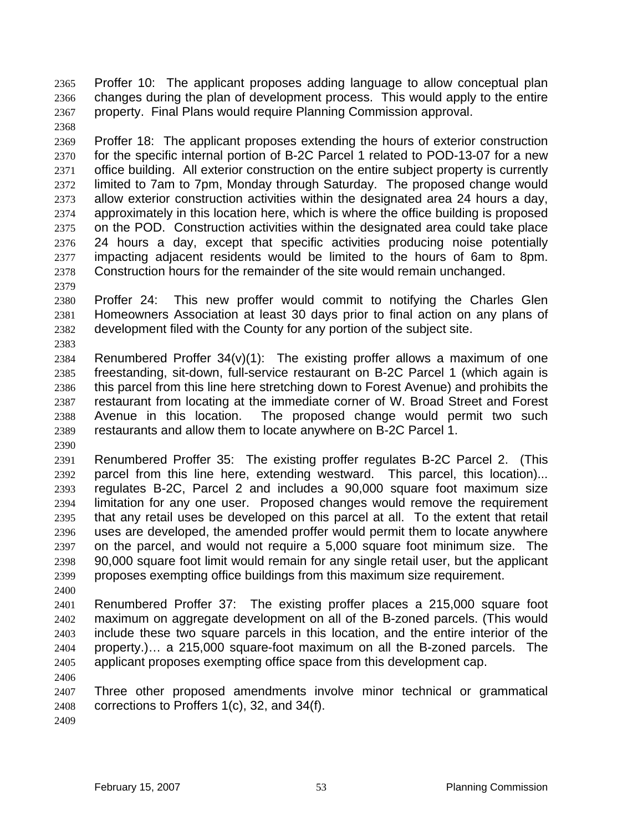Proffer 10: The applicant proposes adding language to allow conceptual plan changes during the plan of development process. This would apply to the entire property. Final Plans would require Planning Commission approval.

- Proffer 18: The applicant proposes extending the hours of exterior construction for the specific internal portion of B-2C Parcel 1 related to POD-13-07 for a new office building. All exterior construction on the entire subject property is currently limited to 7am to 7pm, Monday through Saturday. The proposed change would allow exterior construction activities within the designated area 24 hours a day, approximately in this location here, which is where the office building is proposed on the POD. Construction activities within the designated area could take place 24 hours a day, except that specific activities producing noise potentially impacting adjacent residents would be limited to the hours of 6am to 8pm. Construction hours for the remainder of the site would remain unchanged.
- 

- Proffer 24: This new proffer would commit to notifying the Charles Glen Homeowners Association at least 30 days prior to final action on any plans of development filed with the County for any portion of the subject site.
- 2384 Renumbered Proffer  $34(v)(1)$ : The existing proffer allows a maximum of one freestanding, sit-down, full-service restaurant on B-2C Parcel 1 (which again is this parcel from this line here stretching down to Forest Avenue) and prohibits the restaurant from locating at the immediate corner of W. Broad Street and Forest Avenue in this location. The proposed change would permit two such restaurants and allow them to locate anywhere on B-2C Parcel 1.
- Renumbered Proffer 35: The existing proffer regulates B-2C Parcel 2. (This parcel from this line here, extending westward. This parcel, this location)... regulates B-2C, Parcel 2 and includes a 90,000 square foot maximum size limitation for any one user. Proposed changes would remove the requirement that any retail uses be developed on this parcel at all. To the extent that retail uses are developed, the amended proffer would permit them to locate anywhere on the parcel, and would not require a 5,000 square foot minimum size. The 90,000 square foot limit would remain for any single retail user, but the applicant proposes exempting office buildings from this maximum size requirement.
- Renumbered Proffer 37: The existing proffer places a 215,000 square foot maximum on aggregate development on all of the B-zoned parcels. (This would include these two square parcels in this location, and the entire interior of the property.)… a 215,000 square-foot maximum on all the B-zoned parcels. The applicant proposes exempting office space from this development cap.
- 

Three other proposed amendments involve minor technical or grammatical corrections to Proffers 1(c), 32, and 34(f).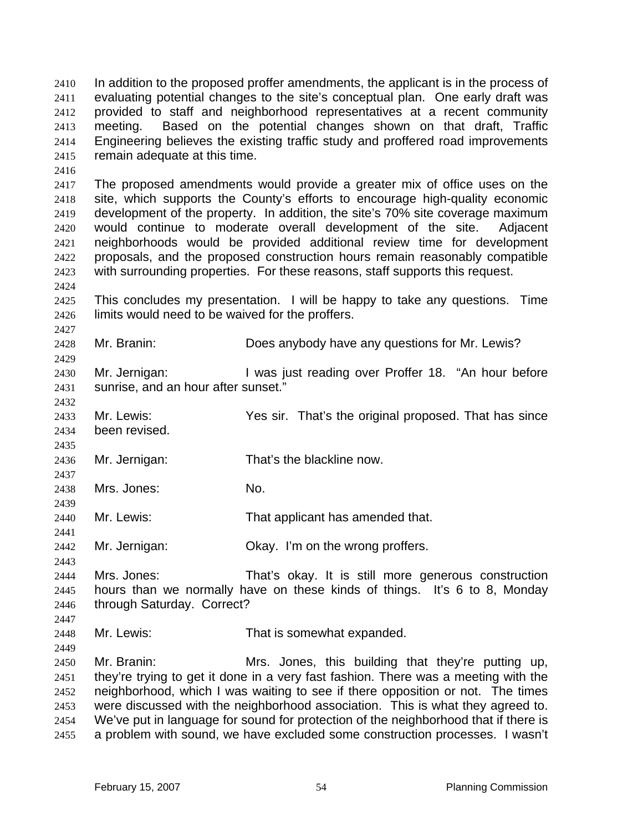In addition to the proposed proffer amendments, the applicant is in the process of evaluating potential changes to the site's conceptual plan. One early draft was provided to staff and neighborhood representatives at a recent community meeting. Based on the potential changes shown on that draft, Traffic Engineering believes the existing traffic study and proffered road improvements remain adequate at this time.

The proposed amendments would provide a greater mix of office uses on the site, which supports the County's efforts to encourage high-quality economic development of the property. In addition, the site's 70% site coverage maximum would continue to moderate overall development of the site. Adjacent neighborhoods would be provided additional review time for development proposals, and the proposed construction hours remain reasonably compatible with surrounding properties. For these reasons, staff supports this request.

This concludes my presentation. I will be happy to take any questions. Time limits would need to be waived for the proffers.

Mr. Branin: Does anybody have any questions for Mr. Lewis?

Mr. Jernigan: I was just reading over Proffer 18. "An hour before sunrise, and an hour after sunset."

Mr. Lewis: Yes sir. That's the original proposed. That has since been revised.

Mr. Jernigan: That's the blackline now.

Mrs. Jones: No.

Mr. Lewis: That applicant has amended that.

Mr. Jernigan: Okay. I'm on the wrong proffers.

Mrs. Jones: That's okay. It is still more generous construction hours than we normally have on these kinds of things. It's 6 to 8, Monday through Saturday. Correct?

Mr. Lewis: That is somewhat expanded.

Mr. Branin: Mrs. Jones, this building that they're putting up, they're trying to get it done in a very fast fashion. There was a meeting with the neighborhood, which I was waiting to see if there opposition or not. The times were discussed with the neighborhood association. This is what they agreed to. We've put in language for sound for protection of the neighborhood that if there is a problem with sound, we have excluded some construction processes. I wasn't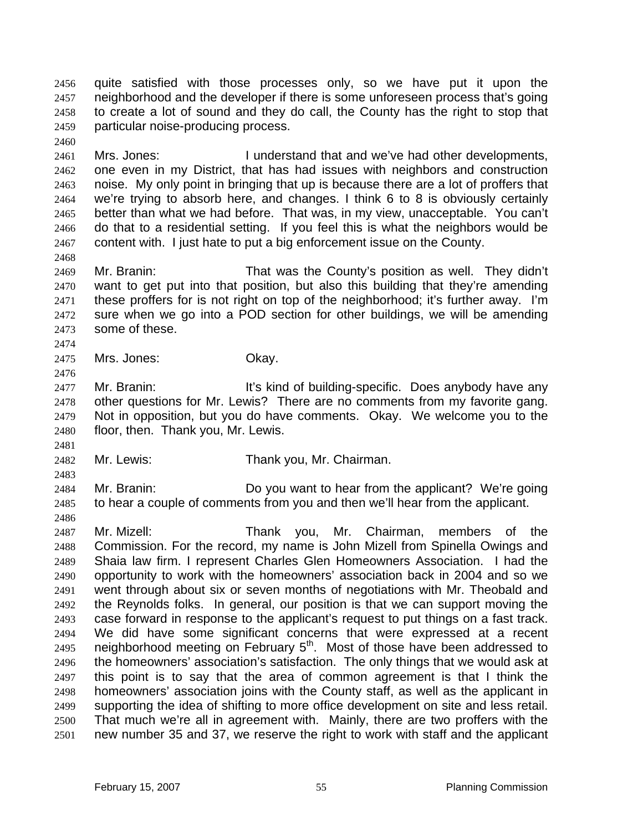quite satisfied with those processes only, so we have put it upon the neighborhood and the developer if there is some unforeseen process that's going to create a lot of sound and they do call, the County has the right to stop that particular noise-producing process.

Mrs. Jones: I understand that and we've had other developments, one even in my District, that has had issues with neighbors and construction noise. My only point in bringing that up is because there are a lot of proffers that we're trying to absorb here, and changes. I think 6 to 8 is obviously certainly better than what we had before. That was, in my view, unacceptable. You can't do that to a residential setting. If you feel this is what the neighbors would be content with. I just hate to put a big enforcement issue on the County.

Mr. Branin: That was the County's position as well. They didn't want to get put into that position, but also this building that they're amending these proffers for is not right on top of the neighborhood; it's further away. I'm sure when we go into a POD section for other buildings, we will be amending some of these.

Mrs. Jones: Okay.

2477 Mr. Branin: It's kind of building-specific. Does anybody have any other questions for Mr. Lewis? There are no comments from my favorite gang. Not in opposition, but you do have comments. Okay. We welcome you to the floor, then. Thank you, Mr. Lewis.

Mr. Lewis: Thank you, Mr. Chairman.

Mr. Branin: Do you want to hear from the applicant? We're going to hear a couple of comments from you and then we'll hear from the applicant.

Mr. Mizell: Thank you, Mr. Chairman, members of the Commission. For the record, my name is John Mizell from Spinella Owings and Shaia law firm. I represent Charles Glen Homeowners Association. I had the opportunity to work with the homeowners' association back in 2004 and so we went through about six or seven months of negotiations with Mr. Theobald and the Reynolds folks. In general, our position is that we can support moving the case forward in response to the applicant's request to put things on a fast track. We did have some significant concerns that were expressed at a recent 2495 neighborhood meeting on February  $5<sup>th</sup>$ . Most of those have been addressed to the homeowners' association's satisfaction. The only things that we would ask at this point is to say that the area of common agreement is that I think the homeowners' association joins with the County staff, as well as the applicant in supporting the idea of shifting to more office development on site and less retail. That much we're all in agreement with. Mainly, there are two proffers with the new number 35 and 37, we reserve the right to work with staff and the applicant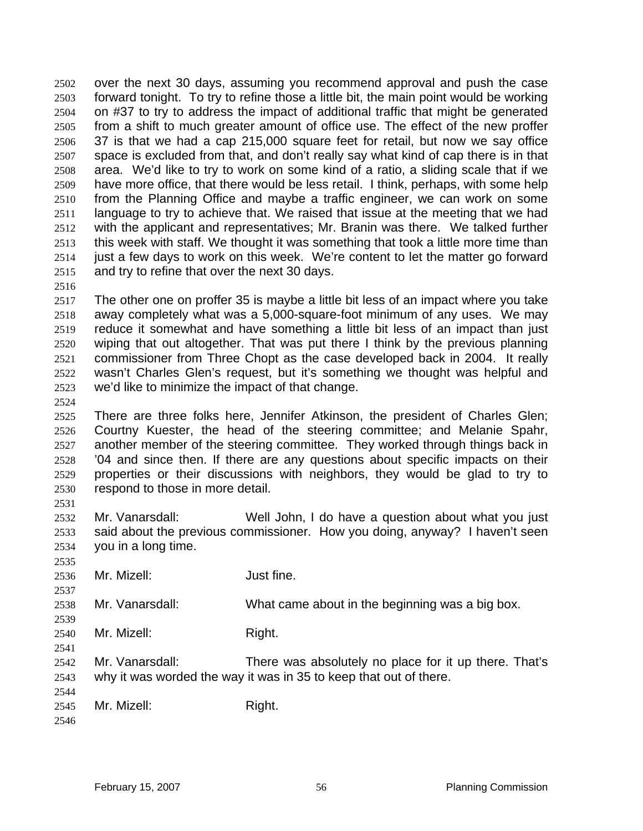over the next 30 days, assuming you recommend approval and push the case forward tonight. To try to refine those a little bit, the main point would be working on #37 to try to address the impact of additional traffic that might be generated from a shift to much greater amount of office use. The effect of the new proffer 37 is that we had a cap 215,000 square feet for retail, but now we say office space is excluded from that, and don't really say what kind of cap there is in that area. We'd like to try to work on some kind of a ratio, a sliding scale that if we have more office, that there would be less retail. I think, perhaps, with some help from the Planning Office and maybe a traffic engineer, we can work on some language to try to achieve that. We raised that issue at the meeting that we had with the applicant and representatives; Mr. Branin was there. We talked further 2513 this week with staff. We thought it was something that took a little more time than just a few days to work on this week. We're content to let the matter go forward and try to refine that over the next 30 days.

The other one on proffer 35 is maybe a little bit less of an impact where you take away completely what was a 5,000-square-foot minimum of any uses. We may reduce it somewhat and have something a little bit less of an impact than just wiping that out altogether. That was put there I think by the previous planning commissioner from Three Chopt as the case developed back in 2004. It really wasn't Charles Glen's request, but it's something we thought was helpful and we'd like to minimize the impact of that change.

There are three folks here, Jennifer Atkinson, the president of Charles Glen; Courtny Kuester, the head of the steering committee; and Melanie Spahr, another member of the steering committee. They worked through things back in '04 and since then. If there are any questions about specific impacts on their properties or their discussions with neighbors, they would be glad to try to respond to those in more detail.

Mr. Vanarsdall: Well John, I do have a question about what you just said about the previous commissioner. How you doing, anyway? I haven't seen you in a long time.

 Mr. Mizell: Just fine.

Mr. Vanarsdall: What came about in the beginning was a big box.

- 2540 Mr. Mizell: Right.
- Mr. Vanarsdall: There was absolutely no place for it up there. That's why it was worded the way it was in 35 to keep that out of there.

 2545 Mr. Mizell: Right.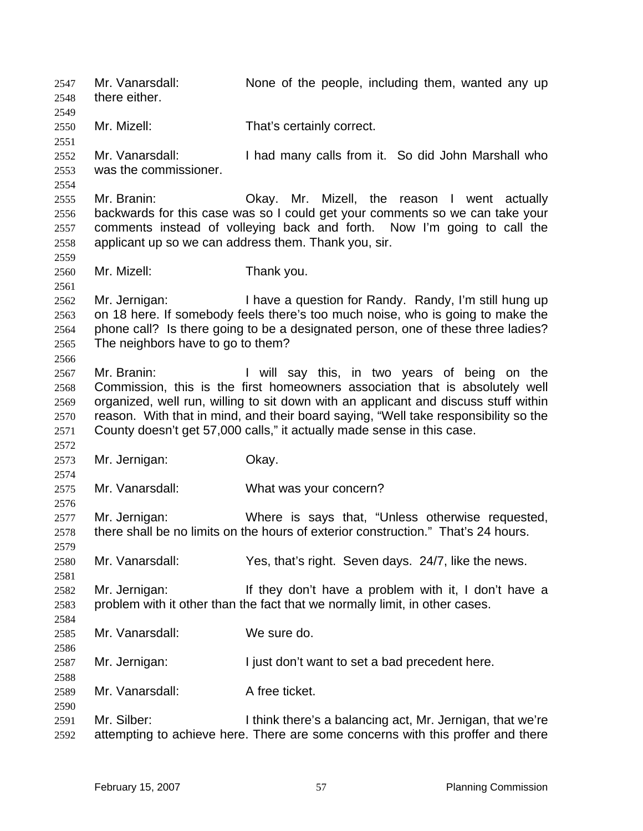Mr. Vanarsdall: None of the people, including them, wanted any up there either. Mr. Mizell: That's certainly correct. Mr. Vanarsdall: I had many calls from it. So did John Marshall who was the commissioner. Mr. Branin: Okay. Mr. Mizell, the reason I went actually backwards for this case was so I could get your comments so we can take your comments instead of volleying back and forth. Now I'm going to call the applicant up so we can address them. Thank you, sir. Mr. Mizell: Thank you. Mr. Jernigan: I have a question for Randy. Randy, I'm still hung up on 18 here. If somebody feels there's too much noise, who is going to make the phone call? Is there going to be a designated person, one of these three ladies? The neighbors have to go to them? Mr. Branin: I will say this, in two years of being on the Commission, this is the first homeowners association that is absolutely well organized, well run, willing to sit down with an applicant and discuss stuff within reason. With that in mind, and their board saying, "Well take responsibility so the County doesn't get 57,000 calls," it actually made sense in this case. Mr. Jernigan: Okay. Mr. Vanarsdall: What was your concern? Mr. Jernigan: Where is says that, "Unless otherwise requested, there shall be no limits on the hours of exterior construction." That's 24 hours. Mr. Vanarsdall: Yes, that's right. Seven days. 24/7, like the news. Mr. Jernigan: If they don't have a problem with it, I don't have a problem with it other than the fact that we normally limit, in other cases. Mr. Vanarsdall: We sure do. Mr. Jernigan: I just don't want to set a bad precedent here. 2589 Mr. Vanarsdall: A free ticket. Mr. Silber: I think there's a balancing act, Mr. Jernigan, that we're attempting to achieve here. There are some concerns with this proffer and there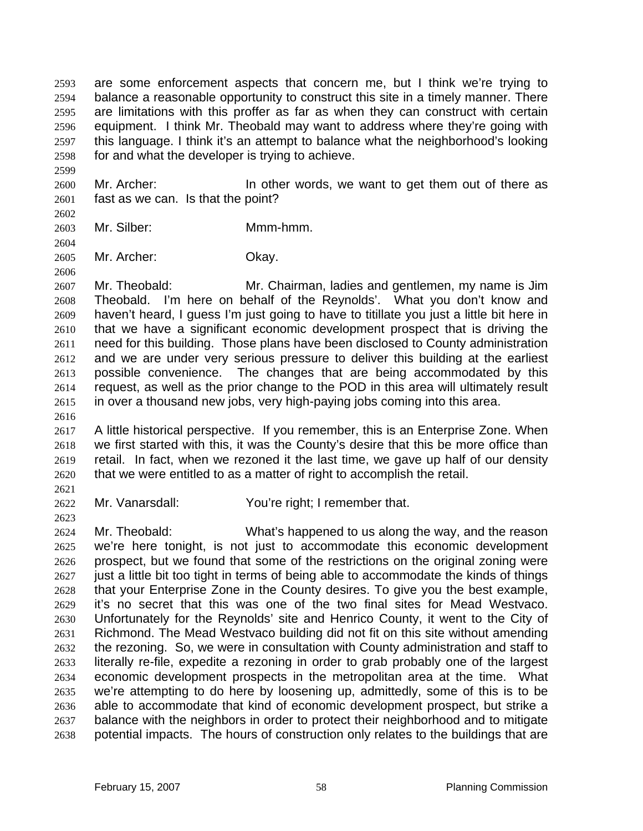are some enforcement aspects that concern me, but I think we're trying to balance a reasonable opportunity to construct this site in a timely manner. There are limitations with this proffer as far as when they can construct with certain equipment. I think Mr. Theobald may want to address where they're going with this language. I think it's an attempt to balance what the neighborhood's looking for and what the developer is trying to achieve.

2600 Mr. Archer: In other words, we want to get them out of there as fast as we can. Is that the point?

Mr. Silber: Mmm-hmm.

Mr. Archer: Okay.

Mr. Theobald: Mr. Chairman, ladies and gentlemen, my name is Jim Theobald. I'm here on behalf of the Reynolds'. What you don't know and haven't heard, I guess I'm just going to have to titillate you just a little bit here in that we have a significant economic development prospect that is driving the need for this building. Those plans have been disclosed to County administration and we are under very serious pressure to deliver this building at the earliest possible convenience. The changes that are being accommodated by this request, as well as the prior change to the POD in this area will ultimately result in over a thousand new jobs, very high-paying jobs coming into this area.

A little historical perspective. If you remember, this is an Enterprise Zone. When we first started with this, it was the County's desire that this be more office than retail. In fact, when we rezoned it the last time, we gave up half of our density that we were entitled to as a matter of right to accomplish the retail.

Mr. Vanarsdall: You're right; I remember that.

Mr. Theobald: What's happened to us along the way, and the reason we're here tonight, is not just to accommodate this economic development prospect, but we found that some of the restrictions on the original zoning were just a little bit too tight in terms of being able to accommodate the kinds of things that your Enterprise Zone in the County desires. To give you the best example, it's no secret that this was one of the two final sites for Mead Westvaco. Unfortunately for the Reynolds' site and Henrico County, it went to the City of Richmond. The Mead Westvaco building did not fit on this site without amending the rezoning. So, we were in consultation with County administration and staff to literally re-file, expedite a rezoning in order to grab probably one of the largest economic development prospects in the metropolitan area at the time. What we're attempting to do here by loosening up, admittedly, some of this is to be able to accommodate that kind of economic development prospect, but strike a balance with the neighbors in order to protect their neighborhood and to mitigate potential impacts. The hours of construction only relates to the buildings that are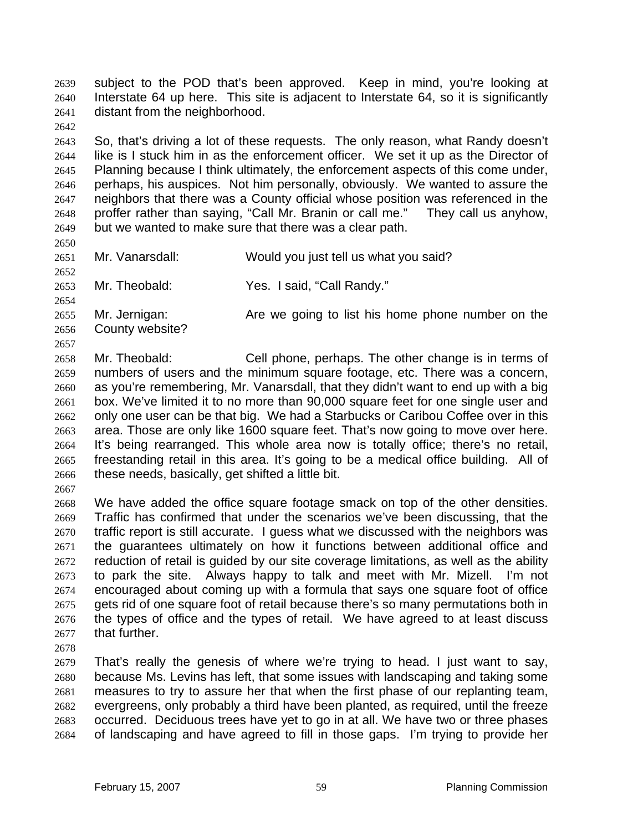subject to the POD that's been approved. Keep in mind, you're looking at Interstate 64 up here. This site is adjacent to Interstate 64, so it is significantly distant from the neighborhood.

So, that's driving a lot of these requests. The only reason, what Randy doesn't like is I stuck him in as the enforcement officer. We set it up as the Director of Planning because I think ultimately, the enforcement aspects of this come under, perhaps, his auspices. Not him personally, obviously. We wanted to assure the neighbors that there was a County official whose position was referenced in the proffer rather than saying, "Call Mr. Branin or call me." They call us anyhow, but we wanted to make sure that there was a clear path.

Mr. Vanarsdall: Would you just tell us what you said?

Mr. Theobald: Yes. I said, "Call Randy."

 Mr. Jernigan: Are we going to list his home phone number on the County website?

Mr. Theobald: Cell phone, perhaps. The other change is in terms of numbers of users and the minimum square footage, etc. There was a concern, as you're remembering, Mr. Vanarsdall, that they didn't want to end up with a big box. We've limited it to no more than 90,000 square feet for one single user and only one user can be that big. We had a Starbucks or Caribou Coffee over in this area. Those are only like 1600 square feet. That's now going to move over here. It's being rearranged. This whole area now is totally office; there's no retail, freestanding retail in this area. It's going to be a medical office building. All of these needs, basically, get shifted a little bit.

We have added the office square footage smack on top of the other densities. Traffic has confirmed that under the scenarios we've been discussing, that the traffic report is still accurate. I guess what we discussed with the neighbors was the guarantees ultimately on how it functions between additional office and reduction of retail is guided by our site coverage limitations, as well as the ability to park the site. Always happy to talk and meet with Mr. Mizell. I'm not encouraged about coming up with a formula that says one square foot of office gets rid of one square foot of retail because there's so many permutations both in the types of office and the types of retail. We have agreed to at least discuss that further.

That's really the genesis of where we're trying to head. I just want to say, because Ms. Levins has left, that some issues with landscaping and taking some measures to try to assure her that when the first phase of our replanting team, evergreens, only probably a third have been planted, as required, until the freeze occurred. Deciduous trees have yet to go in at all. We have two or three phases of landscaping and have agreed to fill in those gaps. I'm trying to provide her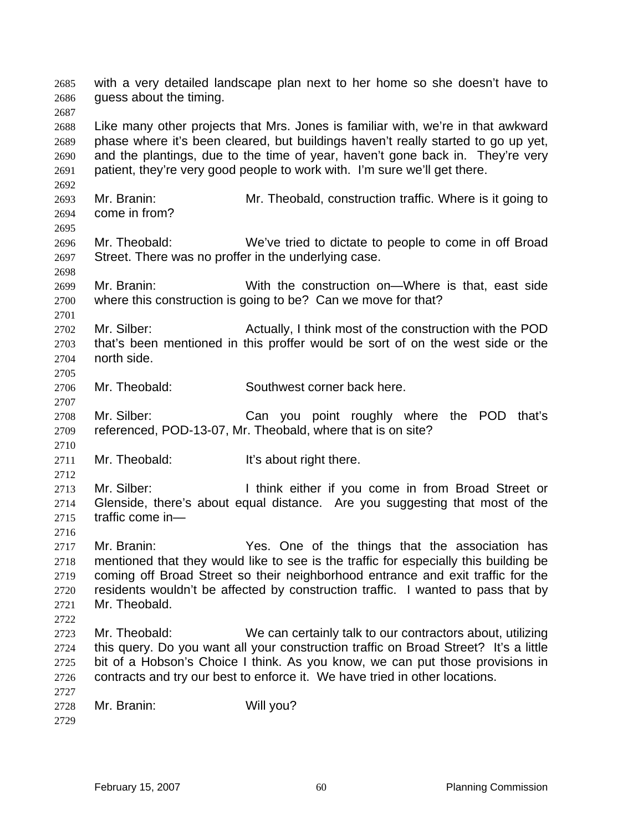with a very detailed landscape plan next to her home so she doesn't have to guess about the timing. Like many other projects that Mrs. Jones is familiar with, we're in that awkward phase where it's been cleared, but buildings haven't really started to go up yet, and the plantings, due to the time of year, haven't gone back in. They're very patient, they're very good people to work with. I'm sure we'll get there. Mr. Branin: Mr. Theobald, construction traffic. Where is it going to come in from? Mr. Theobald: We've tried to dictate to people to come in off Broad Street. There was no proffer in the underlying case. Mr. Branin: With the construction on—Where is that, east side where this construction is going to be? Can we move for that? Mr. Silber: Actually, I think most of the construction with the POD that's been mentioned in this proffer would be sort of on the west side or the north side. Mr. Theobald: Southwest corner back here. Mr. Silber: Can you point roughly where the POD that's referenced, POD-13-07, Mr. Theobald, where that is on site? 2711 Mr. Theobald: It's about right there. 2713 Mr. Silber: I think either if you come in from Broad Street or Glenside, there's about equal distance. Are you suggesting that most of the traffic come in— Mr. Branin: Yes. One of the things that the association has mentioned that they would like to see is the traffic for especially this building be coming off Broad Street so their neighborhood entrance and exit traffic for the residents wouldn't be affected by construction traffic. I wanted to pass that by Mr. Theobald. Mr. Theobald: We can certainly talk to our contractors about, utilizing this query. Do you want all your construction traffic on Broad Street? It's a little bit of a Hobson's Choice I think. As you know, we can put those provisions in contracts and try our best to enforce it. We have tried in other locations. Mr. Branin: Will you?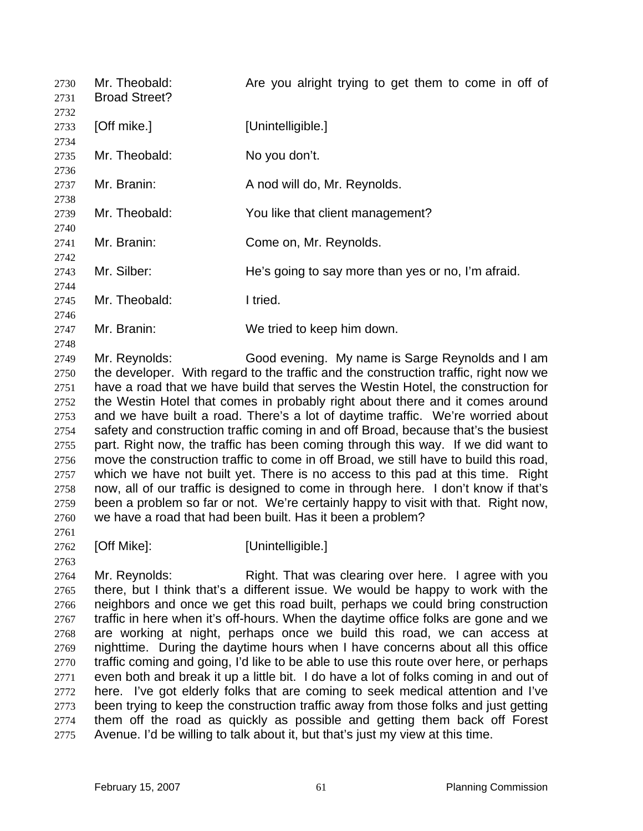| 2730<br>2731<br>2732                                                                                             | Mr. Theobald:<br><b>Broad Street?</b> | Are you alright trying to get them to come in off of                                                                                                                                                                                                                                                                                                                                                                                                                                                                                                                                                                                                                                                                                                                                                                                                                                                                                                                                                |
|------------------------------------------------------------------------------------------------------------------|---------------------------------------|-----------------------------------------------------------------------------------------------------------------------------------------------------------------------------------------------------------------------------------------------------------------------------------------------------------------------------------------------------------------------------------------------------------------------------------------------------------------------------------------------------------------------------------------------------------------------------------------------------------------------------------------------------------------------------------------------------------------------------------------------------------------------------------------------------------------------------------------------------------------------------------------------------------------------------------------------------------------------------------------------------|
| 2733<br>2734                                                                                                     | [Off mike.]                           | [Unintelligible.]                                                                                                                                                                                                                                                                                                                                                                                                                                                                                                                                                                                                                                                                                                                                                                                                                                                                                                                                                                                   |
| 2735<br>2736                                                                                                     | Mr. Theobald:                         | No you don't.                                                                                                                                                                                                                                                                                                                                                                                                                                                                                                                                                                                                                                                                                                                                                                                                                                                                                                                                                                                       |
| 2737<br>2738                                                                                                     | Mr. Branin:                           | A nod will do, Mr. Reynolds.                                                                                                                                                                                                                                                                                                                                                                                                                                                                                                                                                                                                                                                                                                                                                                                                                                                                                                                                                                        |
| 2739<br>2740                                                                                                     | Mr. Theobald:                         | You like that client management?                                                                                                                                                                                                                                                                                                                                                                                                                                                                                                                                                                                                                                                                                                                                                                                                                                                                                                                                                                    |
| 2741<br>2742                                                                                                     | Mr. Branin:                           | Come on, Mr. Reynolds.                                                                                                                                                                                                                                                                                                                                                                                                                                                                                                                                                                                                                                                                                                                                                                                                                                                                                                                                                                              |
| 2743<br>2744                                                                                                     | Mr. Silber:                           | He's going to say more than yes or no, I'm afraid.                                                                                                                                                                                                                                                                                                                                                                                                                                                                                                                                                                                                                                                                                                                                                                                                                                                                                                                                                  |
| 2745<br>2746                                                                                                     | Mr. Theobald:                         | I tried.                                                                                                                                                                                                                                                                                                                                                                                                                                                                                                                                                                                                                                                                                                                                                                                                                                                                                                                                                                                            |
| 2747<br>2748                                                                                                     | Mr. Branin:                           | We tried to keep him down.                                                                                                                                                                                                                                                                                                                                                                                                                                                                                                                                                                                                                                                                                                                                                                                                                                                                                                                                                                          |
| 2749<br>2750<br>2751<br>2752<br>2753<br>2754<br>2755<br>2756<br>2757<br>2758<br>2759<br>2760<br>27 <sub>61</sub> | Mr. Reynolds:                         | Good evening. My name is Sarge Reynolds and I am<br>the developer. With regard to the traffic and the construction traffic, right now we<br>have a road that we have build that serves the Westin Hotel, the construction for<br>the Westin Hotel that comes in probably right about there and it comes around<br>and we have built a road. There's a lot of daytime traffic. We're worried about<br>safety and construction traffic coming in and off Broad, because that's the busiest<br>part. Right now, the traffic has been coming through this way. If we did want to<br>move the construction traffic to come in off Broad, we still have to build this road,<br>which we have not built yet. There is no access to this pad at this time. Right<br>now, all of our traffic is designed to come in through here. I don't know if that's<br>been a problem so far or not. We're certainly happy to visit with that. Right now,<br>we have a road that had been built. Has it been a problem? |

- 
- 

[Off Mike]: [Unintelligible.]

2764 Mr. Reynolds: Right. That was clearing over here. I agree with you there, but I think that's a different issue. We would be happy to work with the neighbors and once we get this road built, perhaps we could bring construction 2767 traffic in here when it's off-hours. When the daytime office folks are gone and we are working at night, perhaps once we build this road, we can access at nighttime. During the daytime hours when I have concerns about all this office traffic coming and going, I'd like to be able to use this route over here, or perhaps even both and break it up a little bit. I do have a lot of folks coming in and out of here. I've got elderly folks that are coming to seek medical attention and I've been trying to keep the construction traffic away from those folks and just getting them off the road as quickly as possible and getting them back off Forest Avenue. I'd be willing to talk about it, but that's just my view at this time.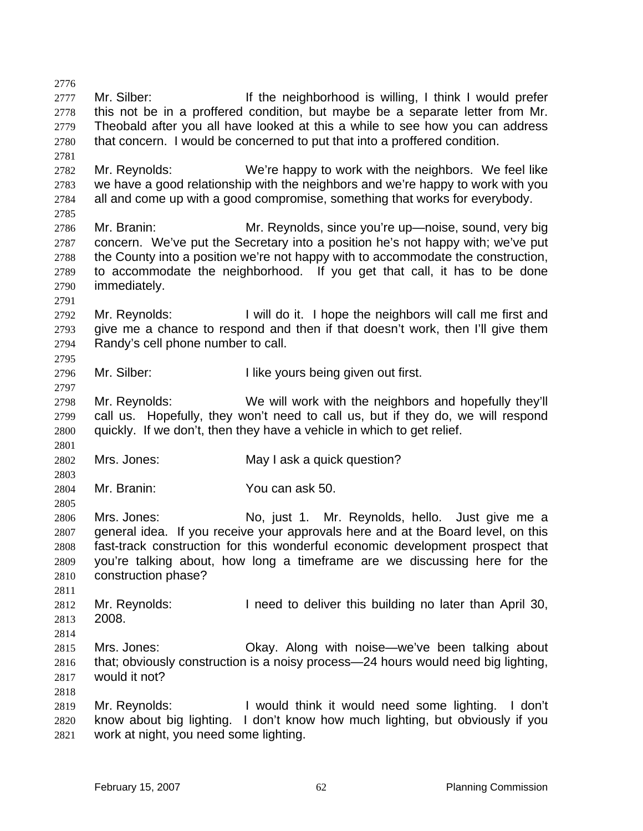2777 Mr. Silber: If the neighborhood is willing, I think I would prefer this not be in a proffered condition, but maybe be a separate letter from Mr. Theobald after you all have looked at this a while to see how you can address that concern. I would be concerned to put that into a proffered condition. Mr. Reynolds: We're happy to work with the neighbors. We feel like we have a good relationship with the neighbors and we're happy to work with you all and come up with a good compromise, something that works for everybody. Mr. Branin: Mr. Reynolds, since you're up—noise, sound, very big concern. We've put the Secretary into a position he's not happy with; we've put the County into a position we're not happy with to accommodate the construction, to accommodate the neighborhood. If you get that call, it has to be done immediately. Mr. Reynolds: I will do it. I hope the neighbors will call me first and give me a chance to respond and then if that doesn't work, then I'll give them Randy's cell phone number to call. 2796 Mr. Silber: I like yours being given out first. Mr. Reynolds: We will work with the neighbors and hopefully they'll call us. Hopefully, they won't need to call us, but if they do, we will respond quickly. If we don't, then they have a vehicle in which to get relief. Mrs. Jones: May I ask a quick question? Mr. Branin: You can ask 50. Mrs. Jones: No, just 1. Mr. Reynolds, hello. Just give me a general idea. If you receive your approvals here and at the Board level, on this fast-track construction for this wonderful economic development prospect that you're talking about, how long a timeframe are we discussing here for the construction phase? Mr. Reynolds: I need to deliver this building no later than April 30, 2008. Mrs. Jones: Okay. Along with noise—we've been talking about that; obviously construction is a noisy process—24 hours would need big lighting, would it not? Mr. Reynolds: I would think it would need some lighting. I don't know about big lighting. I don't know how much lighting, but obviously if you work at night, you need some lighting.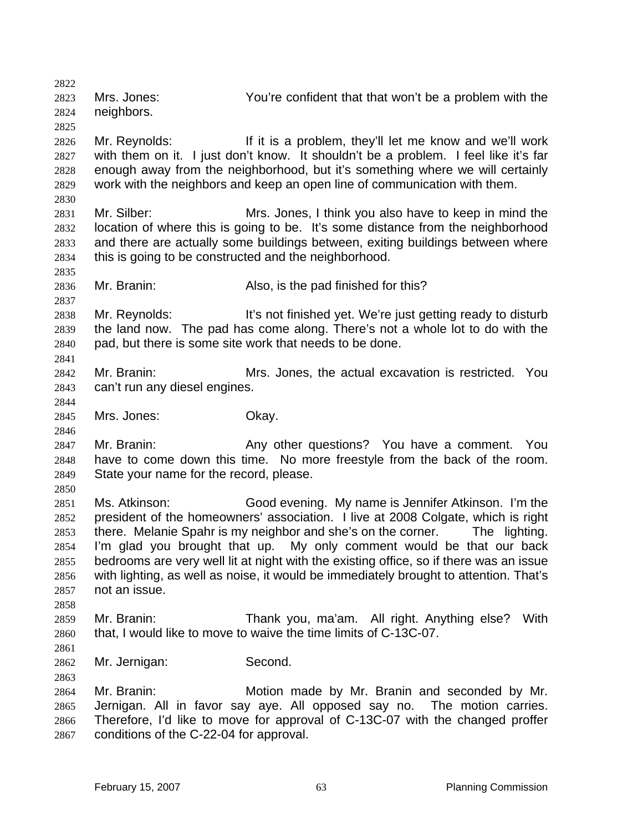Mrs. Jones: You're confident that that won't be a problem with the neighbors. Mr. Reynolds: If it is a problem, they'll let me know and we'll work with them on it. I just don't know. It shouldn't be a problem. I feel like it's far enough away from the neighborhood, but it's something where we will certainly work with the neighbors and keep an open line of communication with them. Mr. Silber: Mrs. Jones, I think you also have to keep in mind the location of where this is going to be. It's some distance from the neighborhood and there are actually some buildings between, exiting buildings between where this is going to be constructed and the neighborhood. Mr. Branin: Also, is the pad finished for this? Mr. Reynolds: It's not finished yet. We're just getting ready to disturb the land now. The pad has come along. There's not a whole lot to do with the pad, but there is some site work that needs to be done. Mr. Branin: Mrs. Jones, the actual excavation is restricted. You can't run any diesel engines. Mrs. Jones: Okay. Mr. Branin: Any other questions? You have a comment. You have to come down this time. No more freestyle from the back of the room. State your name for the record, please. Ms. Atkinson: Good evening. My name is Jennifer Atkinson. I'm the president of the homeowners' association. I live at 2008 Colgate, which is right there. Melanie Spahr is my neighbor and she's on the corner. The lighting. I'm glad you brought that up. My only comment would be that our back bedrooms are very well lit at night with the existing office, so if there was an issue with lighting, as well as noise, it would be immediately brought to attention. That's not an issue. Mr. Branin: Thank you, ma'am. All right. Anything else? With that, I would like to move to waive the time limits of C-13C-07. Mr. Jernigan: Second. Mr. Branin: Motion made by Mr. Branin and seconded by Mr. Jernigan. All in favor say aye. All opposed say no. The motion carries. Therefore, I'd like to move for approval of C-13C-07 with the changed proffer conditions of the C-22-04 for approval.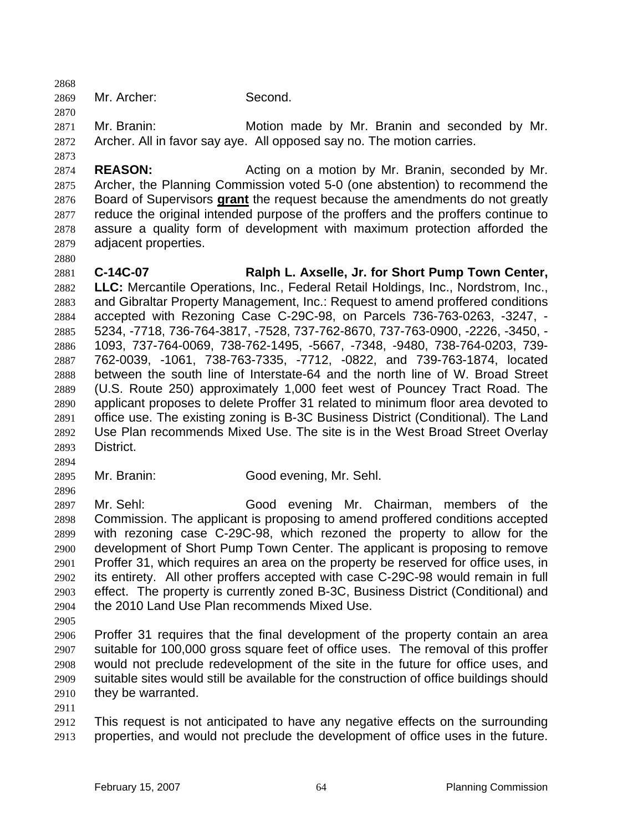Mr. Archer: Second.

Mr. Branin: Motion made by Mr. Branin and seconded by Mr. Archer. All in favor say aye. All opposed say no. The motion carries.

**REASON:** Acting on a motion by Mr. Branin, seconded by Mr. Archer, the Planning Commission voted 5-0 (one abstention) to recommend the Board of Supervisors **grant** the request because the amendments do not greatly reduce the original intended purpose of the proffers and the proffers continue to assure a quality form of development with maximum protection afforded the adjacent properties.

**C-14C-07 Ralph L. Axselle, Jr. for Short Pump Town Center, LLC:** Mercantile Operations, Inc., Federal Retail Holdings, Inc., Nordstrom, Inc., and Gibraltar Property Management, Inc.: Request to amend proffered conditions accepted with Rezoning Case C-29C-98, on Parcels 736-763-0263, -3247, - 5234, -7718, 736-764-3817, -7528, 737-762-8670, 737-763-0900, -2226, -3450, - 1093, 737-764-0069, 738-762-1495, -5667, -7348, -9480, 738-764-0203, 739- 762-0039, -1061, 738-763-7335, -7712, -0822, and 739-763-1874, located between the south line of Interstate-64 and the north line of W. Broad Street (U.S. Route 250) approximately 1,000 feet west of Pouncey Tract Road. The applicant proposes to delete Proffer 31 related to minimum floor area devoted to office use. The existing zoning is B-3C Business District (Conditional). The Land Use Plan recommends Mixed Use. The site is in the West Broad Street Overlay District.

- Mr. Branin: Good evening, Mr. Sehl.
- Mr. Sehl: Good evening Mr. Chairman, members of the Commission. The applicant is proposing to amend proffered conditions accepted with rezoning case C-29C-98, which rezoned the property to allow for the development of Short Pump Town Center. The applicant is proposing to remove Proffer 31, which requires an area on the property be reserved for office uses, in its entirety. All other proffers accepted with case C-29C-98 would remain in full effect. The property is currently zoned B-3C, Business District (Conditional) and the 2010 Land Use Plan recommends Mixed Use.
- 

Proffer 31 requires that the final development of the property contain an area suitable for 100,000 gross square feet of office uses. The removal of this proffer would not preclude redevelopment of the site in the future for office uses, and suitable sites would still be available for the construction of office buildings should they be warranted.

This request is not anticipated to have any negative effects on the surrounding properties, and would not preclude the development of office uses in the future.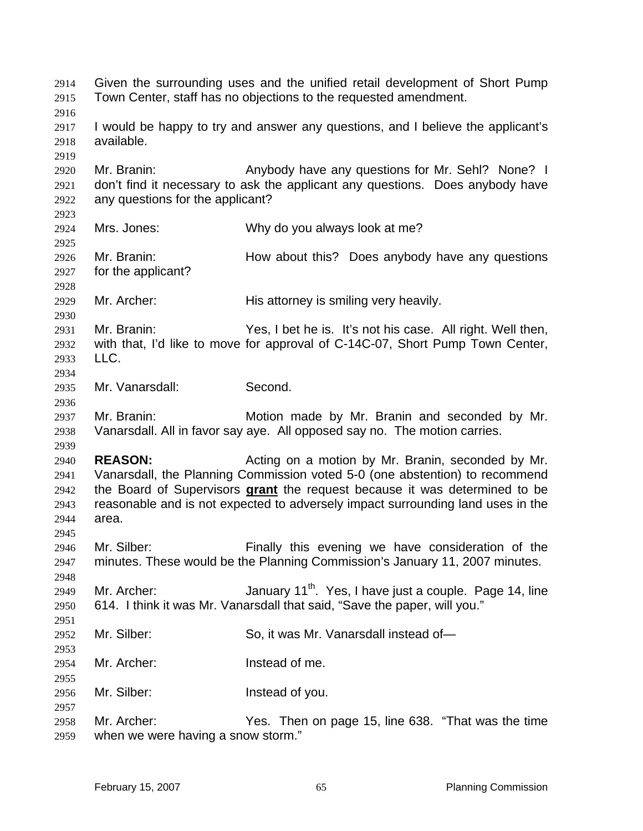Given the surrounding uses and the unified retail development of Short Pump Town Center, staff has no objections to the requested amendment. I would be happy to try and answer any questions, and I believe the applicant's available. Mr. Branin: Anybody have any questions for Mr. Sehl? None? I don't find it necessary to ask the applicant any questions. Does anybody have any questions for the applicant? Mrs. Jones: Why do you always look at me? Mr. Branin: How about this? Does anybody have any questions for the applicant? Mr. Archer: His attorney is smiling very heavily. Mr. Branin: Yes, I bet he is. It's not his case. All right. Well then, with that, I'd like to move for approval of C-14C-07, Short Pump Town Center, LLC. Mr. Vanarsdall: Second. Mr. Branin: Motion made by Mr. Branin and seconded by Mr. Vanarsdall. All in favor say aye. All opposed say no. The motion carries. **REASON:** Acting on a motion by Mr. Branin, seconded by Mr. Vanarsdall, the Planning Commission voted 5-0 (one abstention) to recommend the Board of Supervisors **grant** the request because it was determined to be reasonable and is not expected to adversely impact surrounding land uses in the area. Mr. Silber: Finally this evening we have consideration of the minutes. These would be the Planning Commission's January 11, 2007 minutes. 2949 Mr. Archer:  $\mu$  January 11<sup>th</sup>. Yes, I have just a couple. Page 14, line 614. I think it was Mr. Vanarsdall that said, "Save the paper, will you." 2952 Mr. Silber: So, it was Mr. Vanarsdall instead of- Mr. Archer: Instead of me. Mr. Silber: Instead of you. Mr. Archer: Yes. Then on page 15, line 638. "That was the time when we were having a snow storm."